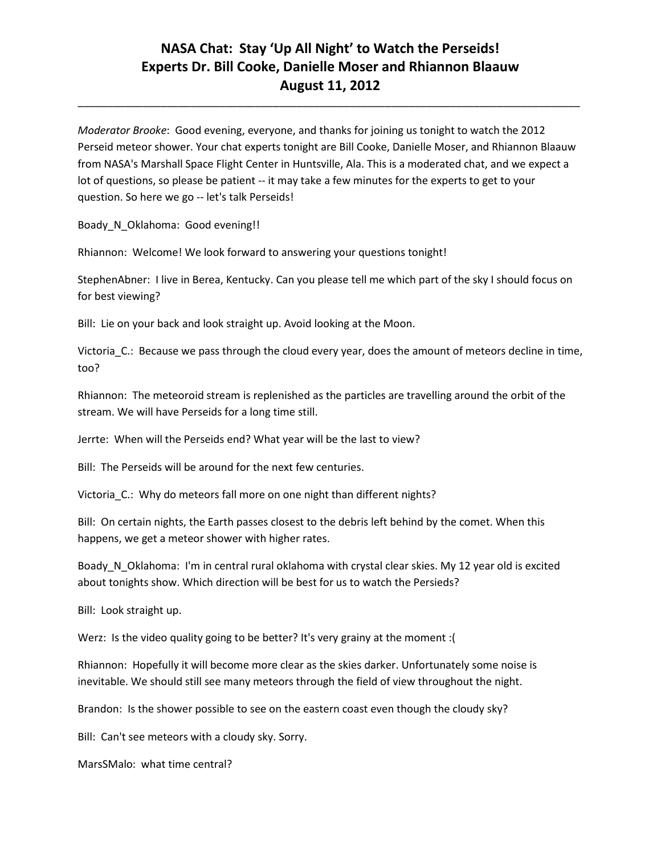\_\_\_\_\_\_\_\_\_\_\_\_\_\_\_\_\_\_\_\_\_\_\_\_\_\_\_\_\_\_\_\_\_\_\_\_\_\_\_\_\_\_\_\_\_\_\_\_\_\_\_\_\_\_\_\_\_\_\_\_\_\_\_\_\_\_\_\_\_\_\_\_\_\_\_\_\_\_\_\_\_\_\_\_\_

*Moderator Brooke*: Good evening, everyone, and thanks for joining us tonight to watch the 2012 Perseid meteor shower. Your chat experts tonight are Bill Cooke, Danielle Moser, and Rhiannon Blaauw from NASA's Marshall Space Flight Center in Huntsville, Ala. This is a moderated chat, and we expect a lot of questions, so please be patient -- it may take a few minutes for the experts to get to your question. So here we go -- let's talk Perseids!

Boady N Oklahoma: Good evening!!

Rhiannon: Welcome! We look forward to answering your questions tonight!

StephenAbner: I live in Berea, Kentucky. Can you please tell me which part of the sky I should focus on for best viewing?

Bill: Lie on your back and look straight up. Avoid looking at the Moon.

Victoria\_C.: Because we pass through the cloud every year, does the amount of meteors decline in time, too?

Rhiannon: The meteoroid stream is replenished as the particles are travelling around the orbit of the stream. We will have Perseids for a long time still.

Jerrte: When will the Perseids end? What year will be the last to view?

Bill: The Perseids will be around for the next few centuries.

Victoria C.: Why do meteors fall more on one night than different nights?

Bill: On certain nights, the Earth passes closest to the debris left behind by the comet. When this happens, we get a meteor shower with higher rates.

Boady\_N\_Oklahoma: I'm in central rural oklahoma with crystal clear skies. My 12 year old is excited about tonights show. Which direction will be best for us to watch the Persieds?

Bill: Look straight up.

Werz: Is the video quality going to be better? It's very grainy at the moment :(

Rhiannon: Hopefully it will become more clear as the skies darker. Unfortunately some noise is inevitable. We should still see many meteors through the field of view throughout the night.

Brandon: Is the shower possible to see on the eastern coast even though the cloudy sky?

Bill: Can't see meteors with a cloudy sky. Sorry.

MarsSMalo: what time central?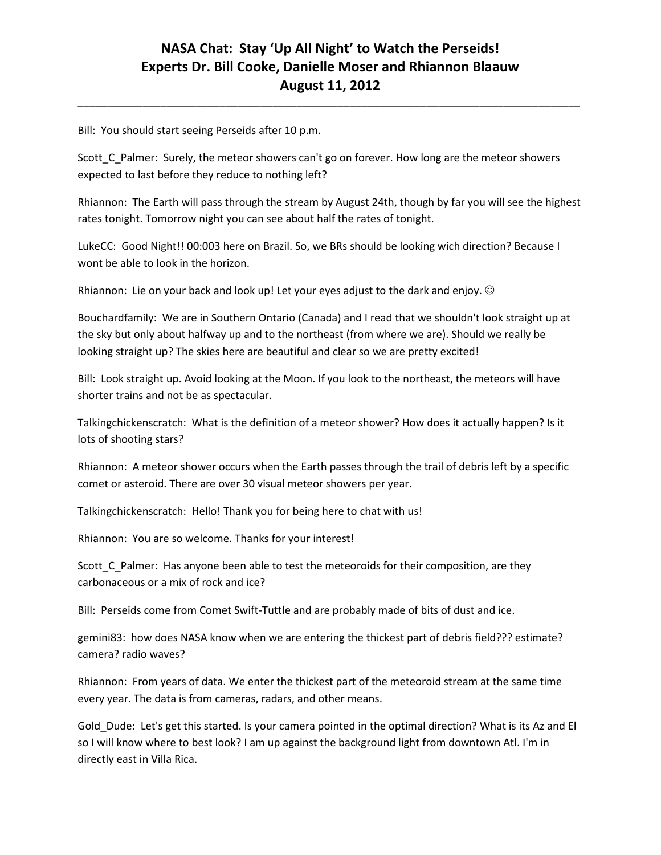\_\_\_\_\_\_\_\_\_\_\_\_\_\_\_\_\_\_\_\_\_\_\_\_\_\_\_\_\_\_\_\_\_\_\_\_\_\_\_\_\_\_\_\_\_\_\_\_\_\_\_\_\_\_\_\_\_\_\_\_\_\_\_\_\_\_\_\_\_\_\_\_\_\_\_\_\_\_\_\_\_\_\_\_\_

Bill: You should start seeing Perseids after 10 p.m.

Scott\_C\_Palmer: Surely, the meteor showers can't go on forever. How long are the meteor showers expected to last before they reduce to nothing left?

Rhiannon: The Earth will pass through the stream by August 24th, though by far you will see the highest rates tonight. Tomorrow night you can see about half the rates of tonight.

LukeCC: Good Night!! 00:003 here on Brazil. So, we BRs should be looking wich direction? Because I wont be able to look in the horizon.

Rhiannon: Lie on your back and look up! Let your eyes adjust to the dark and enjoy.  $\odot$ 

Bouchardfamily: We are in Southern Ontario (Canada) and I read that we shouldn't look straight up at the sky but only about halfway up and to the northeast (from where we are). Should we really be looking straight up? The skies here are beautiful and clear so we are pretty excited!

Bill: Look straight up. Avoid looking at the Moon. If you look to the northeast, the meteors will have shorter trains and not be as spectacular.

Talkingchickenscratch: What is the definition of a meteor shower? How does it actually happen? Is it lots of shooting stars?

Rhiannon: A meteor shower occurs when the Earth passes through the trail of debris left by a specific comet or asteroid. There are over 30 visual meteor showers per year.

Talkingchickenscratch: Hello! Thank you for being here to chat with us!

Rhiannon: You are so welcome. Thanks for your interest!

Scott\_C\_Palmer: Has anyone been able to test the meteoroids for their composition, are they carbonaceous or a mix of rock and ice?

Bill: Perseids come from Comet Swift-Tuttle and are probably made of bits of dust and ice.

gemini83: how does NASA know when we are entering the thickest part of debris field??? estimate? camera? radio waves?

Rhiannon: From years of data. We enter the thickest part of the meteoroid stream at the same time every year. The data is from cameras, radars, and other means.

Gold\_Dude: Let's get this started. Is your camera pointed in the optimal direction? What is its Az and El so I will know where to best look? I am up against the background light from downtown Atl. I'm in directly east in Villa Rica.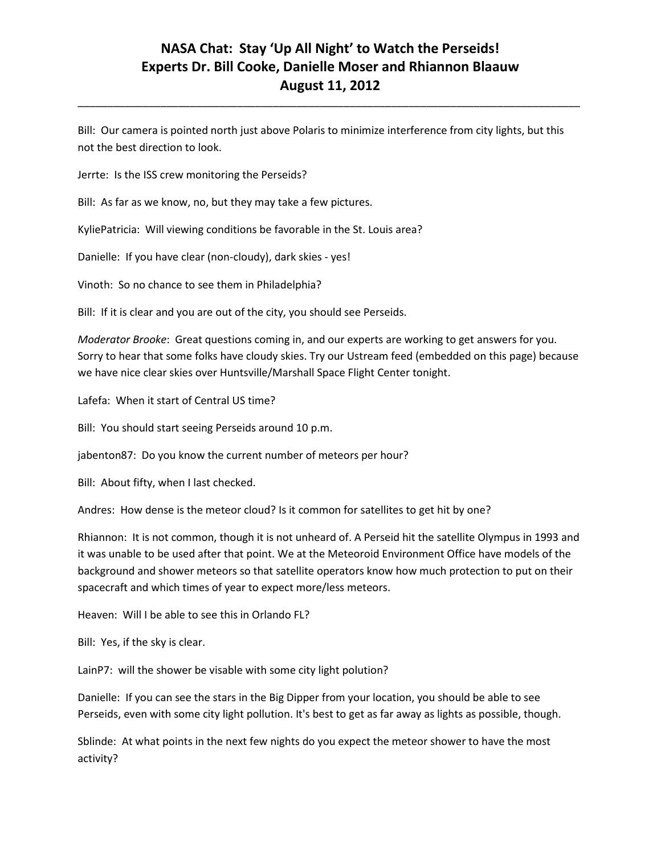\_\_\_\_\_\_\_\_\_\_\_\_\_\_\_\_\_\_\_\_\_\_\_\_\_\_\_\_\_\_\_\_\_\_\_\_\_\_\_\_\_\_\_\_\_\_\_\_\_\_\_\_\_\_\_\_\_\_\_\_\_\_\_\_\_\_\_\_\_\_\_\_\_\_\_\_\_\_\_\_\_\_\_\_\_

Bill: Our camera is pointed north just above Polaris to minimize interference from city lights, but this not the best direction to look.

Jerrte: Is the ISS crew monitoring the Perseids?

Bill: As far as we know, no, but they may take a few pictures.

KyliePatricia: Will viewing conditions be favorable in the St. Louis area?

Danielle: If you have clear (non-cloudy), dark skies - yes!

Vinoth: So no chance to see them in Philadelphia?

Bill: If it is clear and you are out of the city, you should see Perseids.

*Moderator Brooke*: Great questions coming in, and our experts are working to get answers for you. Sorry to hear that some folks have cloudy skies. Try our Ustream feed (embedded on this page) because we have nice clear skies over Huntsville/Marshall Space Flight Center tonight.

Lafefa: When it start of Central US time?

Bill: You should start seeing Perseids around 10 p.m.

jabenton87: Do you know the current number of meteors per hour?

Bill: About fifty, when I last checked.

Andres: How dense is the meteor cloud? Is it common for satellites to get hit by one?

Rhiannon: It is not common, though it is not unheard of. A Perseid hit the satellite Olympus in 1993 and it was unable to be used after that point. We at the Meteoroid Environment Office have models of the background and shower meteors so that satellite operators know how much protection to put on their spacecraft and which times of year to expect more/less meteors.

Heaven: Will I be able to see this in Orlando FL?

Bill: Yes, if the sky is clear.

LainP7: will the shower be visable with some city light polution?

Danielle: If you can see the stars in the Big Dipper from your location, you should be able to see Perseids, even with some city light pollution. It's best to get as far away as lights as possible, though.

Sblinde: At what points in the next few nights do you expect the meteor shower to have the most activity?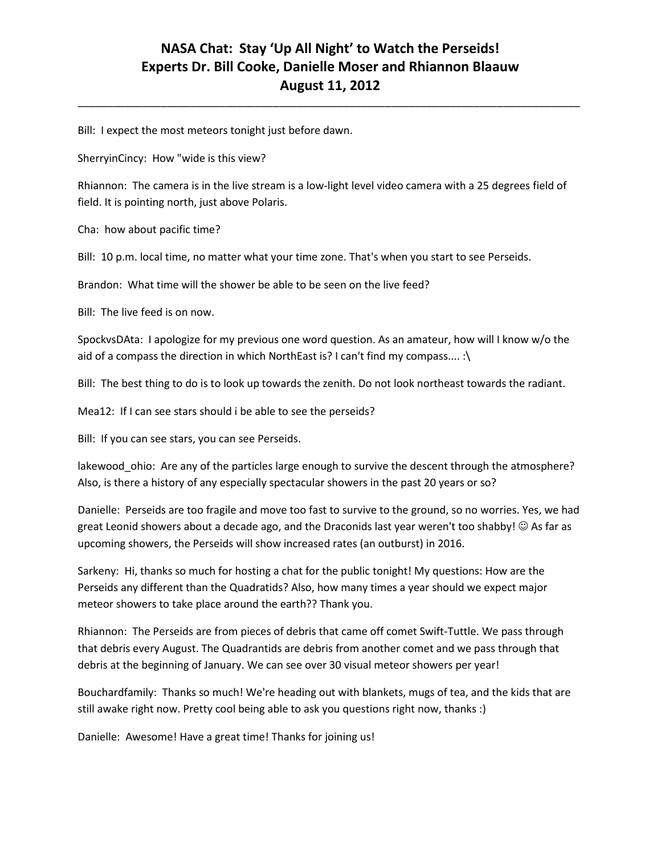\_\_\_\_\_\_\_\_\_\_\_\_\_\_\_\_\_\_\_\_\_\_\_\_\_\_\_\_\_\_\_\_\_\_\_\_\_\_\_\_\_\_\_\_\_\_\_\_\_\_\_\_\_\_\_\_\_\_\_\_\_\_\_\_\_\_\_\_\_\_\_\_\_\_\_\_\_\_\_\_\_\_\_\_\_

Bill: I expect the most meteors tonight just before dawn.

SherryinCincy: How "wide is this view?

Rhiannon: The camera is in the live stream is a low-light level video camera with a 25 degrees field of field. It is pointing north, just above Polaris.

Cha: how about pacific time?

Bill: 10 p.m. local time, no matter what your time zone. That's when you start to see Perseids.

Brandon: What time will the shower be able to be seen on the live feed?

Bill: The live feed is on now.

SpockvsDAta: I apologize for my previous one word question. As an amateur, how will I know w/o the aid of a compass the direction in which NorthEast is? I can't find my compass.... :\

Bill: The best thing to do is to look up towards the zenith. Do not look northeast towards the radiant.

Mea12: If I can see stars should i be able to see the perseids?

Bill: If you can see stars, you can see Perseids.

lakewood\_ohio: Are any of the particles large enough to survive the descent through the atmosphere? Also, is there a history of any especially spectacular showers in the past 20 years or so?

Danielle: Perseids are too fragile and move too fast to survive to the ground, so no worries. Yes, we had great Leonid showers about a decade ago, and the Draconids last year weren't too shabby!  $\odot$  As far as upcoming showers, the Perseids will show increased rates (an outburst) in 2016.

Sarkeny: Hi, thanks so much for hosting a chat for the public tonight! My questions: How are the Perseids any different than the Quadratids? Also, how many times a year should we expect major meteor showers to take place around the earth?? Thank you.

Rhiannon: The Perseids are from pieces of debris that came off comet Swift-Tuttle. We pass through that debris every August. The Quadrantids are debris from another comet and we pass through that debris at the beginning of January. We can see over 30 visual meteor showers per year!

Bouchardfamily: Thanks so much! We're heading out with blankets, mugs of tea, and the kids that are still awake right now. Pretty cool being able to ask you questions right now, thanks :)

Danielle: Awesome! Have a great time! Thanks for joining us!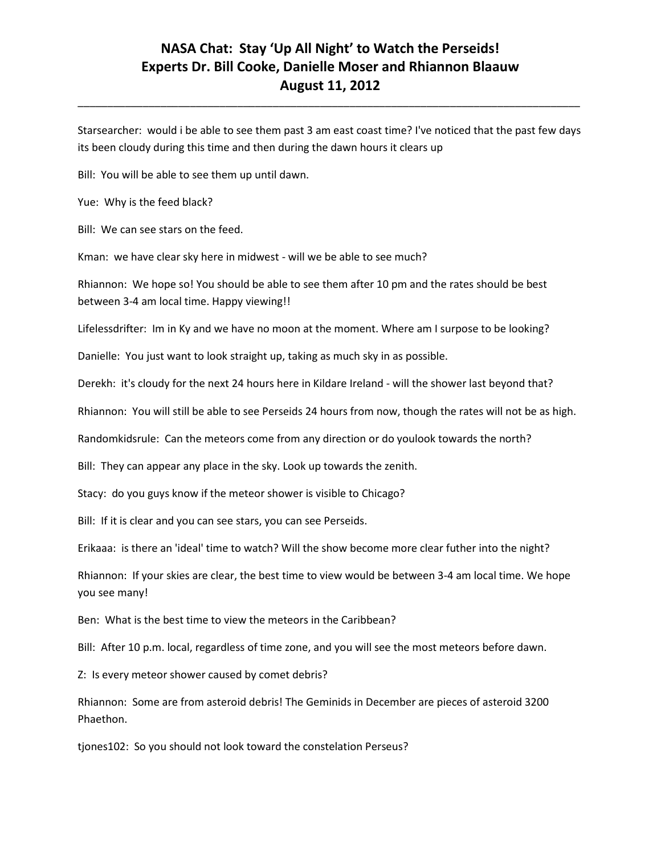Starsearcher: would i be able to see them past 3 am east coast time? I've noticed that the past few days its been cloudy during this time and then during the dawn hours it clears up

\_\_\_\_\_\_\_\_\_\_\_\_\_\_\_\_\_\_\_\_\_\_\_\_\_\_\_\_\_\_\_\_\_\_\_\_\_\_\_\_\_\_\_\_\_\_\_\_\_\_\_\_\_\_\_\_\_\_\_\_\_\_\_\_\_\_\_\_\_\_\_\_\_\_\_\_\_\_\_\_\_\_\_\_\_

Bill: You will be able to see them up until dawn.

Yue: Why is the feed black?

Bill: We can see stars on the feed.

Kman: we have clear sky here in midwest - will we be able to see much?

Rhiannon: We hope so! You should be able to see them after 10 pm and the rates should be best between 3-4 am local time. Happy viewing!!

Lifelessdrifter: Im in Ky and we have no moon at the moment. Where am I surpose to be looking?

Danielle: You just want to look straight up, taking as much sky in as possible.

Derekh: it's cloudy for the next 24 hours here in Kildare Ireland - will the shower last beyond that?

Rhiannon: You will still be able to see Perseids 24 hours from now, though the rates will not be as high.

Randomkidsrule: Can the meteors come from any direction or do youlook towards the north?

Bill: They can appear any place in the sky. Look up towards the zenith.

Stacy: do you guys know if the meteor shower is visible to Chicago?

Bill: If it is clear and you can see stars, you can see Perseids.

Erikaaa: is there an 'ideal' time to watch? Will the show become more clear futher into the night?

Rhiannon: If your skies are clear, the best time to view would be between 3-4 am local time. We hope you see many!

Ben: What is the best time to view the meteors in the Caribbean?

Bill: After 10 p.m. local, regardless of time zone, and you will see the most meteors before dawn.

Z: Is every meteor shower caused by comet debris?

Rhiannon: Some are from asteroid debris! The Geminids in December are pieces of asteroid 3200 Phaethon.

tjones102: So you should not look toward the constelation Perseus?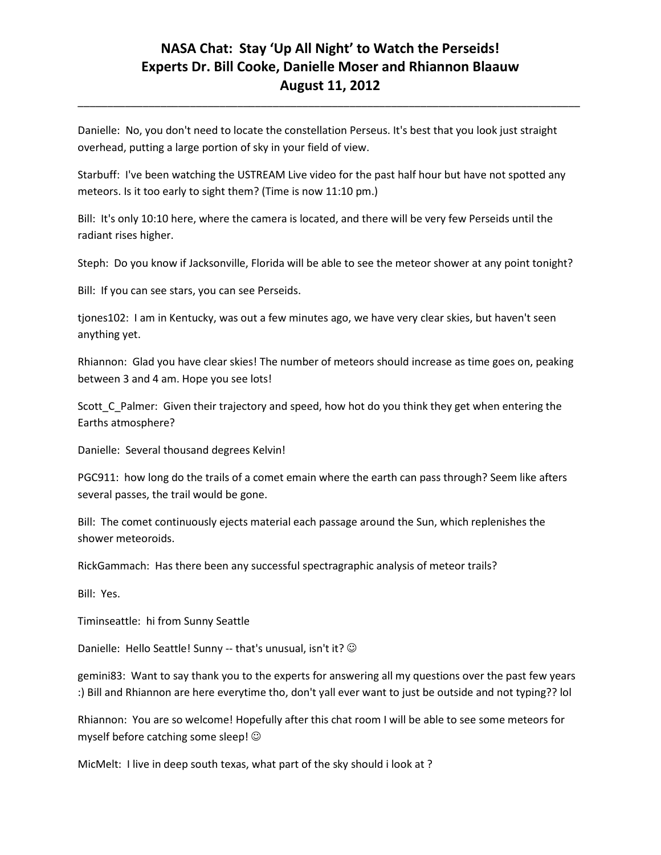\_\_\_\_\_\_\_\_\_\_\_\_\_\_\_\_\_\_\_\_\_\_\_\_\_\_\_\_\_\_\_\_\_\_\_\_\_\_\_\_\_\_\_\_\_\_\_\_\_\_\_\_\_\_\_\_\_\_\_\_\_\_\_\_\_\_\_\_\_\_\_\_\_\_\_\_\_\_\_\_\_\_\_\_\_

Danielle: No, you don't need to locate the constellation Perseus. It's best that you look just straight overhead, putting a large portion of sky in your field of view.

Starbuff: I've been watching the USTREAM Live video for the past half hour but have not spotted any meteors. Is it too early to sight them? (Time is now 11:10 pm.)

Bill: It's only 10:10 here, where the camera is located, and there will be very few Perseids until the radiant rises higher.

Steph: Do you know if Jacksonville, Florida will be able to see the meteor shower at any point tonight?

Bill: If you can see stars, you can see Perseids.

tjones102: I am in Kentucky, was out a few minutes ago, we have very clear skies, but haven't seen anything yet.

Rhiannon: Glad you have clear skies! The number of meteors should increase as time goes on, peaking between 3 and 4 am. Hope you see lots!

Scott C Palmer: Given their trajectory and speed, how hot do you think they get when entering the Earths atmosphere?

Danielle: Several thousand degrees Kelvin!

PGC911: how long do the trails of a comet emain where the earth can pass through? Seem like afters several passes, the trail would be gone.

Bill: The comet continuously ejects material each passage around the Sun, which replenishes the shower meteoroids.

RickGammach: Has there been any successful spectragraphic analysis of meteor trails?

Bill: Yes.

Timinseattle: hi from Sunny Seattle

Danielle: Hello Seattle! Sunny -- that's unusual, isn't it?  $\odot$ 

gemini83: Want to say thank you to the experts for answering all my questions over the past few years :) Bill and Rhiannon are here everytime tho, don't yall ever want to just be outside and not typing?? lol

Rhiannon: You are so welcome! Hopefully after this chat room I will be able to see some meteors for myself before catching some sleep!

MicMelt: I live in deep south texas, what part of the sky should i look at ?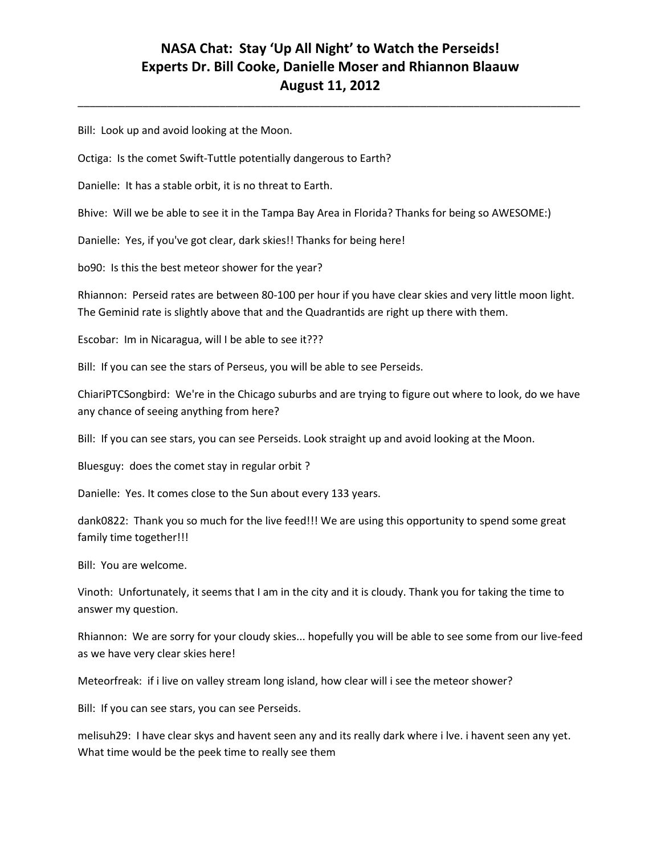\_\_\_\_\_\_\_\_\_\_\_\_\_\_\_\_\_\_\_\_\_\_\_\_\_\_\_\_\_\_\_\_\_\_\_\_\_\_\_\_\_\_\_\_\_\_\_\_\_\_\_\_\_\_\_\_\_\_\_\_\_\_\_\_\_\_\_\_\_\_\_\_\_\_\_\_\_\_\_\_\_\_\_\_\_

Bill: Look up and avoid looking at the Moon.

Octiga: Is the comet Swift-Tuttle potentially dangerous to Earth?

Danielle: It has a stable orbit, it is no threat to Earth.

Bhive: Will we be able to see it in the Tampa Bay Area in Florida? Thanks for being so AWESOME:)

Danielle: Yes, if you've got clear, dark skies!! Thanks for being here!

bo90: Is this the best meteor shower for the year?

Rhiannon: Perseid rates are between 80-100 per hour if you have clear skies and very little moon light. The Geminid rate is slightly above that and the Quadrantids are right up there with them.

Escobar: Im in Nicaragua, will I be able to see it???

Bill: If you can see the stars of Perseus, you will be able to see Perseids.

ChiariPTCSongbird: We're in the Chicago suburbs and are trying to figure out where to look, do we have any chance of seeing anything from here?

Bill: If you can see stars, you can see Perseids. Look straight up and avoid looking at the Moon.

Bluesguy: does the comet stay in regular orbit ?

Danielle: Yes. It comes close to the Sun about every 133 years.

dank0822: Thank you so much for the live feed!!! We are using this opportunity to spend some great family time together!!!

Bill: You are welcome.

Vinoth: Unfortunately, it seems that I am in the city and it is cloudy. Thank you for taking the time to answer my question.

Rhiannon: We are sorry for your cloudy skies... hopefully you will be able to see some from our live-feed as we have very clear skies here!

Meteorfreak: if i live on valley stream long island, how clear will i see the meteor shower?

Bill: If you can see stars, you can see Perseids.

melisuh29: I have clear skys and havent seen any and its really dark where i lve. i havent seen any yet. What time would be the peek time to really see them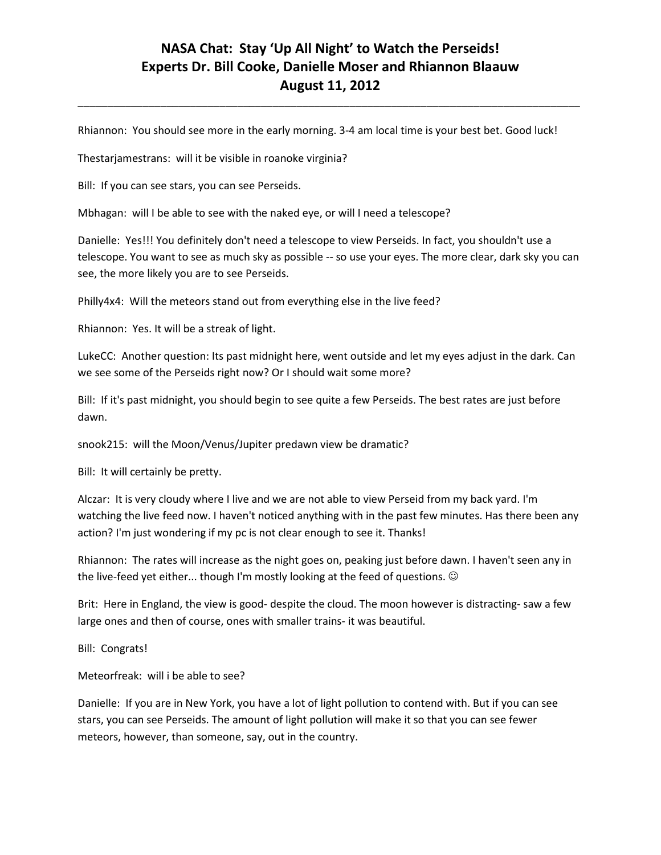\_\_\_\_\_\_\_\_\_\_\_\_\_\_\_\_\_\_\_\_\_\_\_\_\_\_\_\_\_\_\_\_\_\_\_\_\_\_\_\_\_\_\_\_\_\_\_\_\_\_\_\_\_\_\_\_\_\_\_\_\_\_\_\_\_\_\_\_\_\_\_\_\_\_\_\_\_\_\_\_\_\_\_\_\_

Rhiannon: You should see more in the early morning. 3-4 am local time is your best bet. Good luck!

Thestarjamestrans: will it be visible in roanoke virginia?

Bill: If you can see stars, you can see Perseids.

Mbhagan: will I be able to see with the naked eye, or will I need a telescope?

Danielle: Yes!!! You definitely don't need a telescope to view Perseids. In fact, you shouldn't use a telescope. You want to see as much sky as possible -- so use your eyes. The more clear, dark sky you can see, the more likely you are to see Perseids.

Philly4x4: Will the meteors stand out from everything else in the live feed?

Rhiannon: Yes. It will be a streak of light.

LukeCC: Another question: Its past midnight here, went outside and let my eyes adjust in the dark. Can we see some of the Perseids right now? Or I should wait some more?

Bill: If it's past midnight, you should begin to see quite a few Perseids. The best rates are just before dawn.

snook215: will the Moon/Venus/Jupiter predawn view be dramatic?

Bill: It will certainly be pretty.

Alczar: It is very cloudy where I live and we are not able to view Perseid from my back yard. I'm watching the live feed now. I haven't noticed anything with in the past few minutes. Has there been any action? I'm just wondering if my pc is not clear enough to see it. Thanks!

Rhiannon: The rates will increase as the night goes on, peaking just before dawn. I haven't seen any in the live-feed yet either... though I'm mostly looking at the feed of questions.  $\odot$ 

Brit: Here in England, the view is good- despite the cloud. The moon however is distracting- saw a few large ones and then of course, ones with smaller trains- it was beautiful.

Bill: Congrats!

Meteorfreak: will i be able to see?

Danielle: If you are in New York, you have a lot of light pollution to contend with. But if you can see stars, you can see Perseids. The amount of light pollution will make it so that you can see fewer meteors, however, than someone, say, out in the country.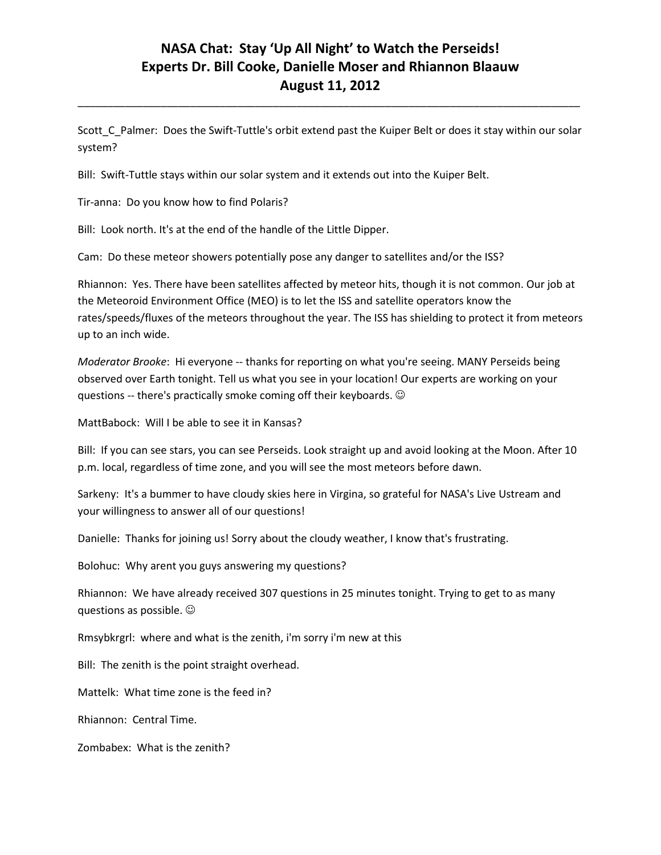Scott\_C\_Palmer: Does the Swift-Tuttle's orbit extend past the Kuiper Belt or does it stay within our solar system?

\_\_\_\_\_\_\_\_\_\_\_\_\_\_\_\_\_\_\_\_\_\_\_\_\_\_\_\_\_\_\_\_\_\_\_\_\_\_\_\_\_\_\_\_\_\_\_\_\_\_\_\_\_\_\_\_\_\_\_\_\_\_\_\_\_\_\_\_\_\_\_\_\_\_\_\_\_\_\_\_\_\_\_\_\_

Bill: Swift-Tuttle stays within our solar system and it extends out into the Kuiper Belt.

Tir-anna: Do you know how to find Polaris?

Bill: Look north. It's at the end of the handle of the Little Dipper.

Cam: Do these meteor showers potentially pose any danger to satellites and/or the ISS?

Rhiannon: Yes. There have been satellites affected by meteor hits, though it is not common. Our job at the Meteoroid Environment Office (MEO) is to let the ISS and satellite operators know the rates/speeds/fluxes of the meteors throughout the year. The ISS has shielding to protect it from meteors up to an inch wide.

*Moderator Brooke*: Hi everyone -- thanks for reporting on what you're seeing. MANY Perseids being observed over Earth tonight. Tell us what you see in your location! Our experts are working on your questions -- there's practically smoke coming off their keyboards.

MattBabock: Will I be able to see it in Kansas?

Bill: If you can see stars, you can see Perseids. Look straight up and avoid looking at the Moon. After 10 p.m. local, regardless of time zone, and you will see the most meteors before dawn.

Sarkeny: It's a bummer to have cloudy skies here in Virgina, so grateful for NASA's Live Ustream and your willingness to answer all of our questions!

Danielle: Thanks for joining us! Sorry about the cloudy weather, I know that's frustrating.

Bolohuc: Why arent you guys answering my questions?

Rhiannon: We have already received 307 questions in 25 minutes tonight. Trying to get to as many questions as possible.

Rmsybkrgrl: where and what is the zenith, i'm sorry i'm new at this

Bill: The zenith is the point straight overhead.

Mattelk: What time zone is the feed in?

Rhiannon: Central Time.

Zombabex: What is the zenith?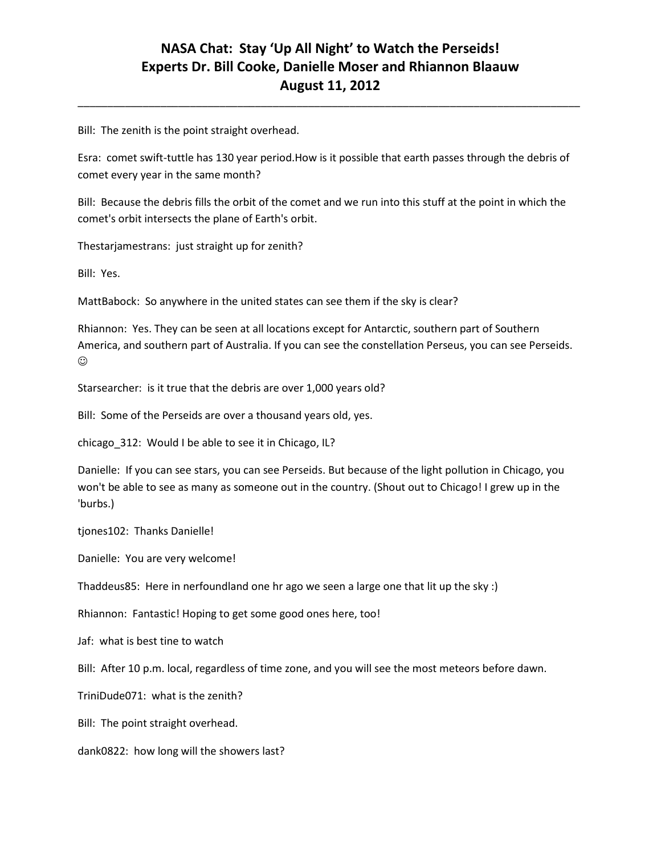\_\_\_\_\_\_\_\_\_\_\_\_\_\_\_\_\_\_\_\_\_\_\_\_\_\_\_\_\_\_\_\_\_\_\_\_\_\_\_\_\_\_\_\_\_\_\_\_\_\_\_\_\_\_\_\_\_\_\_\_\_\_\_\_\_\_\_\_\_\_\_\_\_\_\_\_\_\_\_\_\_\_\_\_\_

Bill: The zenith is the point straight overhead.

Esra: comet swift-tuttle has 130 year period.How is it possible that earth passes through the debris of comet every year in the same month?

Bill: Because the debris fills the orbit of the comet and we run into this stuff at the point in which the comet's orbit intersects the plane of Earth's orbit.

Thestarjamestrans: just straight up for zenith?

Bill: Yes.

MattBabock: So anywhere in the united states can see them if the sky is clear?

Rhiannon: Yes. They can be seen at all locations except for Antarctic, southern part of Southern America, and southern part of Australia. If you can see the constellation Perseus, you can see Perseids.  $\odot$ 

Starsearcher: is it true that the debris are over 1,000 years old?

Bill: Some of the Perseids are over a thousand years old, yes.

chicago\_312: Would I be able to see it in Chicago, IL?

Danielle: If you can see stars, you can see Perseids. But because of the light pollution in Chicago, you won't be able to see as many as someone out in the country. (Shout out to Chicago! I grew up in the 'burbs.)

tjones102: Thanks Danielle!

Danielle: You are very welcome!

Thaddeus85: Here in nerfoundland one hr ago we seen a large one that lit up the sky :)

Rhiannon: Fantastic! Hoping to get some good ones here, too!

Jaf: what is best tine to watch

Bill: After 10 p.m. local, regardless of time zone, and you will see the most meteors before dawn.

TriniDude071: what is the zenith?

Bill: The point straight overhead.

dank0822: how long will the showers last?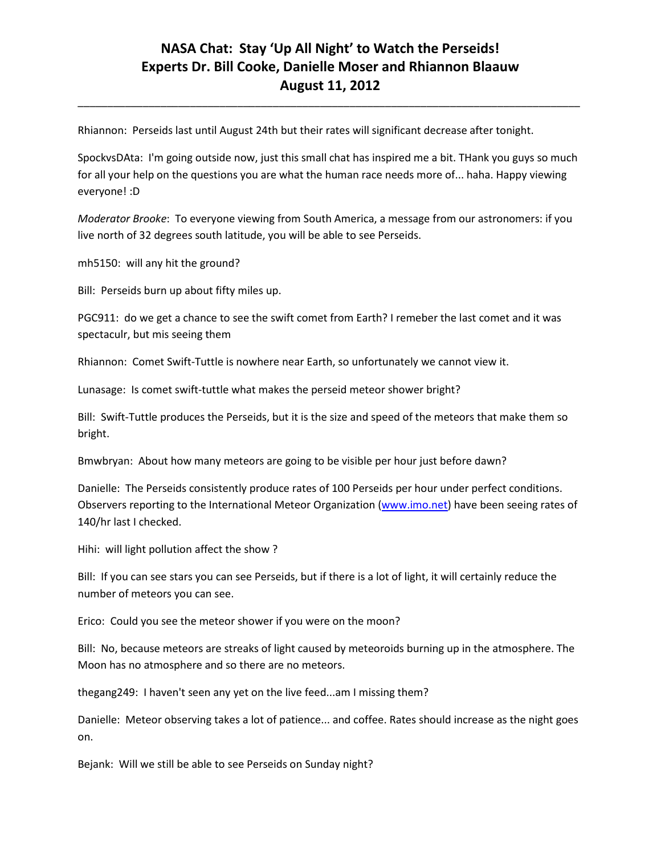\_\_\_\_\_\_\_\_\_\_\_\_\_\_\_\_\_\_\_\_\_\_\_\_\_\_\_\_\_\_\_\_\_\_\_\_\_\_\_\_\_\_\_\_\_\_\_\_\_\_\_\_\_\_\_\_\_\_\_\_\_\_\_\_\_\_\_\_\_\_\_\_\_\_\_\_\_\_\_\_\_\_\_\_\_

Rhiannon: Perseids last until August 24th but their rates will significant decrease after tonight.

SpockvsDAta: I'm going outside now, just this small chat has inspired me a bit. THank you guys so much for all your help on the questions you are what the human race needs more of... haha. Happy viewing everyone! :D

*Moderator Brooke*: To everyone viewing from South America, a message from our astronomers: if you live north of 32 degrees south latitude, you will be able to see Perseids.

mh5150: will any hit the ground?

Bill: Perseids burn up about fifty miles up.

PGC911: do we get a chance to see the swift comet from Earth? I remeber the last comet and it was spectaculr, but mis seeing them

Rhiannon: Comet Swift-Tuttle is nowhere near Earth, so unfortunately we cannot view it.

Lunasage: Is comet swift-tuttle what makes the perseid meteor shower bright?

Bill: Swift-Tuttle produces the Perseids, but it is the size and speed of the meteors that make them so bright.

Bmwbryan: About how many meteors are going to be visible per hour just before dawn?

Danielle: The Perseids consistently produce rates of 100 Perseids per hour under perfect conditions. Observers reporting to the International Meteor Organization (www.imo.net) have been seeing rates of 140/hr last I checked.

Hihi: will light pollution affect the show ?

Bill: If you can see stars you can see Perseids, but if there is a lot of light, it will certainly reduce the number of meteors you can see.

Erico: Could you see the meteor shower if you were on the moon?

Bill: No, because meteors are streaks of light caused by meteoroids burning up in the atmosphere. The Moon has no atmosphere and so there are no meteors.

thegang249: I haven't seen any yet on the live feed...am I missing them?

Danielle: Meteor observing takes a lot of patience... and coffee. Rates should increase as the night goes on.

Bejank: Will we still be able to see Perseids on Sunday night?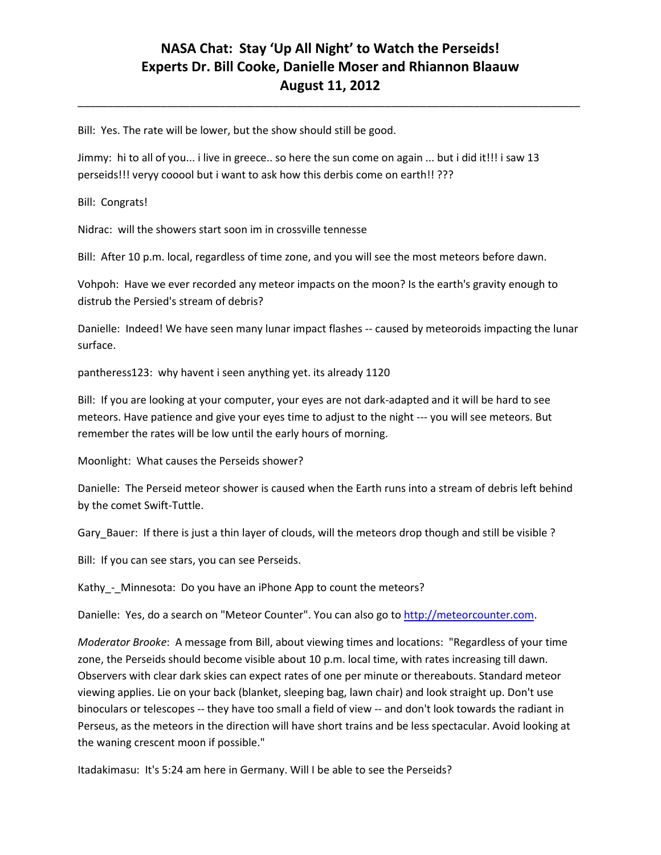\_\_\_\_\_\_\_\_\_\_\_\_\_\_\_\_\_\_\_\_\_\_\_\_\_\_\_\_\_\_\_\_\_\_\_\_\_\_\_\_\_\_\_\_\_\_\_\_\_\_\_\_\_\_\_\_\_\_\_\_\_\_\_\_\_\_\_\_\_\_\_\_\_\_\_\_\_\_\_\_\_\_\_\_\_

Bill: Yes. The rate will be lower, but the show should still be good.

Jimmy: hi to all of you... i live in greece.. so here the sun come on again ... but i did it!!! i saw 13 perseids!!! veryy cooool but i want to ask how this derbis come on earth!! ???

Bill: Congrats!

Nidrac: will the showers start soon im in crossville tennesse

Bill: After 10 p.m. local, regardless of time zone, and you will see the most meteors before dawn.

Vohpoh: Have we ever recorded any meteor impacts on the moon? Is the earth's gravity enough to distrub the Persied's stream of debris?

Danielle: Indeed! We have seen many lunar impact flashes -- caused by meteoroids impacting the lunar surface.

pantheress123: why havent i seen anything yet. its already 1120

Bill: If you are looking at your computer, your eyes are not dark-adapted and it will be hard to see meteors. Have patience and give your eyes time to adjust to the night --- you will see meteors. But remember the rates will be low until the early hours of morning.

Moonlight: What causes the Perseids shower?

Danielle: The Perseid meteor shower is caused when the Earth runs into a stream of debris left behind by the comet Swift-Tuttle.

Gary\_Bauer: If there is just a thin layer of clouds, will the meteors drop though and still be visible ?

Bill: If you can see stars, you can see Perseids.

Kathy - Minnesota: Do you have an iPhone App to count the meteors?

Danielle: Yes, do a search on "Meteor Counter". You can also go to [http://meteorcounter.com.](http://meteorcounter.com/)

*Moderator Brooke*: A message from Bill, about viewing times and locations: "Regardless of your time zone, the Perseids should become visible about 10 p.m. local time, with rates increasing till dawn. Observers with clear dark skies can expect rates of one per minute or thereabouts. Standard meteor viewing applies. Lie on your back (blanket, sleeping bag, lawn chair) and look straight up. Don't use binoculars or telescopes -- they have too small a field of view -- and don't look towards the radiant in Perseus, as the meteors in the direction will have short trains and be less spectacular. Avoid looking at the waning crescent moon if possible."

Itadakimasu: It's 5:24 am here in Germany. Will I be able to see the Perseids?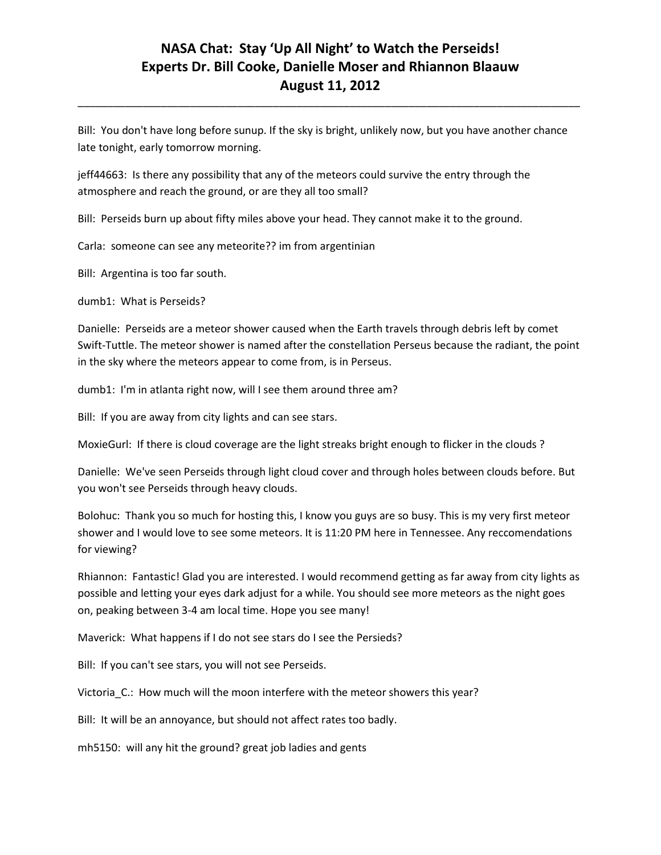\_\_\_\_\_\_\_\_\_\_\_\_\_\_\_\_\_\_\_\_\_\_\_\_\_\_\_\_\_\_\_\_\_\_\_\_\_\_\_\_\_\_\_\_\_\_\_\_\_\_\_\_\_\_\_\_\_\_\_\_\_\_\_\_\_\_\_\_\_\_\_\_\_\_\_\_\_\_\_\_\_\_\_\_\_

Bill: You don't have long before sunup. If the sky is bright, unlikely now, but you have another chance late tonight, early tomorrow morning.

jeff44663: Is there any possibility that any of the meteors could survive the entry through the atmosphere and reach the ground, or are they all too small?

Bill: Perseids burn up about fifty miles above your head. They cannot make it to the ground.

Carla: someone can see any meteorite?? im from argentinian

Bill: Argentina is too far south.

dumb1: What is Perseids?

Danielle: Perseids are a meteor shower caused when the Earth travels through debris left by comet Swift-Tuttle. The meteor shower is named after the constellation Perseus because the radiant, the point in the sky where the meteors appear to come from, is in Perseus.

dumb1: I'm in atlanta right now, will I see them around three am?

Bill: If you are away from city lights and can see stars.

MoxieGurl: If there is cloud coverage are the light streaks bright enough to flicker in the clouds ?

Danielle: We've seen Perseids through light cloud cover and through holes between clouds before. But you won't see Perseids through heavy clouds.

Bolohuc: Thank you so much for hosting this, I know you guys are so busy. This is my very first meteor shower and I would love to see some meteors. It is 11:20 PM here in Tennessee. Any reccomendations for viewing?

Rhiannon: Fantastic! Glad you are interested. I would recommend getting as far away from city lights as possible and letting your eyes dark adjust for a while. You should see more meteors as the night goes on, peaking between 3-4 am local time. Hope you see many!

Maverick: What happens if I do not see stars do I see the Persieds?

Bill: If you can't see stars, you will not see Perseids.

Victoria\_C.: How much will the moon interfere with the meteor showers this year?

Bill: It will be an annoyance, but should not affect rates too badly.

mh5150: will any hit the ground? great job ladies and gents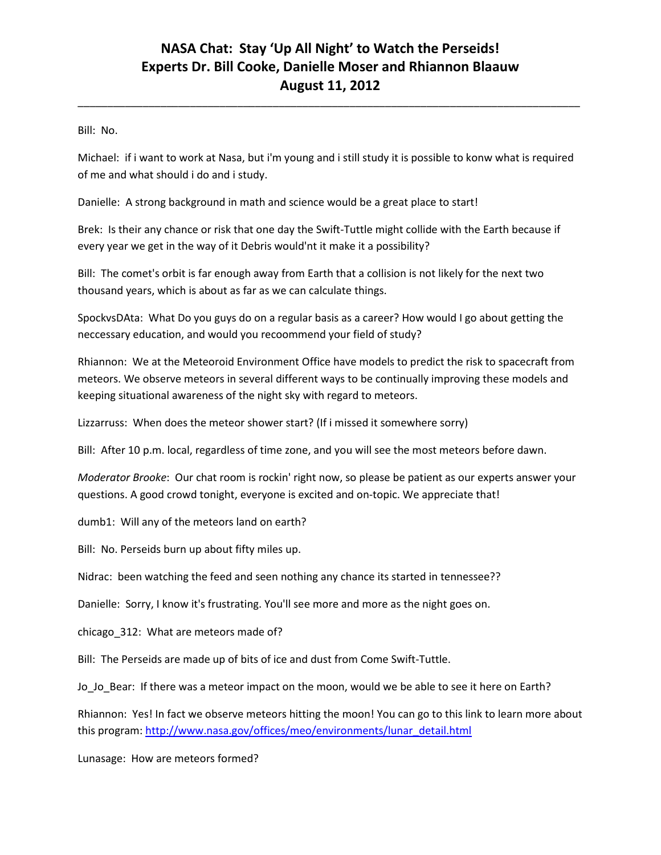\_\_\_\_\_\_\_\_\_\_\_\_\_\_\_\_\_\_\_\_\_\_\_\_\_\_\_\_\_\_\_\_\_\_\_\_\_\_\_\_\_\_\_\_\_\_\_\_\_\_\_\_\_\_\_\_\_\_\_\_\_\_\_\_\_\_\_\_\_\_\_\_\_\_\_\_\_\_\_\_\_\_\_\_\_

Bill: No.

Michael: if i want to work at Nasa, but i'm young and i still study it is possible to konw what is required of me and what should i do and i study.

Danielle: A strong background in math and science would be a great place to start!

Brek: Is their any chance or risk that one day the Swift-Tuttle might collide with the Earth because if every year we get in the way of it Debris would'nt it make it a possibility?

Bill: The comet's orbit is far enough away from Earth that a collision is not likely for the next two thousand years, which is about as far as we can calculate things.

SpockvsDAta: What Do you guys do on a regular basis as a career? How would I go about getting the neccessary education, and would you recoommend your field of study?

Rhiannon: We at the Meteoroid Environment Office have models to predict the risk to spacecraft from meteors. We observe meteors in several different ways to be continually improving these models and keeping situational awareness of the night sky with regard to meteors.

Lizzarruss: When does the meteor shower start? (If i missed it somewhere sorry)

Bill: After 10 p.m. local, regardless of time zone, and you will see the most meteors before dawn.

*Moderator Brooke*: Our chat room is rockin' right now, so please be patient as our experts answer your questions. A good crowd tonight, everyone is excited and on-topic. We appreciate that!

dumb1: Will any of the meteors land on earth?

Bill: No. Perseids burn up about fifty miles up.

Nidrac: been watching the feed and seen nothing any chance its started in tennessee??

Danielle: Sorry, I know it's frustrating. You'll see more and more as the night goes on.

chicago\_312: What are meteors made of?

Bill: The Perseids are made up of bits of ice and dust from Come Swift-Tuttle.

Jo\_Jo\_Bear: If there was a meteor impact on the moon, would we be able to see it here on Earth?

Rhiannon: Yes! In fact we observe meteors hitting the moon! You can go to this link to learn more about this program: [http://www.nasa.gov/offices/meo/environments/lunar\\_detail.html](http://www.nasa.gov/offices/meo/environments/lunar_detail.html)

Lunasage: How are meteors formed?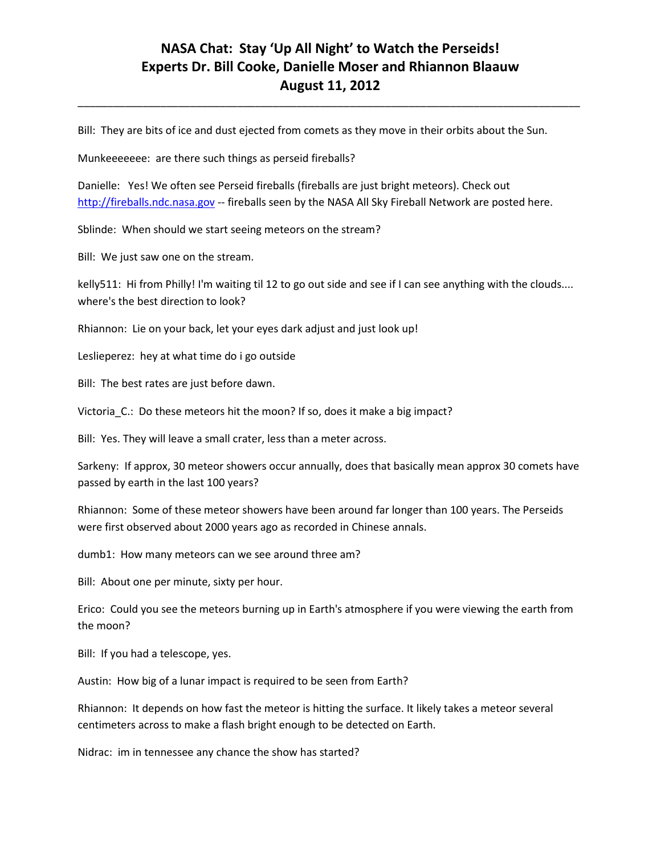\_\_\_\_\_\_\_\_\_\_\_\_\_\_\_\_\_\_\_\_\_\_\_\_\_\_\_\_\_\_\_\_\_\_\_\_\_\_\_\_\_\_\_\_\_\_\_\_\_\_\_\_\_\_\_\_\_\_\_\_\_\_\_\_\_\_\_\_\_\_\_\_\_\_\_\_\_\_\_\_\_\_\_\_\_

Bill: They are bits of ice and dust ejected from comets as they move in their orbits about the Sun.

Munkeeeeeee: are there such things as perseid fireballs?

Danielle: Yes! We often see Perseid fireballs (fireballs are just bright meteors). Check out [http://fireballs.ndc.nasa.gov](http://fireballs.ndc.nasa.gov/) -- fireballs seen by the NASA All Sky Fireball Network are posted here.

Sblinde: When should we start seeing meteors on the stream?

Bill: We just saw one on the stream.

kelly511: Hi from Philly! I'm waiting til 12 to go out side and see if I can see anything with the clouds.... where's the best direction to look?

Rhiannon: Lie on your back, let your eyes dark adjust and just look up!

Leslieperez: hey at what time do i go outside

Bill: The best rates are just before dawn.

Victoria\_C.: Do these meteors hit the moon? If so, does it make a big impact?

Bill: Yes. They will leave a small crater, less than a meter across.

Sarkeny: If approx, 30 meteor showers occur annually, does that basically mean approx 30 comets have passed by earth in the last 100 years?

Rhiannon: Some of these meteor showers have been around far longer than 100 years. The Perseids were first observed about 2000 years ago as recorded in Chinese annals.

dumb1: How many meteors can we see around three am?

Bill: About one per minute, sixty per hour.

Erico: Could you see the meteors burning up in Earth's atmosphere if you were viewing the earth from the moon?

Bill: If you had a telescope, yes.

Austin: How big of a lunar impact is required to be seen from Earth?

Rhiannon: It depends on how fast the meteor is hitting the surface. It likely takes a meteor several centimeters across to make a flash bright enough to be detected on Earth.

Nidrac: im in tennessee any chance the show has started?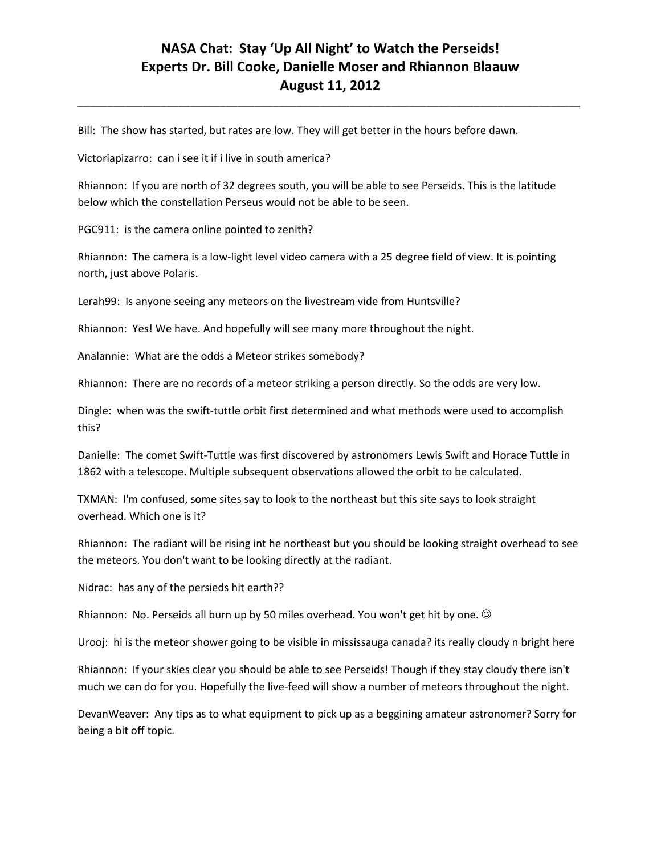\_\_\_\_\_\_\_\_\_\_\_\_\_\_\_\_\_\_\_\_\_\_\_\_\_\_\_\_\_\_\_\_\_\_\_\_\_\_\_\_\_\_\_\_\_\_\_\_\_\_\_\_\_\_\_\_\_\_\_\_\_\_\_\_\_\_\_\_\_\_\_\_\_\_\_\_\_\_\_\_\_\_\_\_\_

Bill: The show has started, but rates are low. They will get better in the hours before dawn.

Victoriapizarro: can i see it if i live in south america?

Rhiannon: If you are north of 32 degrees south, you will be able to see Perseids. This is the latitude below which the constellation Perseus would not be able to be seen.

PGC911: is the camera online pointed to zenith?

Rhiannon: The camera is a low-light level video camera with a 25 degree field of view. It is pointing north, just above Polaris.

Lerah99: Is anyone seeing any meteors on the livestream vide from Huntsville?

Rhiannon: Yes! We have. And hopefully will see many more throughout the night.

Analannie: What are the odds a Meteor strikes somebody?

Rhiannon: There are no records of a meteor striking a person directly. So the odds are very low.

Dingle: when was the swift-tuttle orbit first determined and what methods were used to accomplish this?

Danielle: The comet Swift-Tuttle was first discovered by astronomers Lewis Swift and Horace Tuttle in 1862 with a telescope. Multiple subsequent observations allowed the orbit to be calculated.

TXMAN: I'm confused, some sites say to look to the northeast but this site says to look straight overhead. Which one is it?

Rhiannon: The radiant will be rising int he northeast but you should be looking straight overhead to see the meteors. You don't want to be looking directly at the radiant.

Nidrac: has any of the persieds hit earth??

Rhiannon: No. Perseids all burn up by 50 miles overhead. You won't get hit by one.

Urooj: hi is the meteor shower going to be visible in mississauga canada? its really cloudy n bright here

Rhiannon: If your skies clear you should be able to see Perseids! Though if they stay cloudy there isn't much we can do for you. Hopefully the live-feed will show a number of meteors throughout the night.

DevanWeaver: Any tips as to what equipment to pick up as a beggining amateur astronomer? Sorry for being a bit off topic.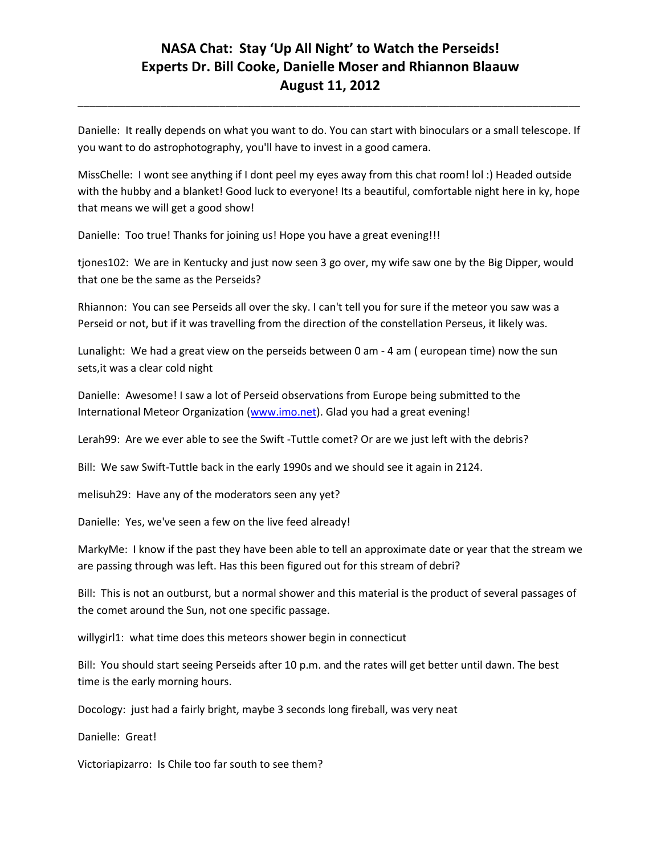Danielle: It really depends on what you want to do. You can start with binoculars or a small telescope. If you want to do astrophotography, you'll have to invest in a good camera.

\_\_\_\_\_\_\_\_\_\_\_\_\_\_\_\_\_\_\_\_\_\_\_\_\_\_\_\_\_\_\_\_\_\_\_\_\_\_\_\_\_\_\_\_\_\_\_\_\_\_\_\_\_\_\_\_\_\_\_\_\_\_\_\_\_\_\_\_\_\_\_\_\_\_\_\_\_\_\_\_\_\_\_\_\_

MissChelle: I wont see anything if I dont peel my eyes away from this chat room! lol :) Headed outside with the hubby and a blanket! Good luck to everyone! Its a beautiful, comfortable night here in ky, hope that means we will get a good show!

Danielle: Too true! Thanks for joining us! Hope you have a great evening!!!

tjones102: We are in Kentucky and just now seen 3 go over, my wife saw one by the Big Dipper, would that one be the same as the Perseids?

Rhiannon: You can see Perseids all over the sky. I can't tell you for sure if the meteor you saw was a Perseid or not, but if it was travelling from the direction of the constellation Perseus, it likely was.

Lunalight: We had a great view on the perseids between 0 am - 4 am ( european time) now the sun sets,it was a clear cold night

Danielle: Awesome! I saw a lot of Perseid observations from Europe being submitted to the International Meteor Organization (www.imo.net). Glad you had a great evening!

Lerah99: Are we ever able to see the Swift -Tuttle comet? Or are we just left with the debris?

Bill: We saw Swift-Tuttle back in the early 1990s and we should see it again in 2124.

melisuh29: Have any of the moderators seen any yet?

Danielle: Yes, we've seen a few on the live feed already!

MarkyMe: I know if the past they have been able to tell an approximate date or year that the stream we are passing through was left. Has this been figured out for this stream of debri?

Bill: This is not an outburst, but a normal shower and this material is the product of several passages of the comet around the Sun, not one specific passage.

willygirl1: what time does this meteors shower begin in connecticut

Bill: You should start seeing Perseids after 10 p.m. and the rates will get better until dawn. The best time is the early morning hours.

Docology: just had a fairly bright, maybe 3 seconds long fireball, was very neat

Danielle: Great!

Victoriapizarro: Is Chile too far south to see them?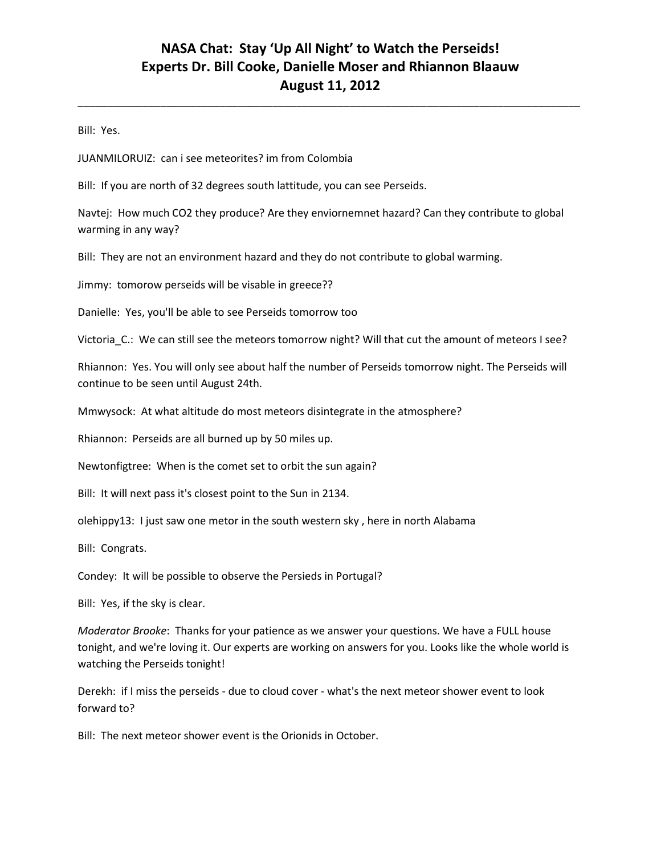\_\_\_\_\_\_\_\_\_\_\_\_\_\_\_\_\_\_\_\_\_\_\_\_\_\_\_\_\_\_\_\_\_\_\_\_\_\_\_\_\_\_\_\_\_\_\_\_\_\_\_\_\_\_\_\_\_\_\_\_\_\_\_\_\_\_\_\_\_\_\_\_\_\_\_\_\_\_\_\_\_\_\_\_\_

Bill: Yes.

JUANMILORUIZ: can i see meteorites? im from Colombia

Bill: If you are north of 32 degrees south lattitude, you can see Perseids.

Navtej: How much CO2 they produce? Are they enviornemnet hazard? Can they contribute to global warming in any way?

Bill: They are not an environment hazard and they do not contribute to global warming.

Jimmy: tomorow perseids will be visable in greece??

Danielle: Yes, you'll be able to see Perseids tomorrow too

Victoria\_C.: We can still see the meteors tomorrow night? Will that cut the amount of meteors I see?

Rhiannon: Yes. You will only see about half the number of Perseids tomorrow night. The Perseids will continue to be seen until August 24th.

Mmwysock: At what altitude do most meteors disintegrate in the atmosphere?

Rhiannon: Perseids are all burned up by 50 miles up.

Newtonfigtree: When is the comet set to orbit the sun again?

Bill: It will next pass it's closest point to the Sun in 2134.

olehippy13: I just saw one metor in the south western sky , here in north Alabama

Bill: Congrats.

Condey: It will be possible to observe the Persieds in Portugal?

Bill: Yes, if the sky is clear.

*Moderator Brooke*: Thanks for your patience as we answer your questions. We have a FULL house tonight, and we're loving it. Our experts are working on answers for you. Looks like the whole world is watching the Perseids tonight!

Derekh: if I miss the perseids - due to cloud cover - what's the next meteor shower event to look forward to?

Bill: The next meteor shower event is the Orionids in October.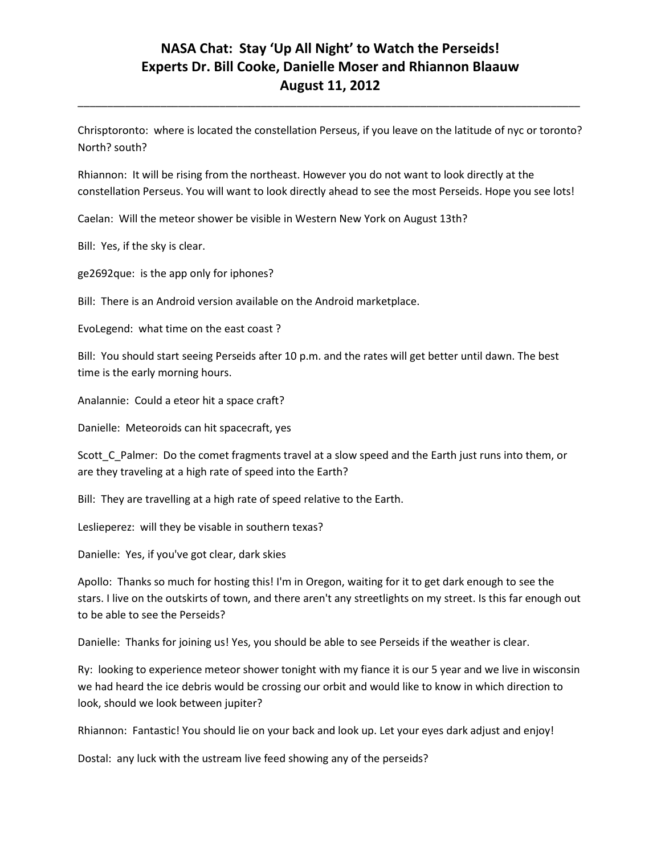\_\_\_\_\_\_\_\_\_\_\_\_\_\_\_\_\_\_\_\_\_\_\_\_\_\_\_\_\_\_\_\_\_\_\_\_\_\_\_\_\_\_\_\_\_\_\_\_\_\_\_\_\_\_\_\_\_\_\_\_\_\_\_\_\_\_\_\_\_\_\_\_\_\_\_\_\_\_\_\_\_\_\_\_\_

Chrisptoronto: where is located the constellation Perseus, if you leave on the latitude of nyc or toronto? North? south?

Rhiannon: It will be rising from the northeast. However you do not want to look directly at the constellation Perseus. You will want to look directly ahead to see the most Perseids. Hope you see lots!

Caelan: Will the meteor shower be visible in Western New York on August 13th?

Bill: Yes, if the sky is clear.

ge2692que: is the app only for iphones?

Bill: There is an Android version available on the Android marketplace.

EvoLegend: what time on the east coast ?

Bill: You should start seeing Perseids after 10 p.m. and the rates will get better until dawn. The best time is the early morning hours.

Analannie: Could a eteor hit a space craft?

Danielle: Meteoroids can hit spacecraft, yes

Scott\_C\_Palmer: Do the comet fragments travel at a slow speed and the Earth just runs into them, or are they traveling at a high rate of speed into the Earth?

Bill: They are travelling at a high rate of speed relative to the Earth.

Leslieperez: will they be visable in southern texas?

Danielle: Yes, if you've got clear, dark skies

Apollo: Thanks so much for hosting this! I'm in Oregon, waiting for it to get dark enough to see the stars. I live on the outskirts of town, and there aren't any streetlights on my street. Is this far enough out to be able to see the Perseids?

Danielle: Thanks for joining us! Yes, you should be able to see Perseids if the weather is clear.

Ry: looking to experience meteor shower tonight with my fiance it is our 5 year and we live in wisconsin we had heard the ice debris would be crossing our orbit and would like to know in which direction to look, should we look between jupiter?

Rhiannon: Fantastic! You should lie on your back and look up. Let your eyes dark adjust and enjoy!

Dostal: any luck with the ustream live feed showing any of the perseids?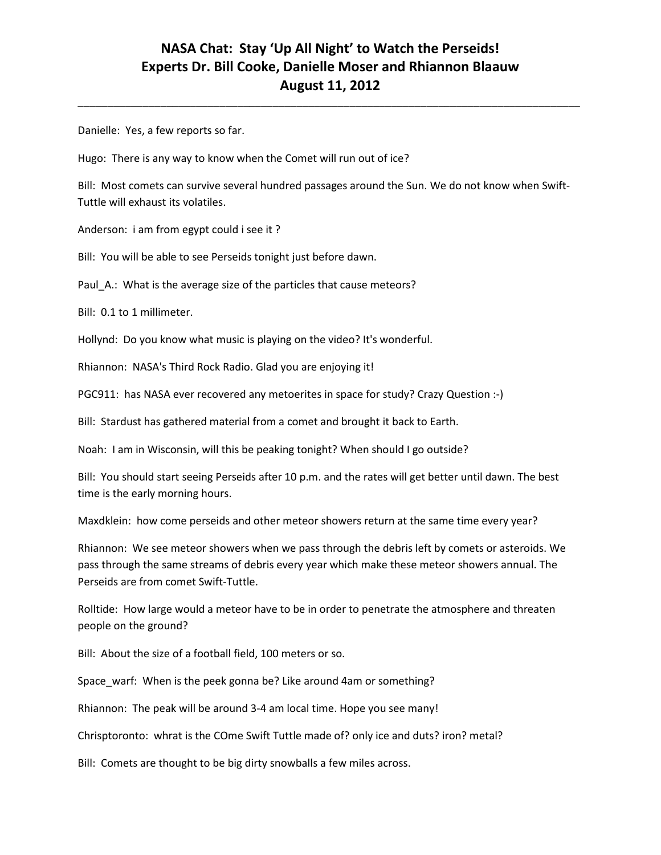\_\_\_\_\_\_\_\_\_\_\_\_\_\_\_\_\_\_\_\_\_\_\_\_\_\_\_\_\_\_\_\_\_\_\_\_\_\_\_\_\_\_\_\_\_\_\_\_\_\_\_\_\_\_\_\_\_\_\_\_\_\_\_\_\_\_\_\_\_\_\_\_\_\_\_\_\_\_\_\_\_\_\_\_\_

Danielle: Yes, a few reports so far.

Hugo: There is any way to know when the Comet will run out of ice?

Bill: Most comets can survive several hundred passages around the Sun. We do not know when Swift-Tuttle will exhaust its volatiles.

Anderson: i am from egypt could i see it ?

Bill: You will be able to see Perseids tonight just before dawn.

Paul A.: What is the average size of the particles that cause meteors?

Bill: 0.1 to 1 millimeter.

Hollynd: Do you know what music is playing on the video? It's wonderful.

Rhiannon: NASA's Third Rock Radio. Glad you are enjoying it!

PGC911: has NASA ever recovered any metoerites in space for study? Crazy Question :-)

Bill: Stardust has gathered material from a comet and brought it back to Earth.

Noah: I am in Wisconsin, will this be peaking tonight? When should I go outside?

Bill: You should start seeing Perseids after 10 p.m. and the rates will get better until dawn. The best time is the early morning hours.

Maxdklein: how come perseids and other meteor showers return at the same time every year?

Rhiannon: We see meteor showers when we pass through the debris left by comets or asteroids. We pass through the same streams of debris every year which make these meteor showers annual. The Perseids are from comet Swift-Tuttle.

Rolltide: How large would a meteor have to be in order to penetrate the atmosphere and threaten people on the ground?

Bill: About the size of a football field, 100 meters or so.

Space\_warf: When is the peek gonna be? Like around 4am or something?

Rhiannon: The peak will be around 3-4 am local time. Hope you see many!

Chrisptoronto: whrat is the COme Swift Tuttle made of? only ice and duts? iron? metal?

Bill: Comets are thought to be big dirty snowballs a few miles across.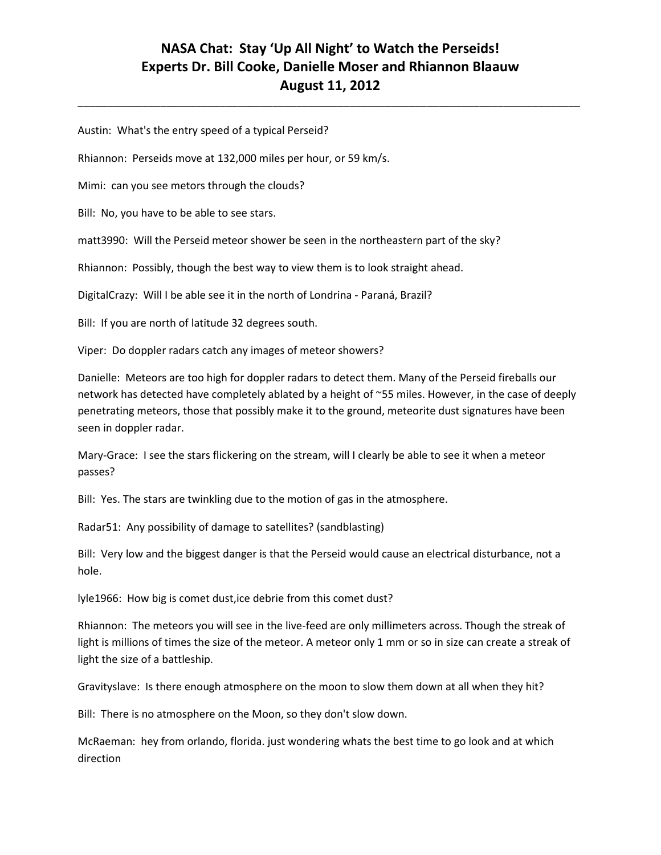\_\_\_\_\_\_\_\_\_\_\_\_\_\_\_\_\_\_\_\_\_\_\_\_\_\_\_\_\_\_\_\_\_\_\_\_\_\_\_\_\_\_\_\_\_\_\_\_\_\_\_\_\_\_\_\_\_\_\_\_\_\_\_\_\_\_\_\_\_\_\_\_\_\_\_\_\_\_\_\_\_\_\_\_\_

Austin: What's the entry speed of a typical Perseid?

Rhiannon: Perseids move at 132,000 miles per hour, or 59 km/s.

Mimi: can you see metors through the clouds?

Bill: No, you have to be able to see stars.

matt3990: Will the Perseid meteor shower be seen in the northeastern part of the sky?

Rhiannon: Possibly, though the best way to view them is to look straight ahead.

DigitalCrazy: Will I be able see it in the north of Londrina - Paraná, Brazil?

Bill: If you are north of latitude 32 degrees south.

Viper: Do doppler radars catch any images of meteor showers?

Danielle: Meteors are too high for doppler radars to detect them. Many of the Perseid fireballs our network has detected have completely ablated by a height of ~55 miles. However, in the case of deeply penetrating meteors, those that possibly make it to the ground, meteorite dust signatures have been seen in doppler radar.

Mary-Grace: I see the stars flickering on the stream, will I clearly be able to see it when a meteor passes?

Bill: Yes. The stars are twinkling due to the motion of gas in the atmosphere.

Radar51: Any possibility of damage to satellites? (sandblasting)

Bill: Very low and the biggest danger is that the Perseid would cause an electrical disturbance, not a hole.

lyle1966: How big is comet dust,ice debrie from this comet dust?

Rhiannon: The meteors you will see in the live-feed are only millimeters across. Though the streak of light is millions of times the size of the meteor. A meteor only 1 mm or so in size can create a streak of light the size of a battleship.

Gravityslave: Is there enough atmosphere on the moon to slow them down at all when they hit?

Bill: There is no atmosphere on the Moon, so they don't slow down.

McRaeman: hey from orlando, florida. just wondering whats the best time to go look and at which direction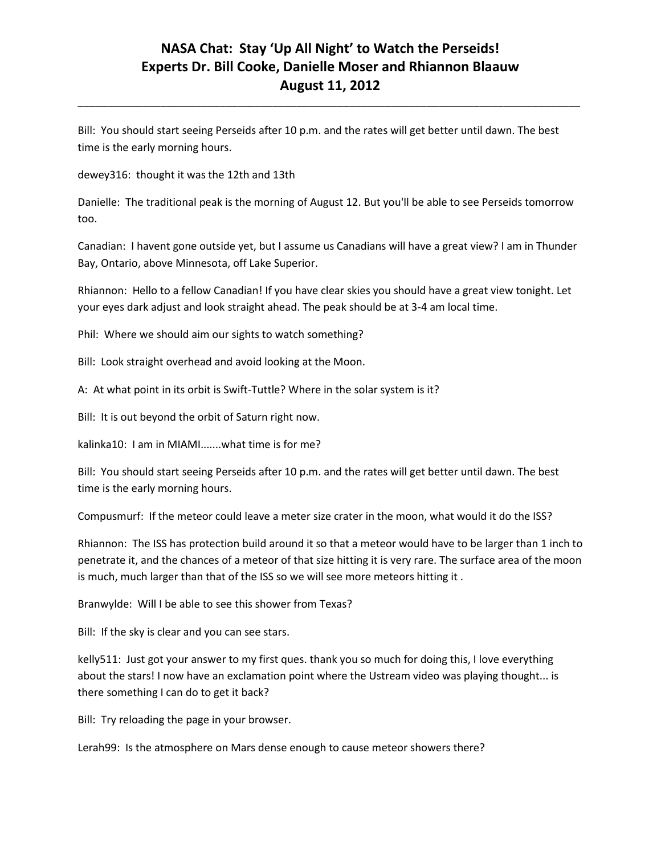\_\_\_\_\_\_\_\_\_\_\_\_\_\_\_\_\_\_\_\_\_\_\_\_\_\_\_\_\_\_\_\_\_\_\_\_\_\_\_\_\_\_\_\_\_\_\_\_\_\_\_\_\_\_\_\_\_\_\_\_\_\_\_\_\_\_\_\_\_\_\_\_\_\_\_\_\_\_\_\_\_\_\_\_\_

Bill: You should start seeing Perseids after 10 p.m. and the rates will get better until dawn. The best time is the early morning hours.

dewey316: thought it was the 12th and 13th

Danielle: The traditional peak is the morning of August 12. But you'll be able to see Perseids tomorrow too.

Canadian: I havent gone outside yet, but I assume us Canadians will have a great view? I am in Thunder Bay, Ontario, above Minnesota, off Lake Superior.

Rhiannon: Hello to a fellow Canadian! If you have clear skies you should have a great view tonight. Let your eyes dark adjust and look straight ahead. The peak should be at 3-4 am local time.

Phil: Where we should aim our sights to watch something?

Bill: Look straight overhead and avoid looking at the Moon.

A: At what point in its orbit is Swift-Tuttle? Where in the solar system is it?

Bill: It is out beyond the orbit of Saturn right now.

kalinka10: I am in MIAMI.......what time is for me?

Bill: You should start seeing Perseids after 10 p.m. and the rates will get better until dawn. The best time is the early morning hours.

Compusmurf: If the meteor could leave a meter size crater in the moon, what would it do the ISS?

Rhiannon: The ISS has protection build around it so that a meteor would have to be larger than 1 inch to penetrate it, and the chances of a meteor of that size hitting it is very rare. The surface area of the moon is much, much larger than that of the ISS so we will see more meteors hitting it .

Branwylde: Will I be able to see this shower from Texas?

Bill: If the sky is clear and you can see stars.

kelly511: Just got your answer to my first ques. thank you so much for doing this, I love everything about the stars! I now have an exclamation point where the Ustream video was playing thought... is there something I can do to get it back?

Bill: Try reloading the page in your browser.

Lerah99: Is the atmosphere on Mars dense enough to cause meteor showers there?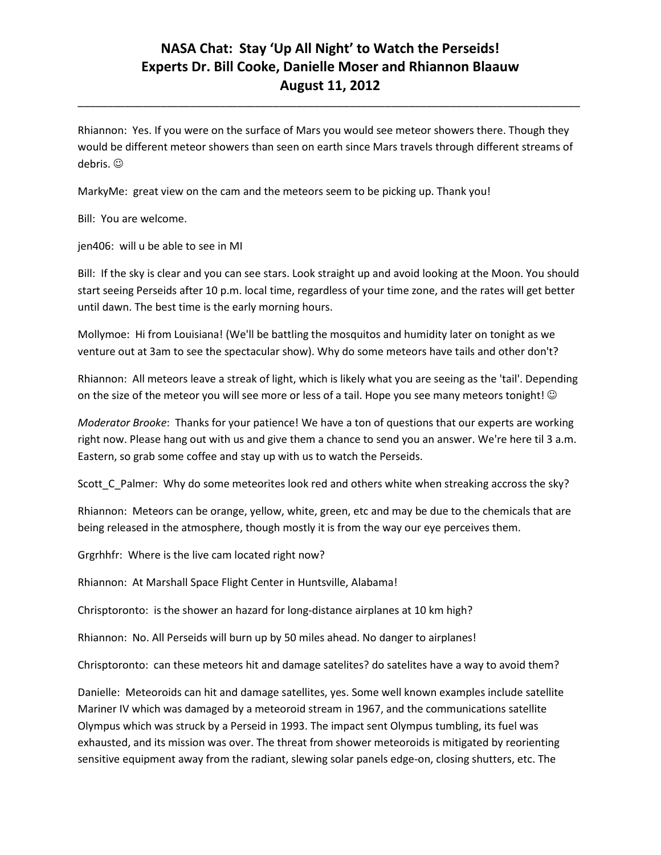\_\_\_\_\_\_\_\_\_\_\_\_\_\_\_\_\_\_\_\_\_\_\_\_\_\_\_\_\_\_\_\_\_\_\_\_\_\_\_\_\_\_\_\_\_\_\_\_\_\_\_\_\_\_\_\_\_\_\_\_\_\_\_\_\_\_\_\_\_\_\_\_\_\_\_\_\_\_\_\_\_\_\_\_\_

Rhiannon: Yes. If you were on the surface of Mars you would see meteor showers there. Though they would be different meteor showers than seen on earth since Mars travels through different streams of debris.  $\odot$ 

MarkyMe: great view on the cam and the meteors seem to be picking up. Thank you!

Bill: You are welcome.

jen406: will u be able to see in MI

Bill: If the sky is clear and you can see stars. Look straight up and avoid looking at the Moon. You should start seeing Perseids after 10 p.m. local time, regardless of your time zone, and the rates will get better until dawn. The best time is the early morning hours.

Mollymoe: Hi from Louisiana! (We'll be battling the mosquitos and humidity later on tonight as we venture out at 3am to see the spectacular show). Why do some meteors have tails and other don't?

Rhiannon: All meteors leave a streak of light, which is likely what you are seeing as the 'tail'. Depending on the size of the meteor you will see more or less of a tail. Hope you see many meteors tonight! ©

*Moderator Brooke*: Thanks for your patience! We have a ton of questions that our experts are working right now. Please hang out with us and give them a chance to send you an answer. We're here til 3 a.m. Eastern, so grab some coffee and stay up with us to watch the Perseids.

Scott\_C\_Palmer: Why do some meteorites look red and others white when streaking accross the sky?

Rhiannon: Meteors can be orange, yellow, white, green, etc and may be due to the chemicals that are being released in the atmosphere, though mostly it is from the way our eye perceives them.

Grgrhhfr: Where is the live cam located right now?

Rhiannon: At Marshall Space Flight Center in Huntsville, Alabama!

Chrisptoronto: is the shower an hazard for long-distance airplanes at 10 km high?

Rhiannon: No. All Perseids will burn up by 50 miles ahead. No danger to airplanes!

Chrisptoronto: can these meteors hit and damage satelites? do satelites have a way to avoid them?

Danielle: Meteoroids can hit and damage satellites, yes. Some well known examples include satellite Mariner IV which was damaged by a meteoroid stream in 1967, and the communications satellite Olympus which was struck by a Perseid in 1993. The impact sent Olympus tumbling, its fuel was exhausted, and its mission was over. The threat from shower meteoroids is mitigated by reorienting sensitive equipment away from the radiant, slewing solar panels edge-on, closing shutters, etc. The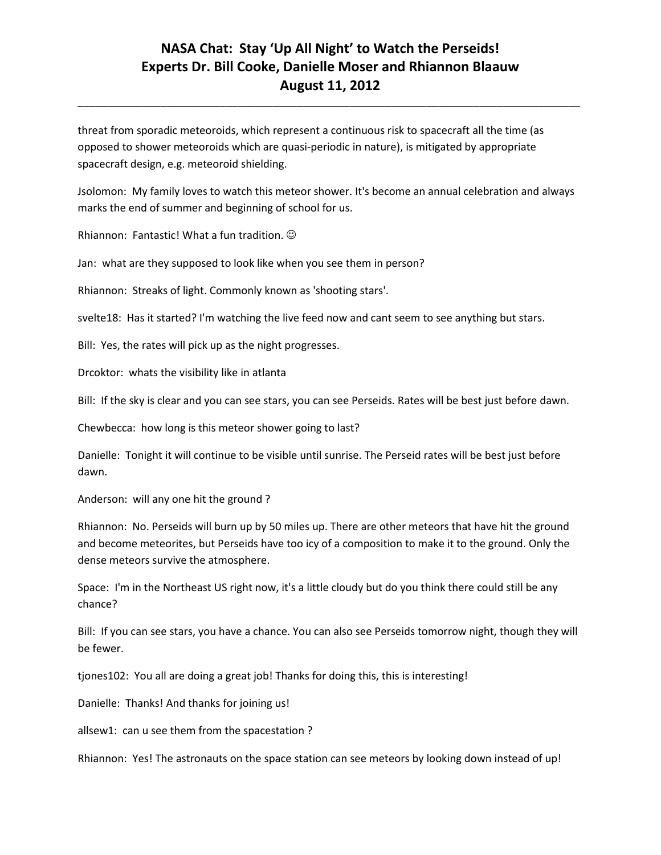\_\_\_\_\_\_\_\_\_\_\_\_\_\_\_\_\_\_\_\_\_\_\_\_\_\_\_\_\_\_\_\_\_\_\_\_\_\_\_\_\_\_\_\_\_\_\_\_\_\_\_\_\_\_\_\_\_\_\_\_\_\_\_\_\_\_\_\_\_\_\_\_\_\_\_\_\_\_\_\_\_\_\_\_\_

threat from sporadic meteoroids, which represent a continuous risk to spacecraft all the time (as opposed to shower meteoroids which are quasi-periodic in nature), is mitigated by appropriate spacecraft design, e.g. meteoroid shielding.

Jsolomon: My family loves to watch this meteor shower. It's become an annual celebration and always marks the end of summer and beginning of school for us.

Rhiannon: Fantastic! What a fun tradition.

Jan: what are they supposed to look like when you see them in person?

Rhiannon: Streaks of light. Commonly known as 'shooting stars'.

svelte18: Has it started? I'm watching the live feed now and cant seem to see anything but stars.

Bill: Yes, the rates will pick up as the night progresses.

Drcoktor: whats the visibility like in atlanta

Bill: If the sky is clear and you can see stars, you can see Perseids. Rates will be best just before dawn.

Chewbecca: how long is this meteor shower going to last?

Danielle: Tonight it will continue to be visible until sunrise. The Perseid rates will be best just before dawn.

Anderson: will any one hit the ground ?

Rhiannon: No. Perseids will burn up by 50 miles up. There are other meteors that have hit the ground and become meteorites, but Perseids have too icy of a composition to make it to the ground. Only the dense meteors survive the atmosphere.

Space: I'm in the Northeast US right now, it's a little cloudy but do you think there could still be any chance?

Bill: If you can see stars, you have a chance. You can also see Perseids tomorrow night, though they will be fewer.

tjones102: You all are doing a great job! Thanks for doing this, this is interesting!

Danielle: Thanks! And thanks for joining us!

allsew1: can u see them from the spacestation ?

Rhiannon: Yes! The astronauts on the space station can see meteors by looking down instead of up!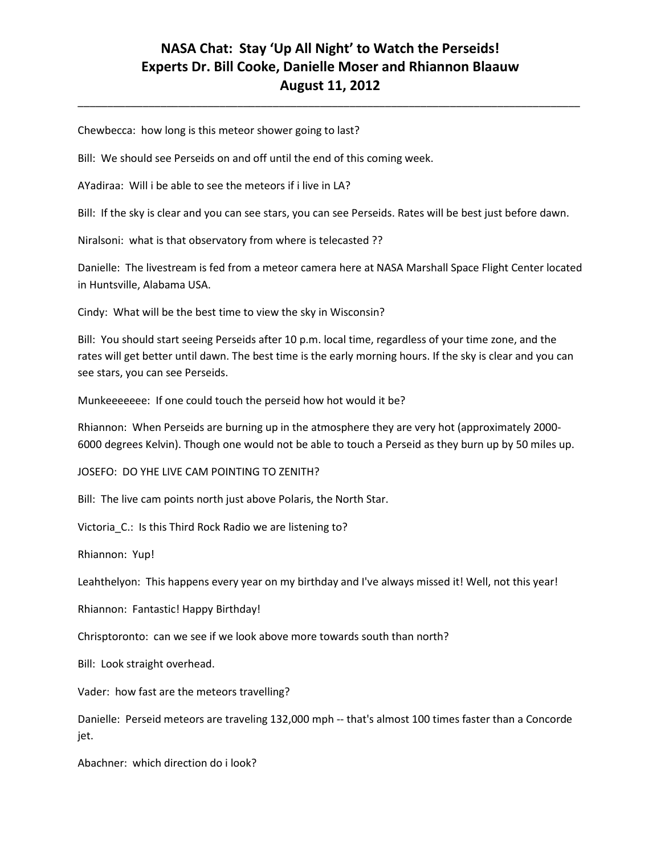\_\_\_\_\_\_\_\_\_\_\_\_\_\_\_\_\_\_\_\_\_\_\_\_\_\_\_\_\_\_\_\_\_\_\_\_\_\_\_\_\_\_\_\_\_\_\_\_\_\_\_\_\_\_\_\_\_\_\_\_\_\_\_\_\_\_\_\_\_\_\_\_\_\_\_\_\_\_\_\_\_\_\_\_\_

Chewbecca: how long is this meteor shower going to last?

Bill: We should see Perseids on and off until the end of this coming week.

AYadiraa: Will i be able to see the meteors if i live in LA?

Bill: If the sky is clear and you can see stars, you can see Perseids. Rates will be best just before dawn.

Niralsoni: what is that observatory from where is telecasted ??

Danielle: The livestream is fed from a meteor camera here at NASA Marshall Space Flight Center located in Huntsville, Alabama USA.

Cindy: What will be the best time to view the sky in Wisconsin?

Bill: You should start seeing Perseids after 10 p.m. local time, regardless of your time zone, and the rates will get better until dawn. The best time is the early morning hours. If the sky is clear and you can see stars, you can see Perseids.

Munkeeeeeee: If one could touch the perseid how hot would it be?

Rhiannon: When Perseids are burning up in the atmosphere they are very hot (approximately 2000- 6000 degrees Kelvin). Though one would not be able to touch a Perseid as they burn up by 50 miles up.

JOSEFO: DO YHE LIVE CAM POINTING TO ZENITH?

Bill: The live cam points north just above Polaris, the North Star.

Victoria C.: Is this Third Rock Radio we are listening to?

Rhiannon: Yup!

Leahthelyon: This happens every year on my birthday and I've always missed it! Well, not this year!

Rhiannon: Fantastic! Happy Birthday!

Chrisptoronto: can we see if we look above more towards south than north?

Bill: Look straight overhead.

Vader: how fast are the meteors travelling?

Danielle: Perseid meteors are traveling 132,000 mph -- that's almost 100 times faster than a Concorde jet.

Abachner: which direction do i look?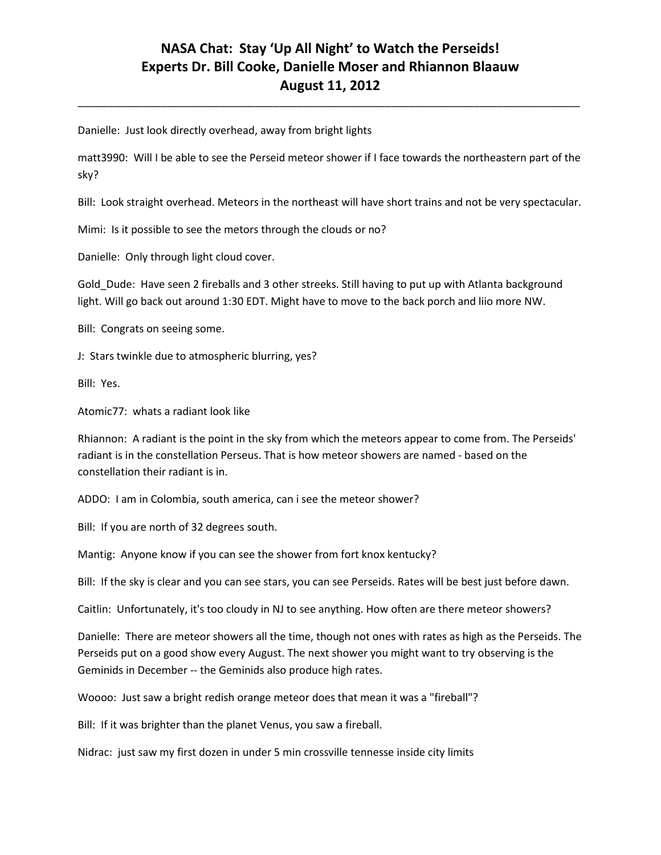\_\_\_\_\_\_\_\_\_\_\_\_\_\_\_\_\_\_\_\_\_\_\_\_\_\_\_\_\_\_\_\_\_\_\_\_\_\_\_\_\_\_\_\_\_\_\_\_\_\_\_\_\_\_\_\_\_\_\_\_\_\_\_\_\_\_\_\_\_\_\_\_\_\_\_\_\_\_\_\_\_\_\_\_\_

Danielle: Just look directly overhead, away from bright lights

matt3990: Will I be able to see the Perseid meteor shower if I face towards the northeastern part of the sky?

Bill: Look straight overhead. Meteors in the northeast will have short trains and not be very spectacular.

Mimi: Is it possible to see the metors through the clouds or no?

Danielle: Only through light cloud cover.

Gold\_Dude: Have seen 2 fireballs and 3 other streeks. Still having to put up with Atlanta background light. Will go back out around 1:30 EDT. Might have to move to the back porch and liio more NW.

Bill: Congrats on seeing some.

J: Stars twinkle due to atmospheric blurring, yes?

Bill: Yes.

Atomic77: whats a radiant look like

Rhiannon: A radiant is the point in the sky from which the meteors appear to come from. The Perseids' radiant is in the constellation Perseus. That is how meteor showers are named - based on the constellation their radiant is in.

ADDO: I am in Colombia, south america, can i see the meteor shower?

Bill: If you are north of 32 degrees south.

Mantig: Anyone know if you can see the shower from fort knox kentucky?

Bill: If the sky is clear and you can see stars, you can see Perseids. Rates will be best just before dawn.

Caitlin: Unfortunately, it's too cloudy in NJ to see anything. How often are there meteor showers?

Danielle: There are meteor showers all the time, though not ones with rates as high as the Perseids. The Perseids put on a good show every August. The next shower you might want to try observing is the Geminids in December -- the Geminids also produce high rates.

Woooo: Just saw a bright redish orange meteor does that mean it was a "fireball"?

Bill: If it was brighter than the planet Venus, you saw a fireball.

Nidrac: just saw my first dozen in under 5 min crossville tennesse inside city limits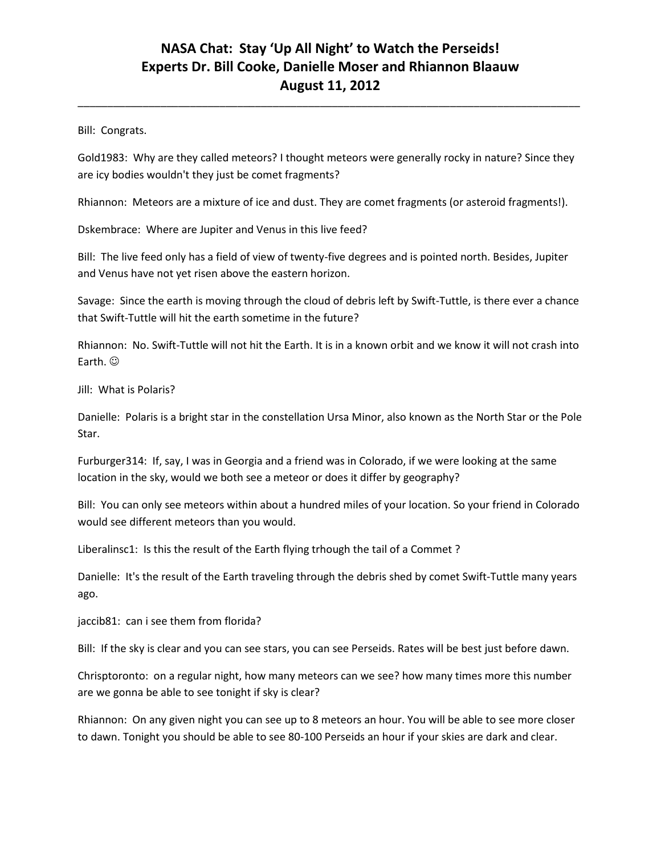\_\_\_\_\_\_\_\_\_\_\_\_\_\_\_\_\_\_\_\_\_\_\_\_\_\_\_\_\_\_\_\_\_\_\_\_\_\_\_\_\_\_\_\_\_\_\_\_\_\_\_\_\_\_\_\_\_\_\_\_\_\_\_\_\_\_\_\_\_\_\_\_\_\_\_\_\_\_\_\_\_\_\_\_\_

Bill: Congrats.

Gold1983: Why are they called meteors? I thought meteors were generally rocky in nature? Since they are icy bodies wouldn't they just be comet fragments?

Rhiannon: Meteors are a mixture of ice and dust. They are comet fragments (or asteroid fragments!).

Dskembrace: Where are Jupiter and Venus in this live feed?

Bill: The live feed only has a field of view of twenty-five degrees and is pointed north. Besides, Jupiter and Venus have not yet risen above the eastern horizon.

Savage: Since the earth is moving through the cloud of debris left by Swift-Tuttle, is there ever a chance that Swift-Tuttle will hit the earth sometime in the future?

Rhiannon: No. Swift-Tuttle will not hit the Earth. It is in a known orbit and we know it will not crash into Earth.  $\odot$ 

Jill: What is Polaris?

Danielle: Polaris is a bright star in the constellation Ursa Minor, also known as the North Star or the Pole Star.

Furburger314: If, say, I was in Georgia and a friend was in Colorado, if we were looking at the same location in the sky, would we both see a meteor or does it differ by geography?

Bill: You can only see meteors within about a hundred miles of your location. So your friend in Colorado would see different meteors than you would.

Liberalinsc1: Is this the result of the Earth flying trhough the tail of a Commet ?

Danielle: It's the result of the Earth traveling through the debris shed by comet Swift-Tuttle many years ago.

jaccib81: can i see them from florida?

Bill: If the sky is clear and you can see stars, you can see Perseids. Rates will be best just before dawn.

Chrisptoronto: on a regular night, how many meteors can we see? how many times more this number are we gonna be able to see tonight if sky is clear?

Rhiannon: On any given night you can see up to 8 meteors an hour. You will be able to see more closer to dawn. Tonight you should be able to see 80-100 Perseids an hour if your skies are dark and clear.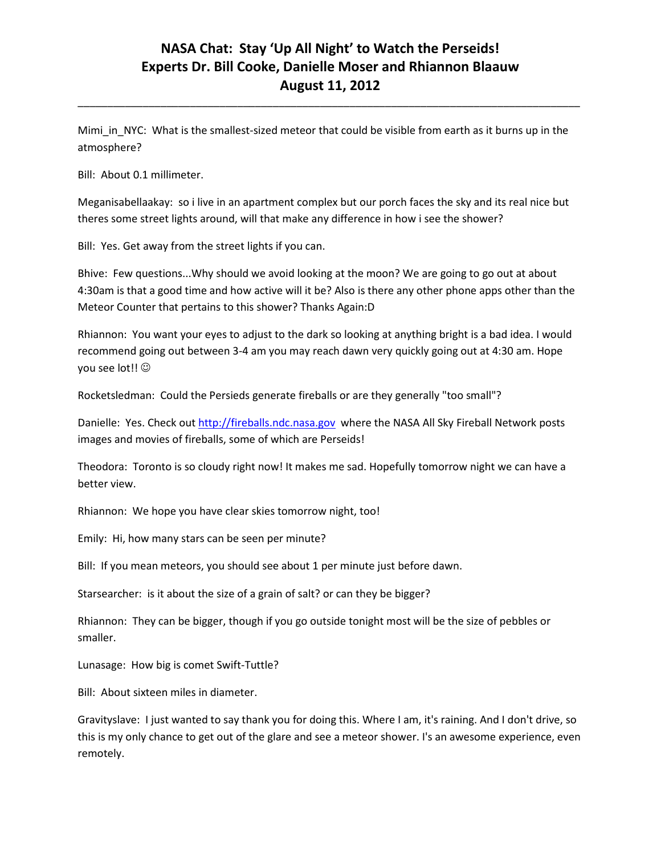\_\_\_\_\_\_\_\_\_\_\_\_\_\_\_\_\_\_\_\_\_\_\_\_\_\_\_\_\_\_\_\_\_\_\_\_\_\_\_\_\_\_\_\_\_\_\_\_\_\_\_\_\_\_\_\_\_\_\_\_\_\_\_\_\_\_\_\_\_\_\_\_\_\_\_\_\_\_\_\_\_\_\_\_\_

Mimi\_in\_NYC: What is the smallest-sized meteor that could be visible from earth as it burns up in the atmosphere?

Bill: About 0.1 millimeter.

Meganisabellaakay: so i live in an apartment complex but our porch faces the sky and its real nice but theres some street lights around, will that make any difference in how i see the shower?

Bill: Yes. Get away from the street lights if you can.

Bhive: Few questions...Why should we avoid looking at the moon? We are going to go out at about 4:30am is that a good time and how active will it be? Also is there any other phone apps other than the Meteor Counter that pertains to this shower? Thanks Again:D

Rhiannon: You want your eyes to adjust to the dark so looking at anything bright is a bad idea. I would recommend going out between 3-4 am you may reach dawn very quickly going out at 4:30 am. Hope you see lot!!  $\odot$ 

Rocketsledman: Could the Persieds generate fireballs or are they generally "too small"?

Danielle: Yes. Check ou[t http://fireballs.ndc.nasa.gov](http://fireballs.ndc.nasa.gov/) where the NASA All Sky Fireball Network posts images and movies of fireballs, some of which are Perseids!

Theodora: Toronto is so cloudy right now! It makes me sad. Hopefully tomorrow night we can have a better view.

Rhiannon: We hope you have clear skies tomorrow night, too!

Emily: Hi, how many stars can be seen per minute?

Bill: If you mean meteors, you should see about 1 per minute just before dawn.

Starsearcher: is it about the size of a grain of salt? or can they be bigger?

Rhiannon: They can be bigger, though if you go outside tonight most will be the size of pebbles or smaller.

Lunasage: How big is comet Swift-Tuttle?

Bill: About sixteen miles in diameter.

Gravityslave: I just wanted to say thank you for doing this. Where I am, it's raining. And I don't drive, so this is my only chance to get out of the glare and see a meteor shower. I's an awesome experience, even remotely.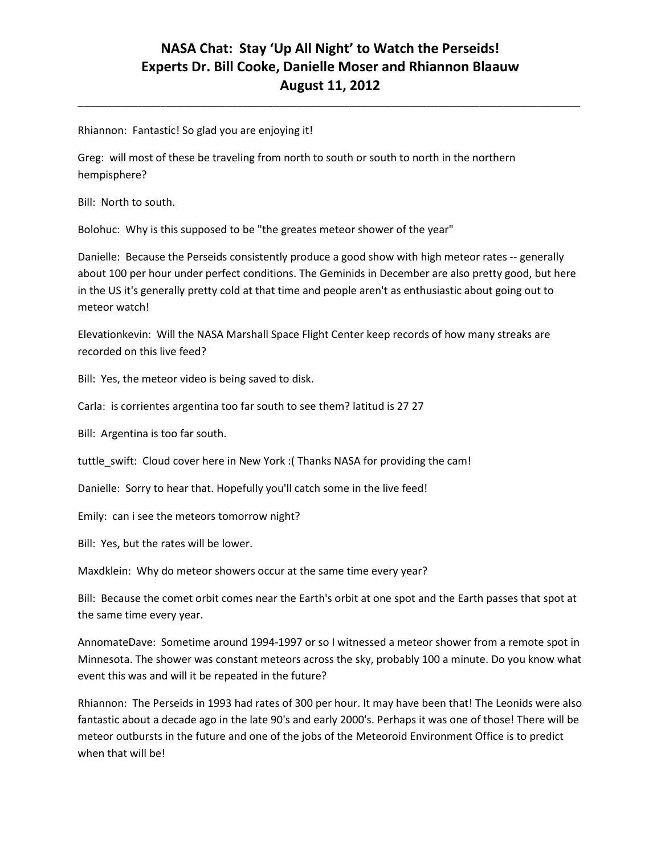\_\_\_\_\_\_\_\_\_\_\_\_\_\_\_\_\_\_\_\_\_\_\_\_\_\_\_\_\_\_\_\_\_\_\_\_\_\_\_\_\_\_\_\_\_\_\_\_\_\_\_\_\_\_\_\_\_\_\_\_\_\_\_\_\_\_\_\_\_\_\_\_\_\_\_\_\_\_\_\_\_\_\_\_\_

Rhiannon: Fantastic! So glad you are enjoying it!

Greg: will most of these be traveling from north to south or south to north in the northern hempisphere?

Bill: North to south.

Bolohuc: Why is this supposed to be "the greates meteor shower of the year"

Danielle: Because the Perseids consistently produce a good show with high meteor rates -- generally about 100 per hour under perfect conditions. The Geminids in December are also pretty good, but here in the US it's generally pretty cold at that time and people aren't as enthusiastic about going out to meteor watch!

Elevationkevin: Will the NASA Marshall Space Flight Center keep records of how many streaks are recorded on this live feed?

Bill: Yes, the meteor video is being saved to disk.

Carla: is corrientes argentina too far south to see them? latitud is 27 27

Bill: Argentina is too far south.

tuttle swift: Cloud cover here in New York :( Thanks NASA for providing the cam!

Danielle: Sorry to hear that. Hopefully you'll catch some in the live feed!

Emily: can i see the meteors tomorrow night?

Bill: Yes, but the rates will be lower.

Maxdklein: Why do meteor showers occur at the same time every year?

Bill: Because the comet orbit comes near the Earth's orbit at one spot and the Earth passes that spot at the same time every year.

AnnomateDave: Sometime around 1994-1997 or so I witnessed a meteor shower from a remote spot in Minnesota. The shower was constant meteors across the sky, probably 100 a minute. Do you know what event this was and will it be repeated in the future?

Rhiannon: The Perseids in 1993 had rates of 300 per hour. It may have been that! The Leonids were also fantastic about a decade ago in the late 90's and early 2000's. Perhaps it was one of those! There will be meteor outbursts in the future and one of the jobs of the Meteoroid Environment Office is to predict when that will be!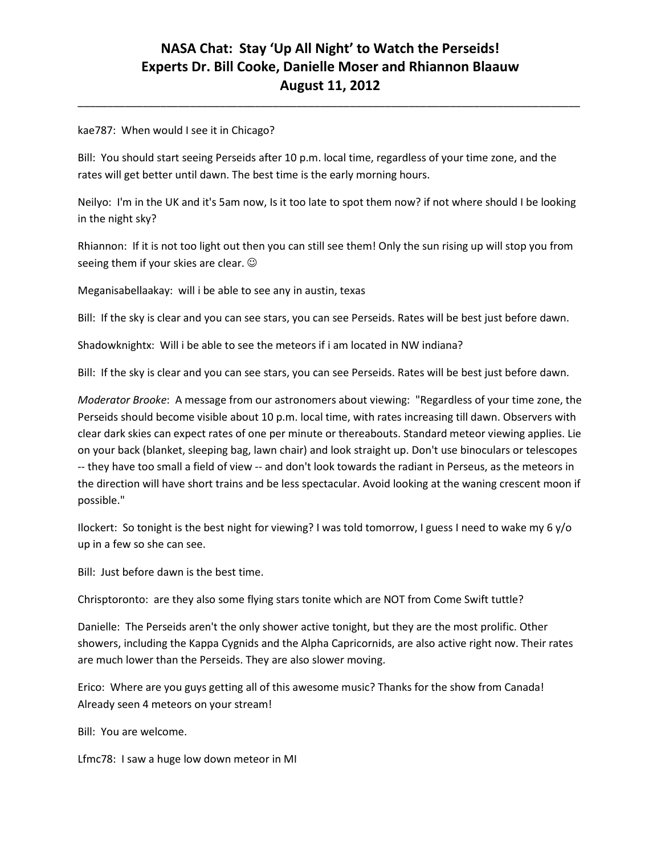\_\_\_\_\_\_\_\_\_\_\_\_\_\_\_\_\_\_\_\_\_\_\_\_\_\_\_\_\_\_\_\_\_\_\_\_\_\_\_\_\_\_\_\_\_\_\_\_\_\_\_\_\_\_\_\_\_\_\_\_\_\_\_\_\_\_\_\_\_\_\_\_\_\_\_\_\_\_\_\_\_\_\_\_\_

#### kae787: When would I see it in Chicago?

Bill: You should start seeing Perseids after 10 p.m. local time, regardless of your time zone, and the rates will get better until dawn. The best time is the early morning hours.

Neilyo: I'm in the UK and it's 5am now, Is it too late to spot them now? if not where should I be looking in the night sky?

Rhiannon: If it is not too light out then you can still see them! Only the sun rising up will stop you from seeing them if your skies are clear.  $\odot$ 

Meganisabellaakay: will i be able to see any in austin, texas

Bill: If the sky is clear and you can see stars, you can see Perseids. Rates will be best just before dawn.

Shadowknightx: Will i be able to see the meteors if i am located in NW indiana?

Bill: If the sky is clear and you can see stars, you can see Perseids. Rates will be best just before dawn.

*Moderator Brooke*: A message from our astronomers about viewing: "Regardless of your time zone, the Perseids should become visible about 10 p.m. local time, with rates increasing till dawn. Observers with clear dark skies can expect rates of one per minute or thereabouts. Standard meteor viewing applies. Lie on your back (blanket, sleeping bag, lawn chair) and look straight up. Don't use binoculars or telescopes -- they have too small a field of view -- and don't look towards the radiant in Perseus, as the meteors in the direction will have short trains and be less spectacular. Avoid looking at the waning crescent moon if possible."

Ilockert: So tonight is the best night for viewing? I was told tomorrow, I guess I need to wake my 6 y/o up in a few so she can see.

Bill: Just before dawn is the best time.

Chrisptoronto: are they also some flying stars tonite which are NOT from Come Swift tuttle?

Danielle: The Perseids aren't the only shower active tonight, but they are the most prolific. Other showers, including the Kappa Cygnids and the Alpha Capricornids, are also active right now. Their rates are much lower than the Perseids. They are also slower moving.

Erico: Where are you guys getting all of this awesome music? Thanks for the show from Canada! Already seen 4 meteors on your stream!

Bill: You are welcome.

Lfmc78: I saw a huge low down meteor in MI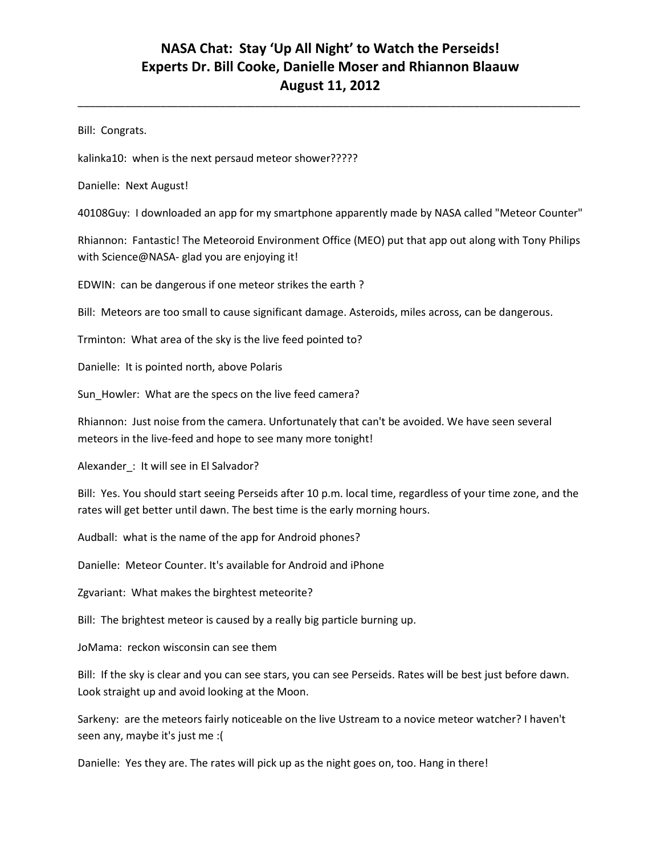\_\_\_\_\_\_\_\_\_\_\_\_\_\_\_\_\_\_\_\_\_\_\_\_\_\_\_\_\_\_\_\_\_\_\_\_\_\_\_\_\_\_\_\_\_\_\_\_\_\_\_\_\_\_\_\_\_\_\_\_\_\_\_\_\_\_\_\_\_\_\_\_\_\_\_\_\_\_\_\_\_\_\_\_\_

Bill: Congrats.

kalinka10: when is the next persaud meteor shower?????

Danielle: Next August!

40108Guy: I downloaded an app for my smartphone apparently made by NASA called "Meteor Counter"

Rhiannon: Fantastic! The Meteoroid Environment Office (MEO) put that app out along with Tony Philips with Science@NASA- glad you are enjoying it!

EDWIN: can be dangerous if one meteor strikes the earth ?

Bill: Meteors are too small to cause significant damage. Asteroids, miles across, can be dangerous.

Trminton: What area of the sky is the live feed pointed to?

Danielle: It is pointed north, above Polaris

Sun\_Howler: What are the specs on the live feed camera?

Rhiannon: Just noise from the camera. Unfortunately that can't be avoided. We have seen several meteors in the live-feed and hope to see many more tonight!

Alexander : It will see in El Salvador?

Bill: Yes. You should start seeing Perseids after 10 p.m. local time, regardless of your time zone, and the rates will get better until dawn. The best time is the early morning hours.

Audball: what is the name of the app for Android phones?

Danielle: Meteor Counter. It's available for Android and iPhone

Zgvariant: What makes the birghtest meteorite?

Bill: The brightest meteor is caused by a really big particle burning up.

JoMama: reckon wisconsin can see them

Bill: If the sky is clear and you can see stars, you can see Perseids. Rates will be best just before dawn. Look straight up and avoid looking at the Moon.

Sarkeny: are the meteors fairly noticeable on the live Ustream to a novice meteor watcher? I haven't seen any, maybe it's just me :(

Danielle: Yes they are. The rates will pick up as the night goes on, too. Hang in there!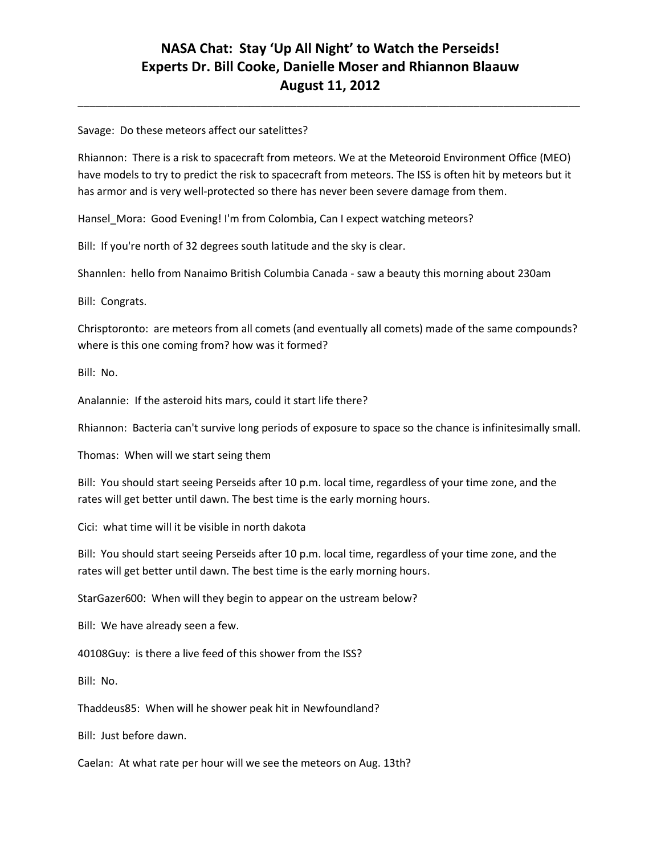\_\_\_\_\_\_\_\_\_\_\_\_\_\_\_\_\_\_\_\_\_\_\_\_\_\_\_\_\_\_\_\_\_\_\_\_\_\_\_\_\_\_\_\_\_\_\_\_\_\_\_\_\_\_\_\_\_\_\_\_\_\_\_\_\_\_\_\_\_\_\_\_\_\_\_\_\_\_\_\_\_\_\_\_\_

#### Savage: Do these meteors affect our satelittes?

Rhiannon: There is a risk to spacecraft from meteors. We at the Meteoroid Environment Office (MEO) have models to try to predict the risk to spacecraft from meteors. The ISS is often hit by meteors but it has armor and is very well-protected so there has never been severe damage from them.

Hansel\_Mora: Good Evening! I'm from Colombia, Can I expect watching meteors?

Bill: If you're north of 32 degrees south latitude and the sky is clear.

Shannlen: hello from Nanaimo British Columbia Canada - saw a beauty this morning about 230am

Bill: Congrats.

Chrisptoronto: are meteors from all comets (and eventually all comets) made of the same compounds? where is this one coming from? how was it formed?

Bill: No.

Analannie: If the asteroid hits mars, could it start life there?

Rhiannon: Bacteria can't survive long periods of exposure to space so the chance is infinitesimally small.

Thomas: When will we start seing them

Bill: You should start seeing Perseids after 10 p.m. local time, regardless of your time zone, and the rates will get better until dawn. The best time is the early morning hours.

Cici: what time will it be visible in north dakota

Bill: You should start seeing Perseids after 10 p.m. local time, regardless of your time zone, and the rates will get better until dawn. The best time is the early morning hours.

StarGazer600: When will they begin to appear on the ustream below?

Bill: We have already seen a few.

40108Guy: is there a live feed of this shower from the ISS?

Bill: No.

Thaddeus85: When will he shower peak hit in Newfoundland?

Bill: Just before dawn.

Caelan: At what rate per hour will we see the meteors on Aug. 13th?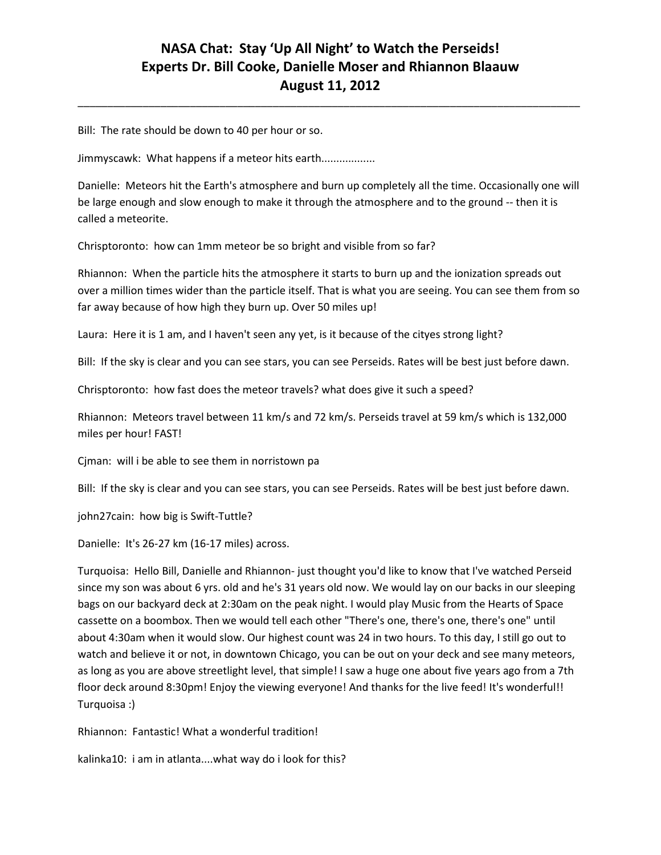\_\_\_\_\_\_\_\_\_\_\_\_\_\_\_\_\_\_\_\_\_\_\_\_\_\_\_\_\_\_\_\_\_\_\_\_\_\_\_\_\_\_\_\_\_\_\_\_\_\_\_\_\_\_\_\_\_\_\_\_\_\_\_\_\_\_\_\_\_\_\_\_\_\_\_\_\_\_\_\_\_\_\_\_\_

Bill: The rate should be down to 40 per hour or so.

Jimmyscawk: What happens if a meteor hits earth..................

Danielle: Meteors hit the Earth's atmosphere and burn up completely all the time. Occasionally one will be large enough and slow enough to make it through the atmosphere and to the ground -- then it is called a meteorite.

Chrisptoronto: how can 1mm meteor be so bright and visible from so far?

Rhiannon: When the particle hits the atmosphere it starts to burn up and the ionization spreads out over a million times wider than the particle itself. That is what you are seeing. You can see them from so far away because of how high they burn up. Over 50 miles up!

Laura: Here it is 1 am, and I haven't seen any yet, is it because of the cityes strong light?

Bill: If the sky is clear and you can see stars, you can see Perseids. Rates will be best just before dawn.

Chrisptoronto: how fast does the meteor travels? what does give it such a speed?

Rhiannon: Meteors travel between 11 km/s and 72 km/s. Perseids travel at 59 km/s which is 132,000 miles per hour! FAST!

Cjman: will i be able to see them in norristown pa

Bill: If the sky is clear and you can see stars, you can see Perseids. Rates will be best just before dawn.

john27cain: how big is Swift-Tuttle?

Danielle: It's 26-27 km (16-17 miles) across.

Turquoisa: Hello Bill, Danielle and Rhiannon- just thought you'd like to know that I've watched Perseid since my son was about 6 yrs. old and he's 31 years old now. We would lay on our backs in our sleeping bags on our backyard deck at 2:30am on the peak night. I would play Music from the Hearts of Space cassette on a boombox. Then we would tell each other "There's one, there's one, there's one" until about 4:30am when it would slow. Our highest count was 24 in two hours. To this day, I still go out to watch and believe it or not, in downtown Chicago, you can be out on your deck and see many meteors, as long as you are above streetlight level, that simple! I saw a huge one about five years ago from a 7th floor deck around 8:30pm! Enjoy the viewing everyone! And thanks for the live feed! It's wonderful!! Turquoisa :)

Rhiannon: Fantastic! What a wonderful tradition!

kalinka10: i am in atlanta....what way do i look for this?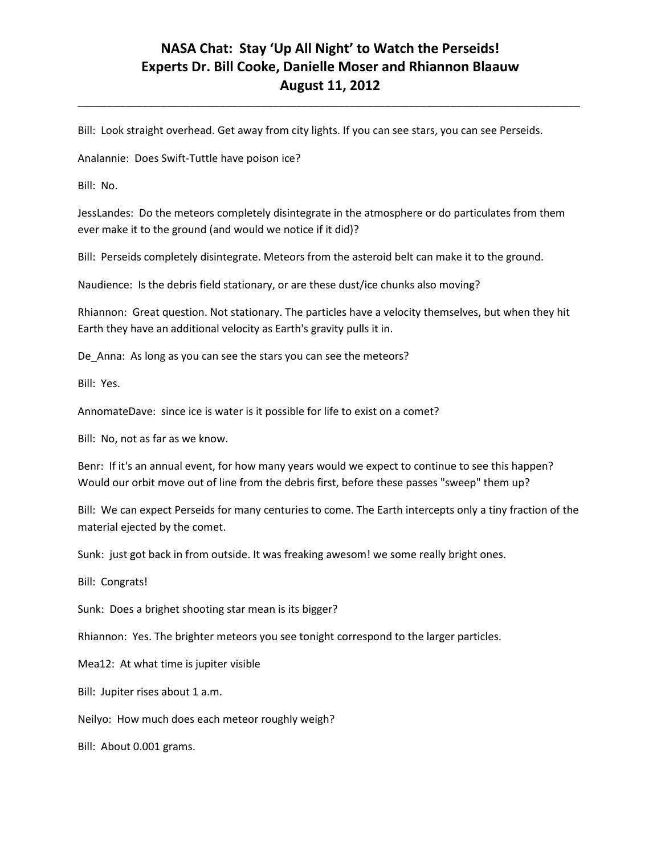\_\_\_\_\_\_\_\_\_\_\_\_\_\_\_\_\_\_\_\_\_\_\_\_\_\_\_\_\_\_\_\_\_\_\_\_\_\_\_\_\_\_\_\_\_\_\_\_\_\_\_\_\_\_\_\_\_\_\_\_\_\_\_\_\_\_\_\_\_\_\_\_\_\_\_\_\_\_\_\_\_\_\_\_\_

Bill: Look straight overhead. Get away from city lights. If you can see stars, you can see Perseids.

Analannie: Does Swift-Tuttle have poison ice?

Bill: No.

JessLandes: Do the meteors completely disintegrate in the atmosphere or do particulates from them ever make it to the ground (and would we notice if it did)?

Bill: Perseids completely disintegrate. Meteors from the asteroid belt can make it to the ground.

Naudience: Is the debris field stationary, or are these dust/ice chunks also moving?

Rhiannon: Great question. Not stationary. The particles have a velocity themselves, but when they hit Earth they have an additional velocity as Earth's gravity pulls it in.

De\_Anna: As long as you can see the stars you can see the meteors?

Bill: Yes.

AnnomateDave: since ice is water is it possible for life to exist on a comet?

Bill: No, not as far as we know.

Benr: If it's an annual event, for how many years would we expect to continue to see this happen? Would our orbit move out of line from the debris first, before these passes "sweep" them up?

Bill: We can expect Perseids for many centuries to come. The Earth intercepts only a tiny fraction of the material ejected by the comet.

Sunk: just got back in from outside. It was freaking awesom! we some really bright ones.

Bill: Congrats!

Sunk: Does a brighet shooting star mean is its bigger?

Rhiannon: Yes. The brighter meteors you see tonight correspond to the larger particles.

Mea12: At what time is jupiter visible

Bill: Jupiter rises about 1 a.m.

Neilyo: How much does each meteor roughly weigh?

Bill: About 0.001 grams.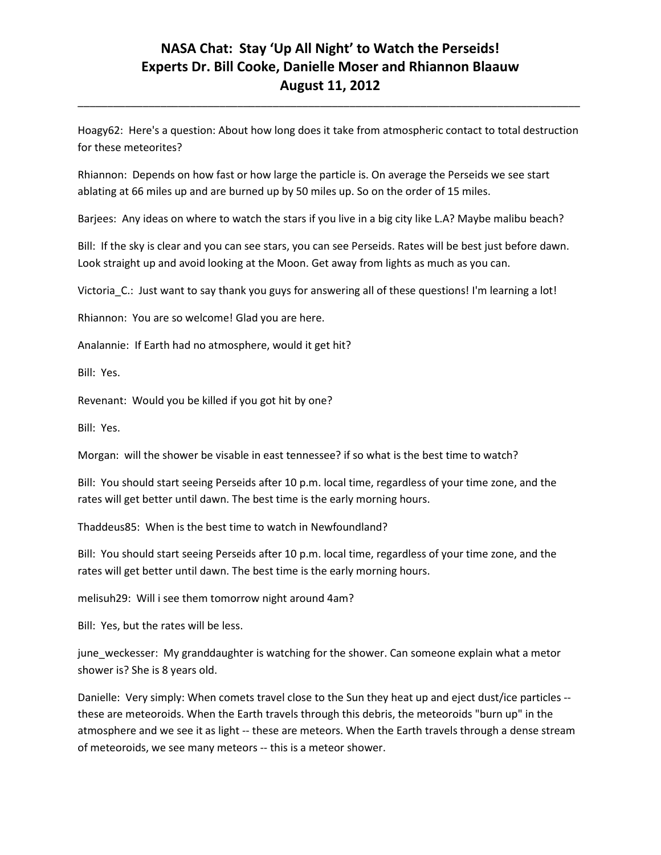Hoagy62: Here's a question: About how long does it take from atmospheric contact to total destruction for these meteorites?

\_\_\_\_\_\_\_\_\_\_\_\_\_\_\_\_\_\_\_\_\_\_\_\_\_\_\_\_\_\_\_\_\_\_\_\_\_\_\_\_\_\_\_\_\_\_\_\_\_\_\_\_\_\_\_\_\_\_\_\_\_\_\_\_\_\_\_\_\_\_\_\_\_\_\_\_\_\_\_\_\_\_\_\_\_

Rhiannon: Depends on how fast or how large the particle is. On average the Perseids we see start ablating at 66 miles up and are burned up by 50 miles up. So on the order of 15 miles.

Barjees: Any ideas on where to watch the stars if you live in a big city like L.A? Maybe malibu beach?

Bill: If the sky is clear and you can see stars, you can see Perseids. Rates will be best just before dawn. Look straight up and avoid looking at the Moon. Get away from lights as much as you can.

Victoria C.: Just want to say thank you guys for answering all of these questions! I'm learning a lot!

Rhiannon: You are so welcome! Glad you are here.

Analannie: If Earth had no atmosphere, would it get hit?

Bill: Yes.

Revenant: Would you be killed if you got hit by one?

Bill: Yes.

Morgan: will the shower be visable in east tennessee? if so what is the best time to watch?

Bill: You should start seeing Perseids after 10 p.m. local time, regardless of your time zone, and the rates will get better until dawn. The best time is the early morning hours.

Thaddeus85: When is the best time to watch in Newfoundland?

Bill: You should start seeing Perseids after 10 p.m. local time, regardless of your time zone, and the rates will get better until dawn. The best time is the early morning hours.

melisuh29: Will i see them tomorrow night around 4am?

Bill: Yes, but the rates will be less.

june\_weckesser: My granddaughter is watching for the shower. Can someone explain what a metor shower is? She is 8 years old.

Danielle: Very simply: When comets travel close to the Sun they heat up and eject dust/ice particles - these are meteoroids. When the Earth travels through this debris, the meteoroids "burn up" in the atmosphere and we see it as light -- these are meteors. When the Earth travels through a dense stream of meteoroids, we see many meteors -- this is a meteor shower.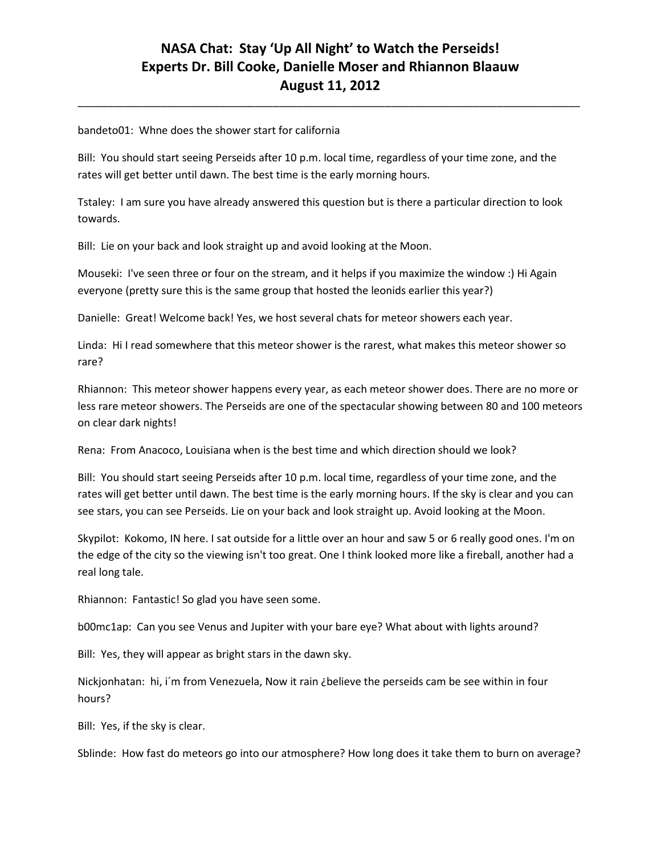\_\_\_\_\_\_\_\_\_\_\_\_\_\_\_\_\_\_\_\_\_\_\_\_\_\_\_\_\_\_\_\_\_\_\_\_\_\_\_\_\_\_\_\_\_\_\_\_\_\_\_\_\_\_\_\_\_\_\_\_\_\_\_\_\_\_\_\_\_\_\_\_\_\_\_\_\_\_\_\_\_\_\_\_\_

bandeto01: Whne does the shower start for california

Bill: You should start seeing Perseids after 10 p.m. local time, regardless of your time zone, and the rates will get better until dawn. The best time is the early morning hours.

Tstaley: I am sure you have already answered this question but is there a particular direction to look towards.

Bill: Lie on your back and look straight up and avoid looking at the Moon.

Mouseki: I've seen three or four on the stream, and it helps if you maximize the window :) Hi Again everyone (pretty sure this is the same group that hosted the leonids earlier this year?)

Danielle: Great! Welcome back! Yes, we host several chats for meteor showers each year.

Linda: Hi I read somewhere that this meteor shower is the rarest, what makes this meteor shower so rare?

Rhiannon: This meteor shower happens every year, as each meteor shower does. There are no more or less rare meteor showers. The Perseids are one of the spectacular showing between 80 and 100 meteors on clear dark nights!

Rena: From Anacoco, Louisiana when is the best time and which direction should we look?

Bill: You should start seeing Perseids after 10 p.m. local time, regardless of your time zone, and the rates will get better until dawn. The best time is the early morning hours. If the sky is clear and you can see stars, you can see Perseids. Lie on your back and look straight up. Avoid looking at the Moon.

Skypilot: Kokomo, IN here. I sat outside for a little over an hour and saw 5 or 6 really good ones. I'm on the edge of the city so the viewing isn't too great. One I think looked more like a fireball, another had a real long tale.

Rhiannon: Fantastic! So glad you have seen some.

b00mc1ap: Can you see Venus and Jupiter with your bare eye? What about with lights around?

Bill: Yes, they will appear as bright stars in the dawn sky.

Nickjonhatan: hi, i´m from Venezuela, Now it rain ¿believe the perseids cam be see within in four hours?

Bill: Yes, if the sky is clear.

Sblinde: How fast do meteors go into our atmosphere? How long does it take them to burn on average?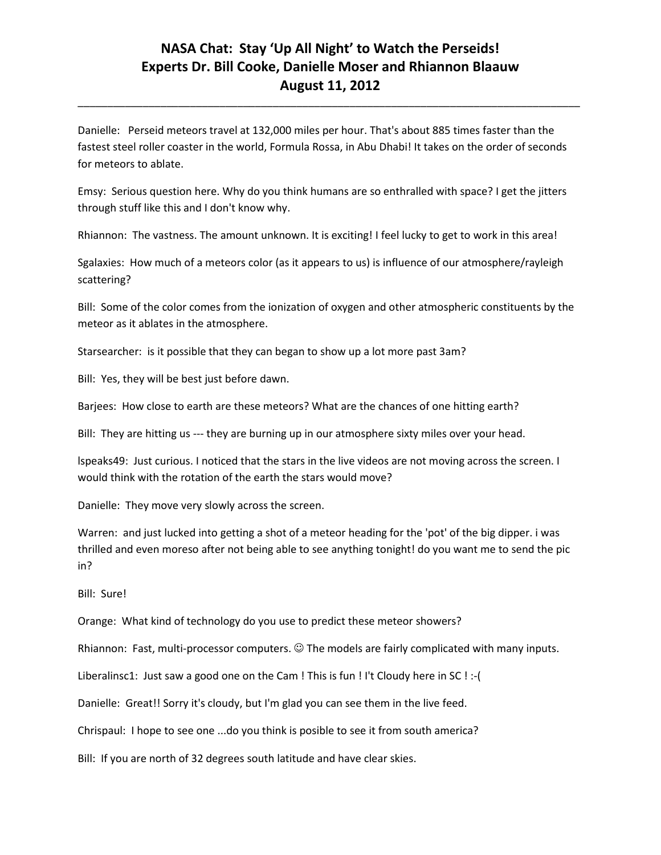\_\_\_\_\_\_\_\_\_\_\_\_\_\_\_\_\_\_\_\_\_\_\_\_\_\_\_\_\_\_\_\_\_\_\_\_\_\_\_\_\_\_\_\_\_\_\_\_\_\_\_\_\_\_\_\_\_\_\_\_\_\_\_\_\_\_\_\_\_\_\_\_\_\_\_\_\_\_\_\_\_\_\_\_\_

Danielle: Perseid meteors travel at 132,000 miles per hour. That's about 885 times faster than the fastest steel roller coaster in the world, Formula Rossa, in Abu Dhabi! It takes on the order of seconds for meteors to ablate.

Emsy: Serious question here. Why do you think humans are so enthralled with space? I get the jitters through stuff like this and I don't know why.

Rhiannon: The vastness. The amount unknown. It is exciting! I feel lucky to get to work in this area!

Sgalaxies: How much of a meteors color (as it appears to us) is influence of our atmosphere/rayleigh scattering?

Bill: Some of the color comes from the ionization of oxygen and other atmospheric constituents by the meteor as it ablates in the atmosphere.

Starsearcher: is it possible that they can began to show up a lot more past 3am?

Bill: Yes, they will be best just before dawn.

Barjees: How close to earth are these meteors? What are the chances of one hitting earth?

Bill: They are hitting us --- they are burning up in our atmosphere sixty miles over your head.

lspeaks49: Just curious. I noticed that the stars in the live videos are not moving across the screen. I would think with the rotation of the earth the stars would move?

Danielle: They move very slowly across the screen.

Warren: and just lucked into getting a shot of a meteor heading for the 'pot' of the big dipper. i was thrilled and even moreso after not being able to see anything tonight! do you want me to send the pic in?

Bill: Sure!

Orange: What kind of technology do you use to predict these meteor showers?

Rhiannon: Fast, multi-processor computers.  $\odot$  The models are fairly complicated with many inputs.

Liberalinsc1: Just saw a good one on the Cam ! This is fun ! I't Cloudy here in SC ! :-(

Danielle: Great!! Sorry it's cloudy, but I'm glad you can see them in the live feed.

Chrispaul: I hope to see one ...do you think is posible to see it from south america?

Bill: If you are north of 32 degrees south latitude and have clear skies.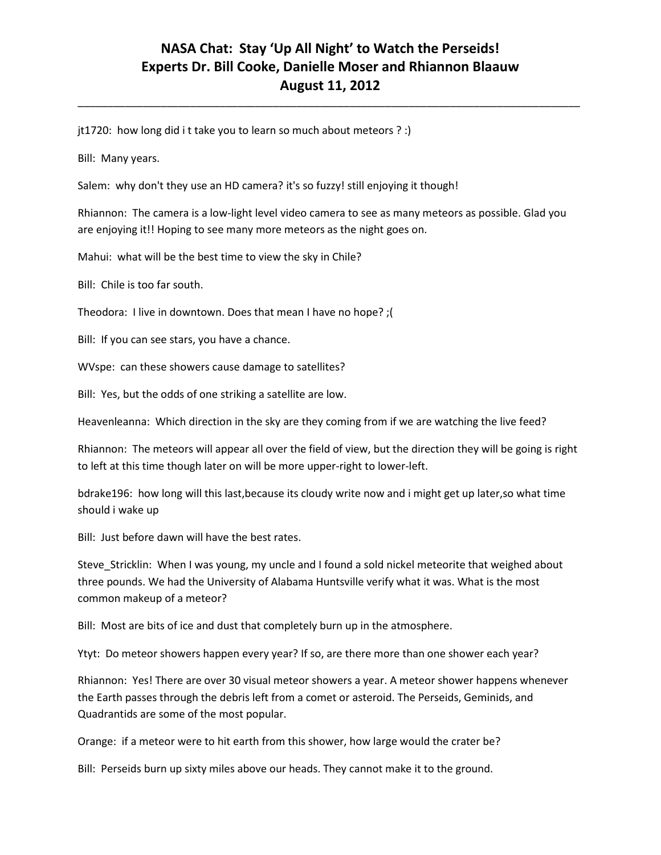\_\_\_\_\_\_\_\_\_\_\_\_\_\_\_\_\_\_\_\_\_\_\_\_\_\_\_\_\_\_\_\_\_\_\_\_\_\_\_\_\_\_\_\_\_\_\_\_\_\_\_\_\_\_\_\_\_\_\_\_\_\_\_\_\_\_\_\_\_\_\_\_\_\_\_\_\_\_\_\_\_\_\_\_\_

jt1720: how long did i t take you to learn so much about meteors ? :)

Bill: Many years.

Salem: why don't they use an HD camera? it's so fuzzy! still enjoying it though!

Rhiannon: The camera is a low-light level video camera to see as many meteors as possible. Glad you are enjoying it!! Hoping to see many more meteors as the night goes on.

Mahui: what will be the best time to view the sky in Chile?

Bill: Chile is too far south.

Theodora: I live in downtown. Does that mean I have no hope? ;(

Bill: If you can see stars, you have a chance.

WVspe: can these showers cause damage to satellites?

Bill: Yes, but the odds of one striking a satellite are low.

Heavenleanna: Which direction in the sky are they coming from if we are watching the live feed?

Rhiannon: The meteors will appear all over the field of view, but the direction they will be going is right to left at this time though later on will be more upper-right to lower-left.

bdrake196: how long will this last,because its cloudy write now and i might get up later,so what time should i wake up

Bill: Just before dawn will have the best rates.

Steve Stricklin: When I was young, my uncle and I found a sold nickel meteorite that weighed about three pounds. We had the University of Alabama Huntsville verify what it was. What is the most common makeup of a meteor?

Bill: Most are bits of ice and dust that completely burn up in the atmosphere.

Ytyt: Do meteor showers happen every year? If so, are there more than one shower each year?

Rhiannon: Yes! There are over 30 visual meteor showers a year. A meteor shower happens whenever the Earth passes through the debris left from a comet or asteroid. The Perseids, Geminids, and Quadrantids are some of the most popular.

Orange: if a meteor were to hit earth from this shower, how large would the crater be?

Bill: Perseids burn up sixty miles above our heads. They cannot make it to the ground.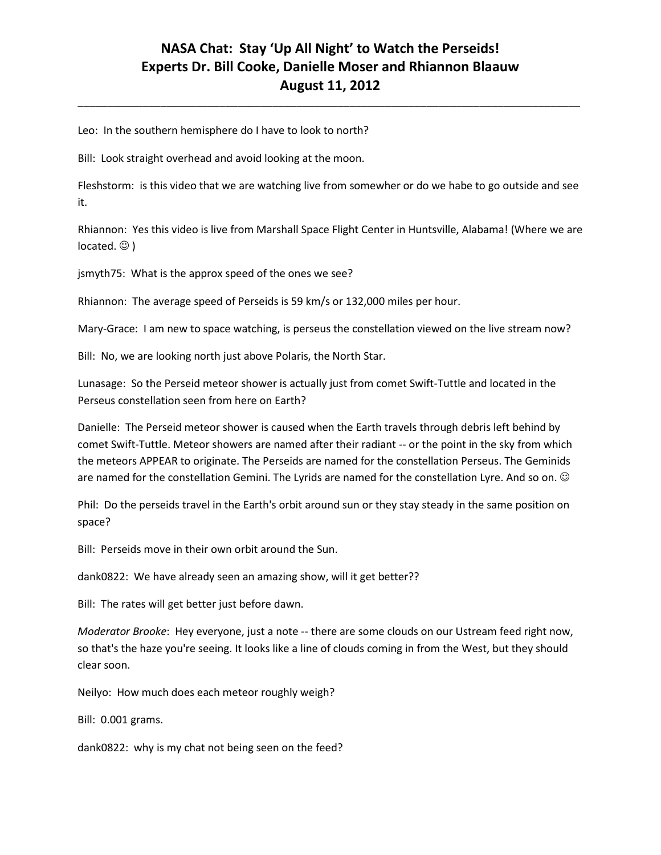\_\_\_\_\_\_\_\_\_\_\_\_\_\_\_\_\_\_\_\_\_\_\_\_\_\_\_\_\_\_\_\_\_\_\_\_\_\_\_\_\_\_\_\_\_\_\_\_\_\_\_\_\_\_\_\_\_\_\_\_\_\_\_\_\_\_\_\_\_\_\_\_\_\_\_\_\_\_\_\_\_\_\_\_\_

Leo: In the southern hemisphere do I have to look to north?

Bill: Look straight overhead and avoid looking at the moon.

Fleshstorm: is this video that we are watching live from somewher or do we habe to go outside and see it.

Rhiannon: Yes this video is live from Marshall Space Flight Center in Huntsville, Alabama! (Where we are located.  $\odot$  )

jsmyth75: What is the approx speed of the ones we see?

Rhiannon: The average speed of Perseids is 59 km/s or 132,000 miles per hour.

Mary-Grace: I am new to space watching, is perseus the constellation viewed on the live stream now?

Bill: No, we are looking north just above Polaris, the North Star.

Lunasage: So the Perseid meteor shower is actually just from comet Swift-Tuttle and located in the Perseus constellation seen from here on Earth?

Danielle: The Perseid meteor shower is caused when the Earth travels through debris left behind by comet Swift-Tuttle. Meteor showers are named after their radiant -- or the point in the sky from which the meteors APPEAR to originate. The Perseids are named for the constellation Perseus. The Geminids are named for the constellation Gemini. The Lyrids are named for the constellation Lyre. And so on.  $\odot$ 

Phil: Do the perseids travel in the Earth's orbit around sun or they stay steady in the same position on space?

Bill: Perseids move in their own orbit around the Sun.

dank0822: We have already seen an amazing show, will it get better??

Bill: The rates will get better just before dawn.

*Moderator Brooke*: Hey everyone, just a note -- there are some clouds on our Ustream feed right now, so that's the haze you're seeing. It looks like a line of clouds coming in from the West, but they should clear soon.

Neilyo: How much does each meteor roughly weigh?

Bill: 0.001 grams.

dank0822: why is my chat not being seen on the feed?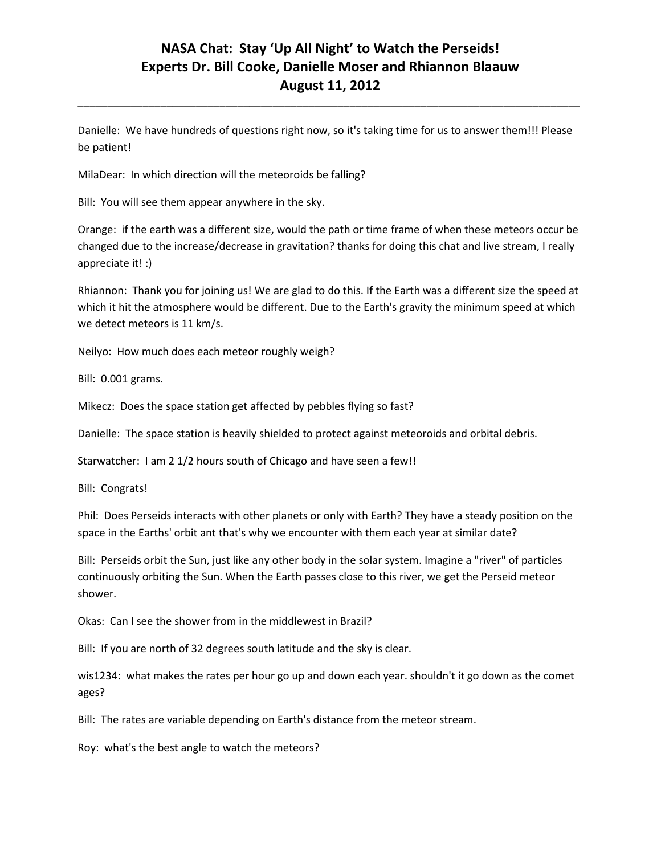Danielle: We have hundreds of questions right now, so it's taking time for us to answer them!!! Please be patient!

\_\_\_\_\_\_\_\_\_\_\_\_\_\_\_\_\_\_\_\_\_\_\_\_\_\_\_\_\_\_\_\_\_\_\_\_\_\_\_\_\_\_\_\_\_\_\_\_\_\_\_\_\_\_\_\_\_\_\_\_\_\_\_\_\_\_\_\_\_\_\_\_\_\_\_\_\_\_\_\_\_\_\_\_\_

MilaDear: In which direction will the meteoroids be falling?

Bill: You will see them appear anywhere in the sky.

Orange: if the earth was a different size, would the path or time frame of when these meteors occur be changed due to the increase/decrease in gravitation? thanks for doing this chat and live stream, I really appreciate it! :)

Rhiannon: Thank you for joining us! We are glad to do this. If the Earth was a different size the speed at which it hit the atmosphere would be different. Due to the Earth's gravity the minimum speed at which we detect meteors is 11 km/s.

Neilyo: How much does each meteor roughly weigh?

Bill: 0.001 grams.

Mikecz: Does the space station get affected by pebbles flying so fast?

Danielle: The space station is heavily shielded to protect against meteoroids and orbital debris.

Starwatcher: I am 2 1/2 hours south of Chicago and have seen a few!!

Bill: Congrats!

Phil: Does Perseids interacts with other planets or only with Earth? They have a steady position on the space in the Earths' orbit ant that's why we encounter with them each year at similar date?

Bill: Perseids orbit the Sun, just like any other body in the solar system. Imagine a "river" of particles continuously orbiting the Sun. When the Earth passes close to this river, we get the Perseid meteor shower.

Okas: Can I see the shower from in the middlewest in Brazil?

Bill: If you are north of 32 degrees south latitude and the sky is clear.

wis1234: what makes the rates per hour go up and down each year. shouldn't it go down as the comet ages?

Bill: The rates are variable depending on Earth's distance from the meteor stream.

Roy: what's the best angle to watch the meteors?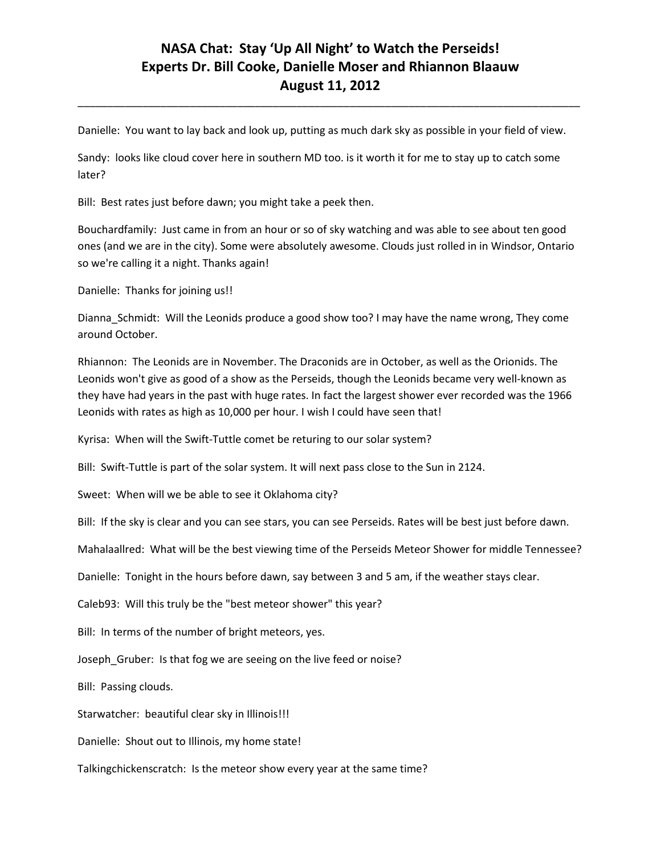\_\_\_\_\_\_\_\_\_\_\_\_\_\_\_\_\_\_\_\_\_\_\_\_\_\_\_\_\_\_\_\_\_\_\_\_\_\_\_\_\_\_\_\_\_\_\_\_\_\_\_\_\_\_\_\_\_\_\_\_\_\_\_\_\_\_\_\_\_\_\_\_\_\_\_\_\_\_\_\_\_\_\_\_\_

Danielle: You want to lay back and look up, putting as much dark sky as possible in your field of view.

Sandy: looks like cloud cover here in southern MD too. is it worth it for me to stay up to catch some later?

Bill: Best rates just before dawn; you might take a peek then.

Bouchardfamily: Just came in from an hour or so of sky watching and was able to see about ten good ones (and we are in the city). Some were absolutely awesome. Clouds just rolled in in Windsor, Ontario so we're calling it a night. Thanks again!

Danielle: Thanks for joining us!!

Dianna\_Schmidt: Will the Leonids produce a good show too? I may have the name wrong, They come around October.

Rhiannon: The Leonids are in November. The Draconids are in October, as well as the Orionids. The Leonids won't give as good of a show as the Perseids, though the Leonids became very well-known as they have had years in the past with huge rates. In fact the largest shower ever recorded was the 1966 Leonids with rates as high as 10,000 per hour. I wish I could have seen that!

Kyrisa: When will the Swift-Tuttle comet be returing to our solar system?

Bill: Swift-Tuttle is part of the solar system. It will next pass close to the Sun in 2124.

Sweet: When will we be able to see it Oklahoma city?

Bill: If the sky is clear and you can see stars, you can see Perseids. Rates will be best just before dawn.

Mahalaallred: What will be the best viewing time of the Perseids Meteor Shower for middle Tennessee?

Danielle: Tonight in the hours before dawn, say between 3 and 5 am, if the weather stays clear.

Caleb93: Will this truly be the "best meteor shower" this year?

Bill: In terms of the number of bright meteors, yes.

Joseph\_Gruber: Is that fog we are seeing on the live feed or noise?

Bill: Passing clouds.

Starwatcher: beautiful clear sky in Illinois!!!

Danielle: Shout out to Illinois, my home state!

Talkingchickenscratch: Is the meteor show every year at the same time?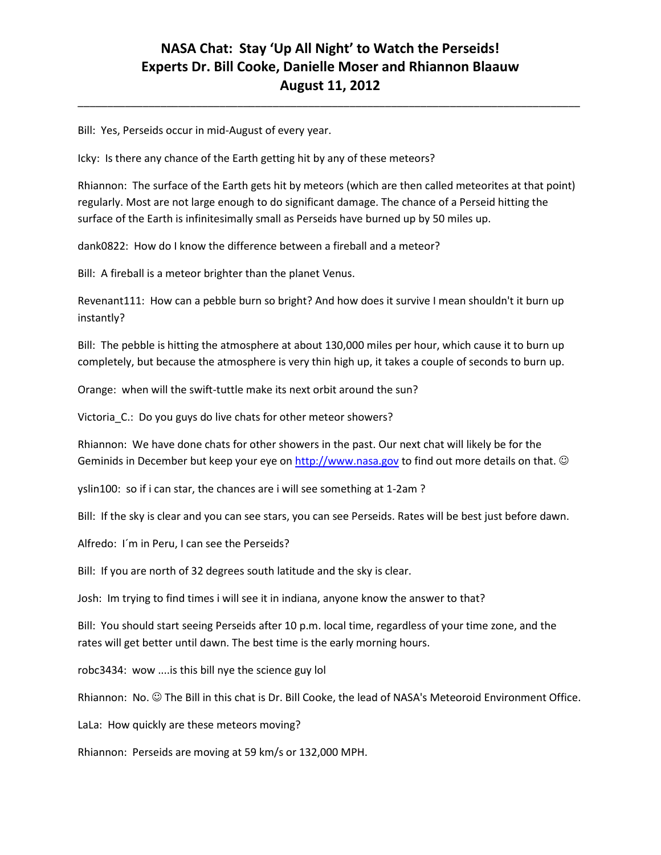\_\_\_\_\_\_\_\_\_\_\_\_\_\_\_\_\_\_\_\_\_\_\_\_\_\_\_\_\_\_\_\_\_\_\_\_\_\_\_\_\_\_\_\_\_\_\_\_\_\_\_\_\_\_\_\_\_\_\_\_\_\_\_\_\_\_\_\_\_\_\_\_\_\_\_\_\_\_\_\_\_\_\_\_\_

Bill: Yes, Perseids occur in mid-August of every year.

Icky: Is there any chance of the Earth getting hit by any of these meteors?

Rhiannon: The surface of the Earth gets hit by meteors (which are then called meteorites at that point) regularly. Most are not large enough to do significant damage. The chance of a Perseid hitting the surface of the Earth is infinitesimally small as Perseids have burned up by 50 miles up.

dank0822: How do I know the difference between a fireball and a meteor?

Bill: A fireball is a meteor brighter than the planet Venus.

Revenant111: How can a pebble burn so bright? And how does it survive I mean shouldn't it burn up instantly?

Bill: The pebble is hitting the atmosphere at about 130,000 miles per hour, which cause it to burn up completely, but because the atmosphere is very thin high up, it takes a couple of seconds to burn up.

Orange: when will the swift-tuttle make its next orbit around the sun?

Victoria\_C.: Do you guys do live chats for other meteor showers?

Rhiannon: We have done chats for other showers in the past. Our next chat will likely be for the Geminids in December but keep your eye on [http://www.nasa.gov](http://www.nasa.gov/) to find out more details on that.  $\odot$ 

yslin100: so if i can star, the chances are i will see something at 1-2am ?

Bill: If the sky is clear and you can see stars, you can see Perseids. Rates will be best just before dawn.

Alfredo: I´m in Peru, I can see the Perseids?

Bill: If you are north of 32 degrees south latitude and the sky is clear.

Josh: Im trying to find times i will see it in indiana, anyone know the answer to that?

Bill: You should start seeing Perseids after 10 p.m. local time, regardless of your time zone, and the rates will get better until dawn. The best time is the early morning hours.

robc3434: wow ....is this bill nye the science guy lol

Rhiannon: No.  $\odot$  The Bill in this chat is Dr. Bill Cooke, the lead of NASA's Meteoroid Environment Office.

LaLa: How quickly are these meteors moving?

Rhiannon: Perseids are moving at 59 km/s or 132,000 MPH.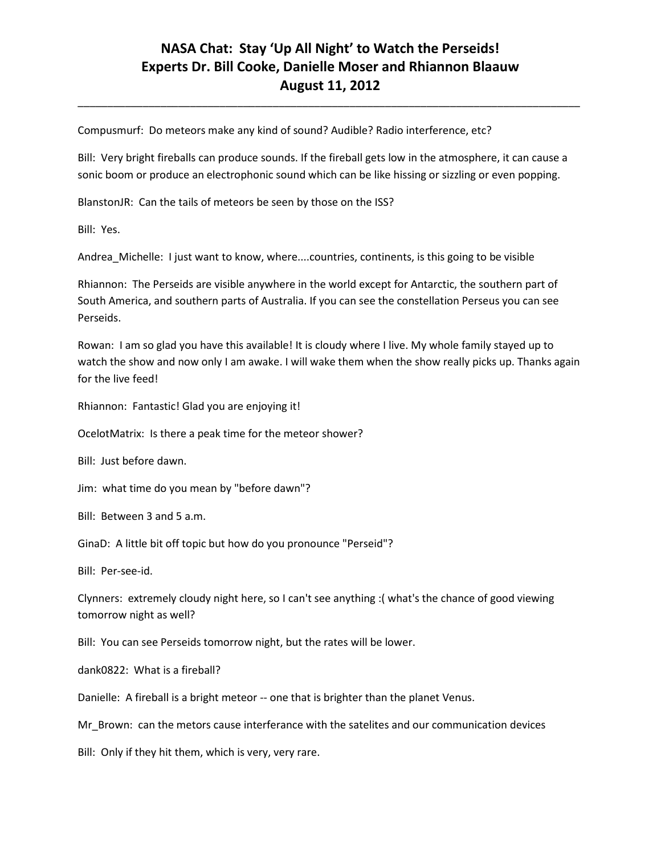\_\_\_\_\_\_\_\_\_\_\_\_\_\_\_\_\_\_\_\_\_\_\_\_\_\_\_\_\_\_\_\_\_\_\_\_\_\_\_\_\_\_\_\_\_\_\_\_\_\_\_\_\_\_\_\_\_\_\_\_\_\_\_\_\_\_\_\_\_\_\_\_\_\_\_\_\_\_\_\_\_\_\_\_\_

Compusmurf: Do meteors make any kind of sound? Audible? Radio interference, etc?

Bill: Very bright fireballs can produce sounds. If the fireball gets low in the atmosphere, it can cause a sonic boom or produce an electrophonic sound which can be like hissing or sizzling or even popping.

BlanstonJR: Can the tails of meteors be seen by those on the ISS?

Bill: Yes.

Andrea Michelle: I just want to know, where....countries, continents, is this going to be visible

Rhiannon: The Perseids are visible anywhere in the world except for Antarctic, the southern part of South America, and southern parts of Australia. If you can see the constellation Perseus you can see Perseids.

Rowan: I am so glad you have this available! It is cloudy where I live. My whole family stayed up to watch the show and now only I am awake. I will wake them when the show really picks up. Thanks again for the live feed!

Rhiannon: Fantastic! Glad you are enjoying it!

OcelotMatrix: Is there a peak time for the meteor shower?

Bill: Just before dawn.

Jim: what time do you mean by "before dawn"?

Bill: Between 3 and 5 a.m.

GinaD: A little bit off topic but how do you pronounce "Perseid"?

Bill: Per-see-id.

Clynners: extremely cloudy night here, so I can't see anything :( what's the chance of good viewing tomorrow night as well?

Bill: You can see Perseids tomorrow night, but the rates will be lower.

dank0822: What is a fireball?

Danielle: A fireball is a bright meteor -- one that is brighter than the planet Venus.

Mr\_Brown: can the metors cause interferance with the satelites and our communication devices

Bill: Only if they hit them, which is very, very rare.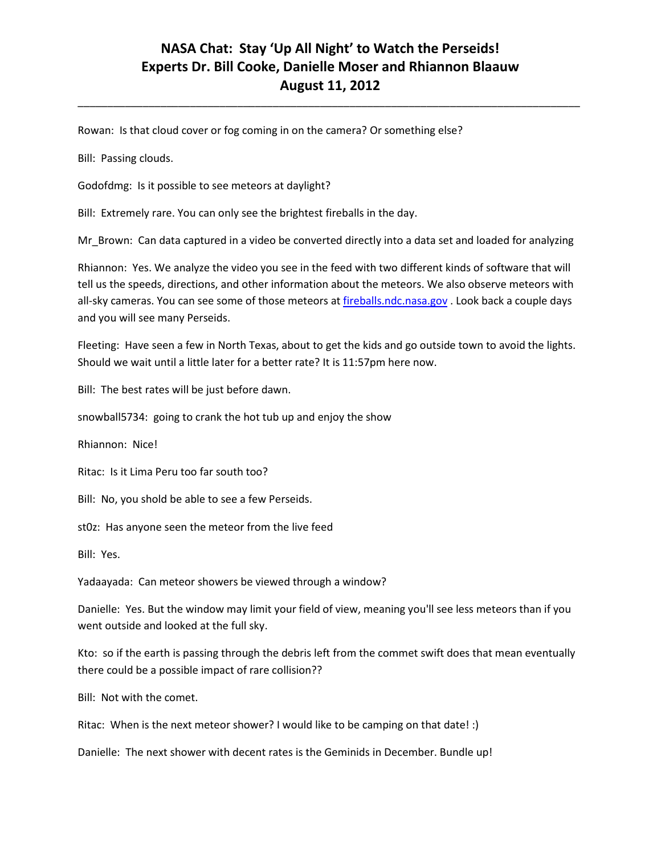\_\_\_\_\_\_\_\_\_\_\_\_\_\_\_\_\_\_\_\_\_\_\_\_\_\_\_\_\_\_\_\_\_\_\_\_\_\_\_\_\_\_\_\_\_\_\_\_\_\_\_\_\_\_\_\_\_\_\_\_\_\_\_\_\_\_\_\_\_\_\_\_\_\_\_\_\_\_\_\_\_\_\_\_\_

Rowan: Is that cloud cover or fog coming in on the camera? Or something else?

Bill: Passing clouds.

Godofdmg: Is it possible to see meteors at daylight?

Bill: Extremely rare. You can only see the brightest fireballs in the day.

Mr\_Brown: Can data captured in a video be converted directly into a data set and loaded for analyzing

Rhiannon: Yes. We analyze the video you see in the feed with two different kinds of software that will tell us the speeds, directions, and other information about the meteors. We also observe meteors with all-sky cameras. You can see some of those meteors at *fireballs.ndc.nasa.gov* . Look back a couple days and you will see many Perseids.

Fleeting: Have seen a few in North Texas, about to get the kids and go outside town to avoid the lights. Should we wait until a little later for a better rate? It is 11:57pm here now.

Bill: The best rates will be just before dawn.

snowball5734: going to crank the hot tub up and enjoy the show

Rhiannon: Nice!

Ritac: Is it Lima Peru too far south too?

Bill: No, you shold be able to see a few Perseids.

st0z: Has anyone seen the meteor from the live feed

Bill: Yes.

Yadaayada: Can meteor showers be viewed through a window?

Danielle: Yes. But the window may limit your field of view, meaning you'll see less meteors than if you went outside and looked at the full sky.

Kto: so if the earth is passing through the debris left from the commet swift does that mean eventually there could be a possible impact of rare collision??

Bill: Not with the comet.

Ritac: When is the next meteor shower? I would like to be camping on that date! :)

Danielle: The next shower with decent rates is the Geminids in December. Bundle up!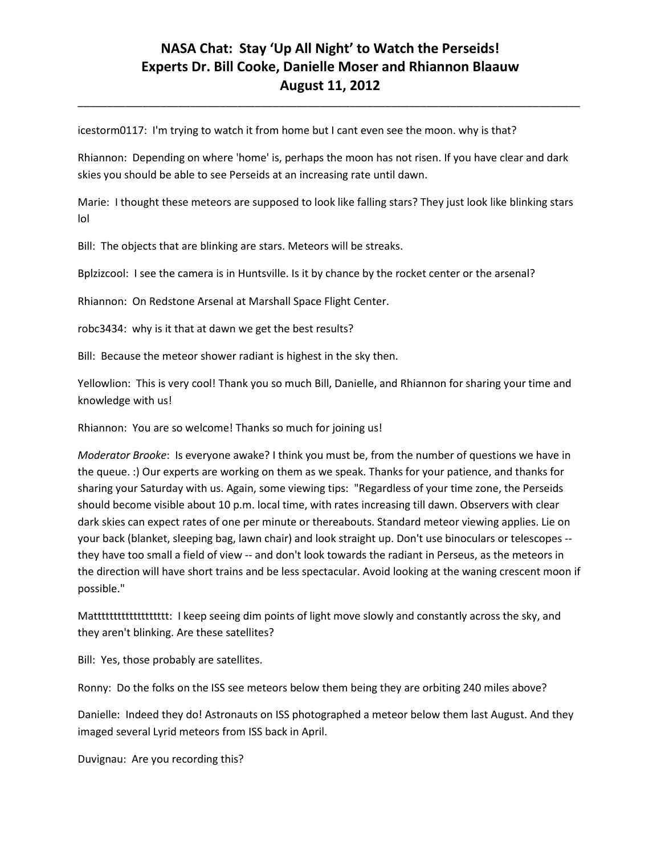\_\_\_\_\_\_\_\_\_\_\_\_\_\_\_\_\_\_\_\_\_\_\_\_\_\_\_\_\_\_\_\_\_\_\_\_\_\_\_\_\_\_\_\_\_\_\_\_\_\_\_\_\_\_\_\_\_\_\_\_\_\_\_\_\_\_\_\_\_\_\_\_\_\_\_\_\_\_\_\_\_\_\_\_\_

icestorm0117: I'm trying to watch it from home but I cant even see the moon. why is that?

Rhiannon: Depending on where 'home' is, perhaps the moon has not risen. If you have clear and dark skies you should be able to see Perseids at an increasing rate until dawn.

Marie: I thought these meteors are supposed to look like falling stars? They just look like blinking stars lol

Bill: The objects that are blinking are stars. Meteors will be streaks.

Bplzizcool: I see the camera is in Huntsville. Is it by chance by the rocket center or the arsenal?

Rhiannon: On Redstone Arsenal at Marshall Space Flight Center.

robc3434: why is it that at dawn we get the best results?

Bill: Because the meteor shower radiant is highest in the sky then.

Yellowlion: This is very cool! Thank you so much Bill, Danielle, and Rhiannon for sharing your time and knowledge with us!

Rhiannon: You are so welcome! Thanks so much for joining us!

*Moderator Brooke*: Is everyone awake? I think you must be, from the number of questions we have in the queue. :) Our experts are working on them as we speak. Thanks for your patience, and thanks for sharing your Saturday with us. Again, some viewing tips: "Regardless of your time zone, the Perseids should become visible about 10 p.m. local time, with rates increasing till dawn. Observers with clear dark skies can expect rates of one per minute or thereabouts. Standard meteor viewing applies. Lie on your back (blanket, sleeping bag, lawn chair) and look straight up. Don't use binoculars or telescopes - they have too small a field of view -- and don't look towards the radiant in Perseus, as the meteors in the direction will have short trains and be less spectacular. Avoid looking at the waning crescent moon if possible."

Mattttttttttttttttttt: I keep seeing dim points of light move slowly and constantly across the sky, and they aren't blinking. Are these satellites?

Bill: Yes, those probably are satellites.

Ronny: Do the folks on the ISS see meteors below them being they are orbiting 240 miles above?

Danielle: Indeed they do! Astronauts on ISS photographed a meteor below them last August. And they imaged several Lyrid meteors from ISS back in April.

Duvignau: Are you recording this?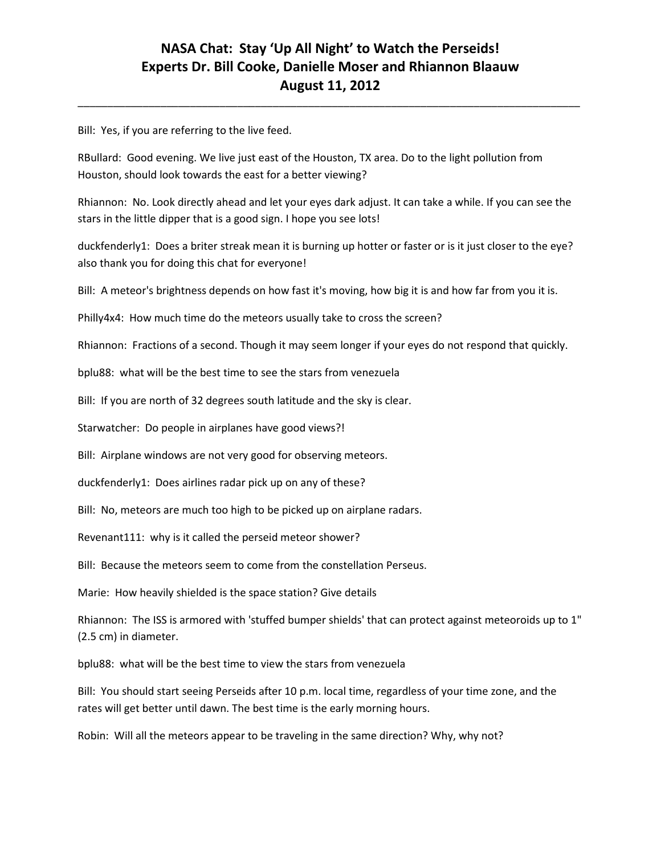\_\_\_\_\_\_\_\_\_\_\_\_\_\_\_\_\_\_\_\_\_\_\_\_\_\_\_\_\_\_\_\_\_\_\_\_\_\_\_\_\_\_\_\_\_\_\_\_\_\_\_\_\_\_\_\_\_\_\_\_\_\_\_\_\_\_\_\_\_\_\_\_\_\_\_\_\_\_\_\_\_\_\_\_\_

Bill: Yes, if you are referring to the live feed.

RBullard: Good evening. We live just east of the Houston, TX area. Do to the light pollution from Houston, should look towards the east for a better viewing?

Rhiannon: No. Look directly ahead and let your eyes dark adjust. It can take a while. If you can see the stars in the little dipper that is a good sign. I hope you see lots!

duckfenderly1: Does a briter streak mean it is burning up hotter or faster or is it just closer to the eye? also thank you for doing this chat for everyone!

Bill: A meteor's brightness depends on how fast it's moving, how big it is and how far from you it is.

Philly4x4: How much time do the meteors usually take to cross the screen?

Rhiannon: Fractions of a second. Though it may seem longer if your eyes do not respond that quickly.

bplu88: what will be the best time to see the stars from venezuela

Bill: If you are north of 32 degrees south latitude and the sky is clear.

Starwatcher: Do people in airplanes have good views?!

Bill: Airplane windows are not very good for observing meteors.

duckfenderly1: Does airlines radar pick up on any of these?

Bill: No, meteors are much too high to be picked up on airplane radars.

Revenant111: why is it called the perseid meteor shower?

Bill: Because the meteors seem to come from the constellation Perseus.

Marie: How heavily shielded is the space station? Give details

Rhiannon: The ISS is armored with 'stuffed bumper shields' that can protect against meteoroids up to 1" (2.5 cm) in diameter.

bplu88: what will be the best time to view the stars from venezuela

Bill: You should start seeing Perseids after 10 p.m. local time, regardless of your time zone, and the rates will get better until dawn. The best time is the early morning hours.

Robin: Will all the meteors appear to be traveling in the same direction? Why, why not?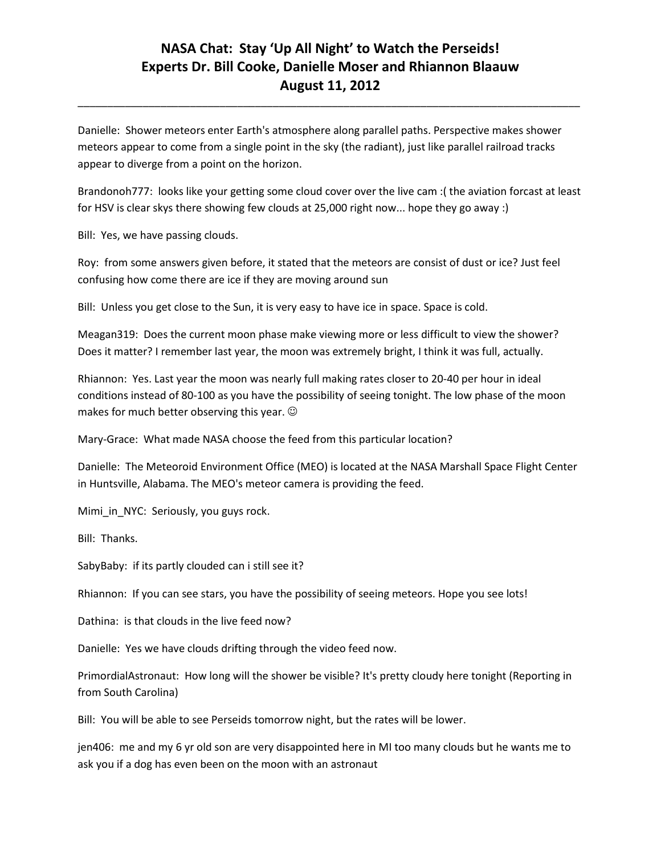\_\_\_\_\_\_\_\_\_\_\_\_\_\_\_\_\_\_\_\_\_\_\_\_\_\_\_\_\_\_\_\_\_\_\_\_\_\_\_\_\_\_\_\_\_\_\_\_\_\_\_\_\_\_\_\_\_\_\_\_\_\_\_\_\_\_\_\_\_\_\_\_\_\_\_\_\_\_\_\_\_\_\_\_\_

Danielle: Shower meteors enter Earth's atmosphere along parallel paths. Perspective makes shower meteors appear to come from a single point in the sky (the radiant), just like parallel railroad tracks appear to diverge from a point on the horizon.

Brandonoh777: looks like your getting some cloud cover over the live cam :( the aviation forcast at least for HSV is clear skys there showing few clouds at 25,000 right now... hope they go away :)

Bill: Yes, we have passing clouds.

Roy: from some answers given before, it stated that the meteors are consist of dust or ice? Just feel confusing how come there are ice if they are moving around sun

Bill: Unless you get close to the Sun, it is very easy to have ice in space. Space is cold.

Meagan319: Does the current moon phase make viewing more or less difficult to view the shower? Does it matter? I remember last year, the moon was extremely bright, I think it was full, actually.

Rhiannon: Yes. Last year the moon was nearly full making rates closer to 20-40 per hour in ideal conditions instead of 80-100 as you have the possibility of seeing tonight. The low phase of the moon makes for much better observing this year.  $\odot$ 

Mary-Grace: What made NASA choose the feed from this particular location?

Danielle: The Meteoroid Environment Office (MEO) is located at the NASA Marshall Space Flight Center in Huntsville, Alabama. The MEO's meteor camera is providing the feed.

Mimi\_in\_NYC: Seriously, you guys rock.

Bill: Thanks.

SabyBaby: if its partly clouded can i still see it?

Rhiannon: If you can see stars, you have the possibility of seeing meteors. Hope you see lots!

Dathina: is that clouds in the live feed now?

Danielle: Yes we have clouds drifting through the video feed now.

PrimordialAstronaut: How long will the shower be visible? It's pretty cloudy here tonight (Reporting in from South Carolina)

Bill: You will be able to see Perseids tomorrow night, but the rates will be lower.

jen406: me and my 6 yr old son are very disappointed here in MI too many clouds but he wants me to ask you if a dog has even been on the moon with an astronaut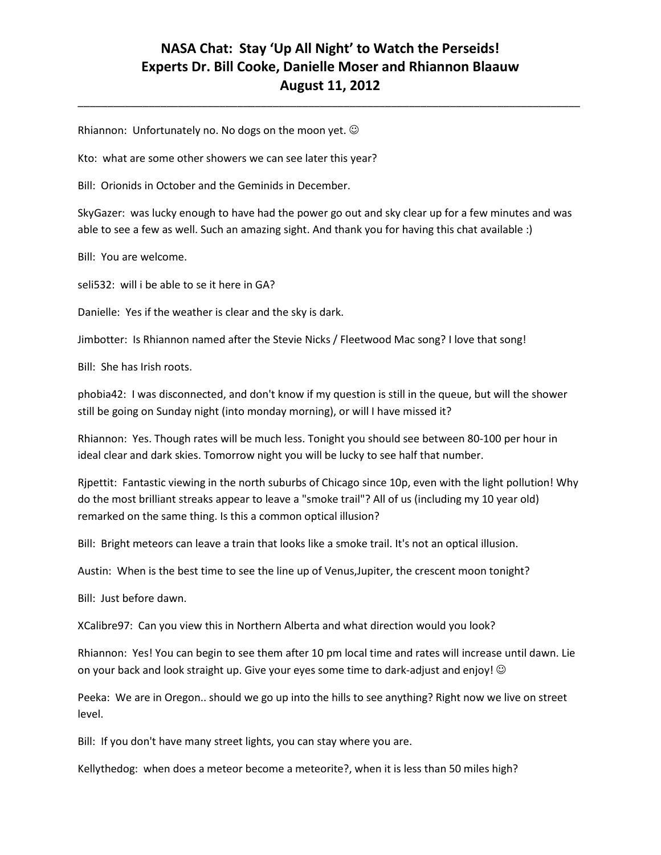\_\_\_\_\_\_\_\_\_\_\_\_\_\_\_\_\_\_\_\_\_\_\_\_\_\_\_\_\_\_\_\_\_\_\_\_\_\_\_\_\_\_\_\_\_\_\_\_\_\_\_\_\_\_\_\_\_\_\_\_\_\_\_\_\_\_\_\_\_\_\_\_\_\_\_\_\_\_\_\_\_\_\_\_\_

Rhiannon: Unfortunately no. No dogs on the moon yet.  $\odot$ 

Kto: what are some other showers we can see later this year?

Bill: Orionids in October and the Geminids in December.

SkyGazer: was lucky enough to have had the power go out and sky clear up for a few minutes and was able to see a few as well. Such an amazing sight. And thank you for having this chat available :)

Bill: You are welcome.

seli532: will i be able to se it here in GA?

Danielle: Yes if the weather is clear and the sky is dark.

Jimbotter: Is Rhiannon named after the Stevie Nicks / Fleetwood Mac song? I love that song!

Bill: She has Irish roots.

phobia42: I was disconnected, and don't know if my question is still in the queue, but will the shower still be going on Sunday night (into monday morning), or will I have missed it?

Rhiannon: Yes. Though rates will be much less. Tonight you should see between 80-100 per hour in ideal clear and dark skies. Tomorrow night you will be lucky to see half that number.

Rjpettit: Fantastic viewing in the north suburbs of Chicago since 10p, even with the light pollution! Why do the most brilliant streaks appear to leave a "smoke trail"? All of us (including my 10 year old) remarked on the same thing. Is this a common optical illusion?

Bill: Bright meteors can leave a train that looks like a smoke trail. It's not an optical illusion.

Austin: When is the best time to see the line up of Venus,Jupiter, the crescent moon tonight?

Bill: Just before dawn.

XCalibre97: Can you view this in Northern Alberta and what direction would you look?

Rhiannon: Yes! You can begin to see them after 10 pm local time and rates will increase until dawn. Lie on your back and look straight up. Give your eyes some time to dark-adjust and enjoy!

Peeka: We are in Oregon.. should we go up into the hills to see anything? Right now we live on street level.

Bill: If you don't have many street lights, you can stay where you are.

Kellythedog: when does a meteor become a meteorite?, when it is less than 50 miles high?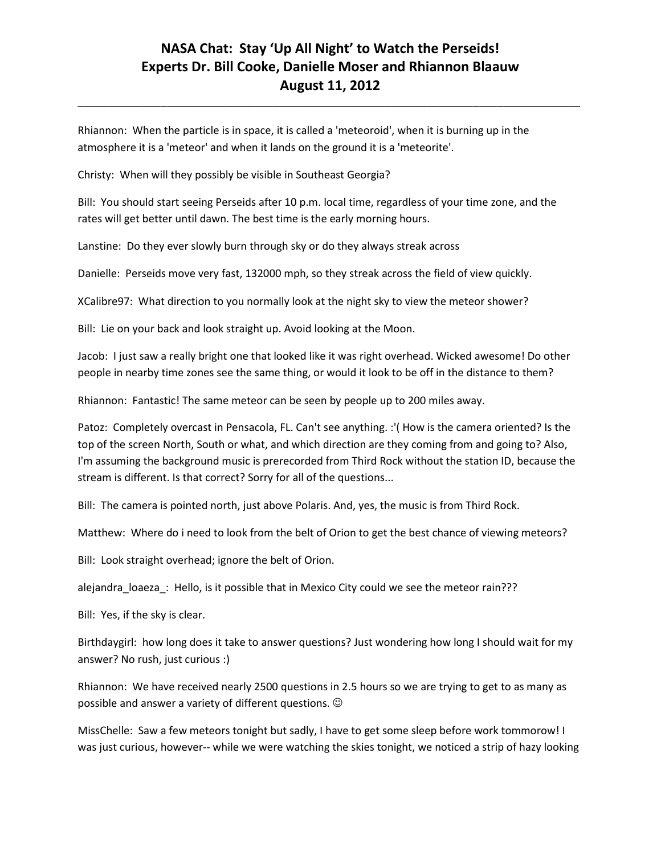\_\_\_\_\_\_\_\_\_\_\_\_\_\_\_\_\_\_\_\_\_\_\_\_\_\_\_\_\_\_\_\_\_\_\_\_\_\_\_\_\_\_\_\_\_\_\_\_\_\_\_\_\_\_\_\_\_\_\_\_\_\_\_\_\_\_\_\_\_\_\_\_\_\_\_\_\_\_\_\_\_\_\_\_\_

Rhiannon: When the particle is in space, it is called a 'meteoroid', when it is burning up in the atmosphere it is a 'meteor' and when it lands on the ground it is a 'meteorite'.

Christy: When will they possibly be visible in Southeast Georgia?

Bill: You should start seeing Perseids after 10 p.m. local time, regardless of your time zone, and the rates will get better until dawn. The best time is the early morning hours.

Lanstine: Do they ever slowly burn through sky or do they always streak across

Danielle: Perseids move very fast, 132000 mph, so they streak across the field of view quickly.

XCalibre97: What direction to you normally look at the night sky to view the meteor shower?

Bill: Lie on your back and look straight up. Avoid looking at the Moon.

Jacob: I just saw a really bright one that looked like it was right overhead. Wicked awesome! Do other people in nearby time zones see the same thing, or would it look to be off in the distance to them?

Rhiannon: Fantastic! The same meteor can be seen by people up to 200 miles away.

Patoz: Completely overcast in Pensacola, FL. Can't see anything. :'( How is the camera oriented? Is the top of the screen North, South or what, and which direction are they coming from and going to? Also, I'm assuming the background music is prerecorded from Third Rock without the station ID, because the stream is different. Is that correct? Sorry for all of the questions...

Bill: The camera is pointed north, just above Polaris. And, yes, the music is from Third Rock.

Matthew: Where do i need to look from the belt of Orion to get the best chance of viewing meteors?

Bill: Look straight overhead; ignore the belt of Orion.

alejandra\_loaeza\_: Hello, is it possible that in Mexico City could we see the meteor rain???

Bill: Yes, if the sky is clear.

Birthdaygirl: how long does it take to answer questions? Just wondering how long I should wait for my answer? No rush, just curious :)

Rhiannon: We have received nearly 2500 questions in 2.5 hours so we are trying to get to as many as possible and answer a variety of different questions.

MissChelle: Saw a few meteors tonight but sadly, I have to get some sleep before work tommorow! I was just curious, however-- while we were watching the skies tonight, we noticed a strip of hazy looking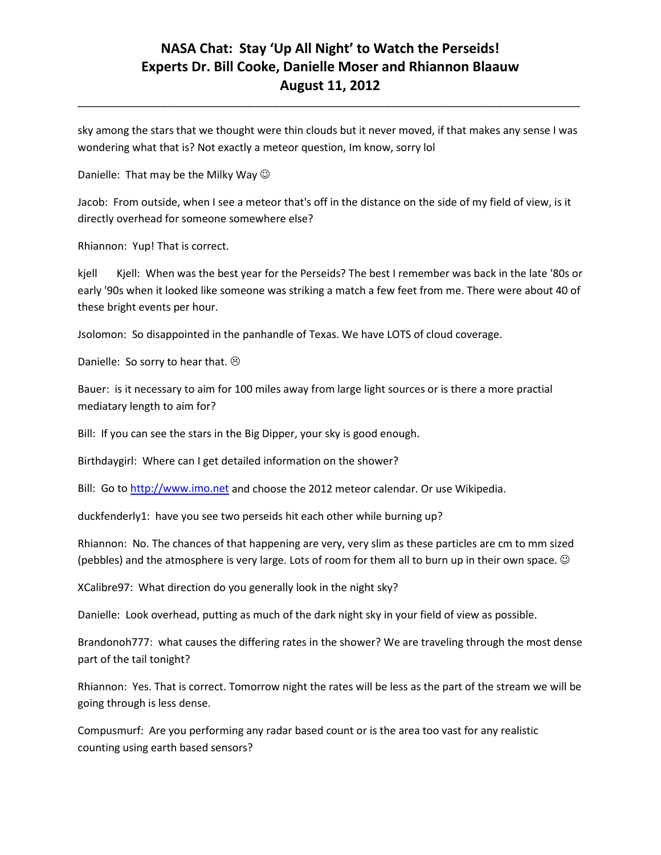sky among the stars that we thought were thin clouds but it never moved, if that makes any sense I was wondering what that is? Not exactly a meteor question, Im know, sorry lol

\_\_\_\_\_\_\_\_\_\_\_\_\_\_\_\_\_\_\_\_\_\_\_\_\_\_\_\_\_\_\_\_\_\_\_\_\_\_\_\_\_\_\_\_\_\_\_\_\_\_\_\_\_\_\_\_\_\_\_\_\_\_\_\_\_\_\_\_\_\_\_\_\_\_\_\_\_\_\_\_\_\_\_\_\_

Danielle: That may be the Milky Way  $\odot$ 

Jacob: From outside, when I see a meteor that's off in the distance on the side of my field of view, is it directly overhead for someone somewhere else?

Rhiannon: Yup! That is correct.

kjell Kjell: When was the best year for the Perseids? The best I remember was back in the late '80s or early '90s when it looked like someone was striking a match a few feet from me. There were about 40 of these bright events per hour.

Jsolomon: So disappointed in the panhandle of Texas. We have LOTS of cloud coverage.

Danielle: So sorry to hear that.  $\odot$ 

Bauer: is it necessary to aim for 100 miles away from large light sources or is there a more practial mediatary length to aim for?

Bill: If you can see the stars in the Big Dipper, your sky is good enough.

Birthdaygirl: Where can I get detailed information on the shower?

Bill: Go t[o http://www.imo.net](http://www.imo.net/) and choose the 2012 meteor calendar. Or use Wikipedia.

duckfenderly1: have you see two perseids hit each other while burning up?

Rhiannon: No. The chances of that happening are very, very slim as these particles are cm to mm sized (pebbles) and the atmosphere is very large. Lots of room for them all to burn up in their own space.  $\odot$ 

XCalibre97: What direction do you generally look in the night sky?

Danielle: Look overhead, putting as much of the dark night sky in your field of view as possible.

Brandonoh777: what causes the differing rates in the shower? We are traveling through the most dense part of the tail tonight?

Rhiannon: Yes. That is correct. Tomorrow night the rates will be less as the part of the stream we will be going through is less dense.

Compusmurf: Are you performing any radar based count or is the area too vast for any realistic counting using earth based sensors?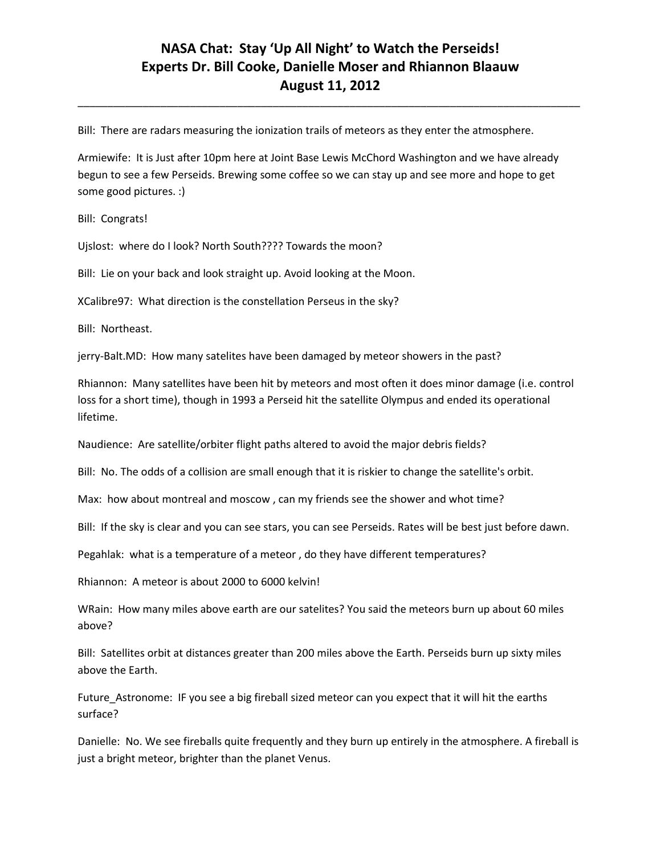\_\_\_\_\_\_\_\_\_\_\_\_\_\_\_\_\_\_\_\_\_\_\_\_\_\_\_\_\_\_\_\_\_\_\_\_\_\_\_\_\_\_\_\_\_\_\_\_\_\_\_\_\_\_\_\_\_\_\_\_\_\_\_\_\_\_\_\_\_\_\_\_\_\_\_\_\_\_\_\_\_\_\_\_\_

Bill: There are radars measuring the ionization trails of meteors as they enter the atmosphere.

Armiewife: It is Just after 10pm here at Joint Base Lewis McChord Washington and we have already begun to see a few Perseids. Brewing some coffee so we can stay up and see more and hope to get some good pictures. :)

Bill: Congrats!

Ujslost: where do I look? North South???? Towards the moon?

Bill: Lie on your back and look straight up. Avoid looking at the Moon.

XCalibre97: What direction is the constellation Perseus in the sky?

Bill: Northeast.

jerry-Balt.MD: How many satelites have been damaged by meteor showers in the past?

Rhiannon: Many satellites have been hit by meteors and most often it does minor damage (i.e. control loss for a short time), though in 1993 a Perseid hit the satellite Olympus and ended its operational lifetime.

Naudience: Are satellite/orbiter flight paths altered to avoid the major debris fields?

Bill: No. The odds of a collision are small enough that it is riskier to change the satellite's orbit.

Max: how about montreal and moscow , can my friends see the shower and whot time?

Bill: If the sky is clear and you can see stars, you can see Perseids. Rates will be best just before dawn.

Pegahlak: what is a temperature of a meteor , do they have different temperatures?

Rhiannon: A meteor is about 2000 to 6000 kelvin!

WRain: How many miles above earth are our satelites? You said the meteors burn up about 60 miles above?

Bill: Satellites orbit at distances greater than 200 miles above the Earth. Perseids burn up sixty miles above the Earth.

Future\_Astronome: IF you see a big fireball sized meteor can you expect that it will hit the earths surface?

Danielle: No. We see fireballs quite frequently and they burn up entirely in the atmosphere. A fireball is just a bright meteor, brighter than the planet Venus.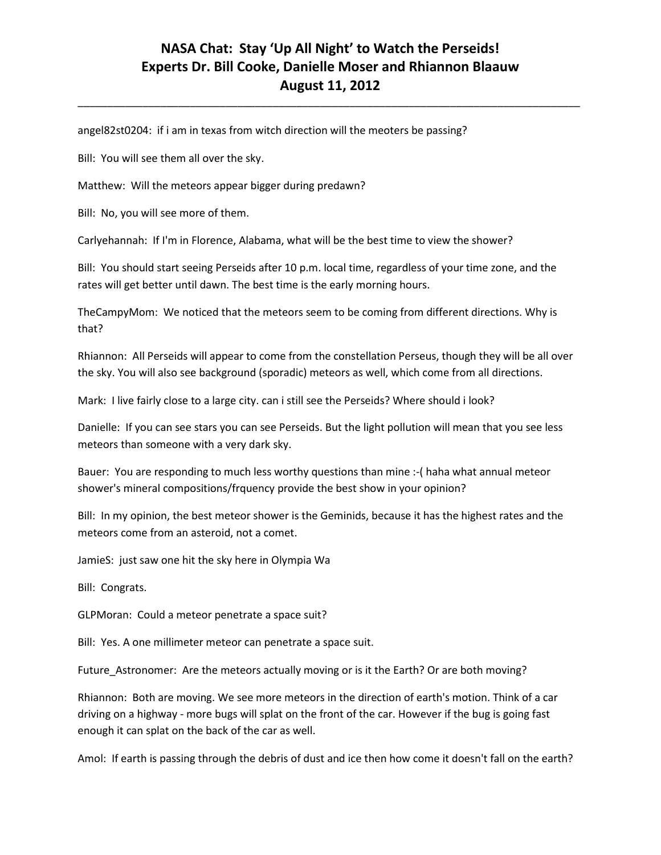\_\_\_\_\_\_\_\_\_\_\_\_\_\_\_\_\_\_\_\_\_\_\_\_\_\_\_\_\_\_\_\_\_\_\_\_\_\_\_\_\_\_\_\_\_\_\_\_\_\_\_\_\_\_\_\_\_\_\_\_\_\_\_\_\_\_\_\_\_\_\_\_\_\_\_\_\_\_\_\_\_\_\_\_\_

angel82st0204: if i am in texas from witch direction will the meoters be passing?

Bill: You will see them all over the sky.

Matthew: Will the meteors appear bigger during predawn?

Bill: No, you will see more of them.

Carlyehannah: If I'm in Florence, Alabama, what will be the best time to view the shower?

Bill: You should start seeing Perseids after 10 p.m. local time, regardless of your time zone, and the rates will get better until dawn. The best time is the early morning hours.

TheCampyMom: We noticed that the meteors seem to be coming from different directions. Why is that?

Rhiannon: All Perseids will appear to come from the constellation Perseus, though they will be all over the sky. You will also see background (sporadic) meteors as well, which come from all directions.

Mark: I live fairly close to a large city. can i still see the Perseids? Where should i look?

Danielle: If you can see stars you can see Perseids. But the light pollution will mean that you see less meteors than someone with a very dark sky.

Bauer: You are responding to much less worthy questions than mine :-( haha what annual meteor shower's mineral compositions/frquency provide the best show in your opinion?

Bill: In my opinion, the best meteor shower is the Geminids, because it has the highest rates and the meteors come from an asteroid, not a comet.

JamieS: just saw one hit the sky here in Olympia Wa

Bill: Congrats.

GLPMoran: Could a meteor penetrate a space suit?

Bill: Yes. A one millimeter meteor can penetrate a space suit.

Future\_Astronomer: Are the meteors actually moving or is it the Earth? Or are both moving?

Rhiannon: Both are moving. We see more meteors in the direction of earth's motion. Think of a car driving on a highway - more bugs will splat on the front of the car. However if the bug is going fast enough it can splat on the back of the car as well.

Amol: If earth is passing through the debris of dust and ice then how come it doesn't fall on the earth?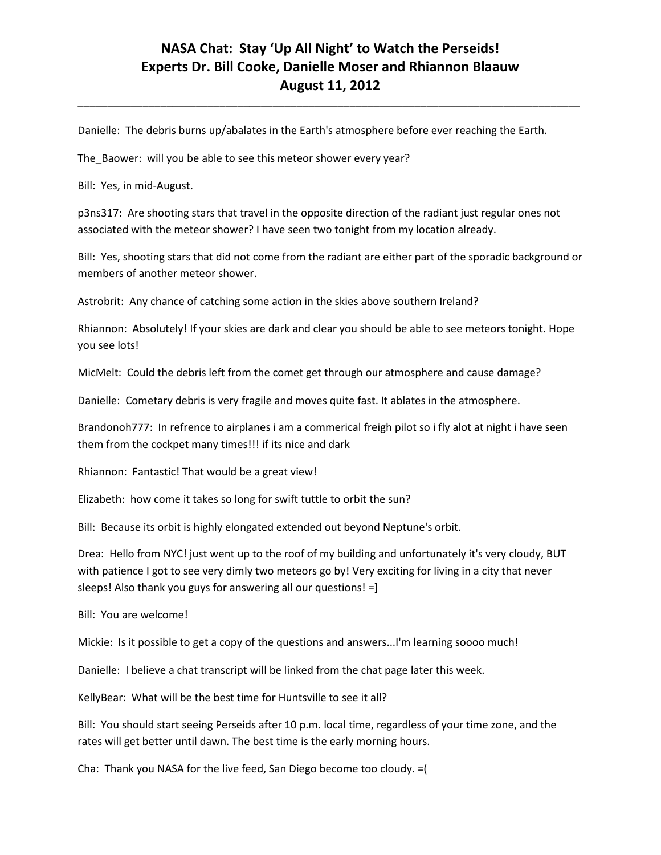\_\_\_\_\_\_\_\_\_\_\_\_\_\_\_\_\_\_\_\_\_\_\_\_\_\_\_\_\_\_\_\_\_\_\_\_\_\_\_\_\_\_\_\_\_\_\_\_\_\_\_\_\_\_\_\_\_\_\_\_\_\_\_\_\_\_\_\_\_\_\_\_\_\_\_\_\_\_\_\_\_\_\_\_\_

Danielle: The debris burns up/abalates in the Earth's atmosphere before ever reaching the Earth.

The\_Baower: will you be able to see this meteor shower every year?

Bill: Yes, in mid-August.

p3ns317: Are shooting stars that travel in the opposite direction of the radiant just regular ones not associated with the meteor shower? I have seen two tonight from my location already.

Bill: Yes, shooting stars that did not come from the radiant are either part of the sporadic background or members of another meteor shower.

Astrobrit: Any chance of catching some action in the skies above southern Ireland?

Rhiannon: Absolutely! If your skies are dark and clear you should be able to see meteors tonight. Hope you see lots!

MicMelt: Could the debris left from the comet get through our atmosphere and cause damage?

Danielle: Cometary debris is very fragile and moves quite fast. It ablates in the atmosphere.

Brandonoh777: In refrence to airplanes i am a commerical freigh pilot so i fly alot at night i have seen them from the cockpet many times!!! if its nice and dark

Rhiannon: Fantastic! That would be a great view!

Elizabeth: how come it takes so long for swift tuttle to orbit the sun?

Bill: Because its orbit is highly elongated extended out beyond Neptune's orbit.

Drea: Hello from NYC! just went up to the roof of my building and unfortunately it's very cloudy, BUT with patience I got to see very dimly two meteors go by! Very exciting for living in a city that never sleeps! Also thank you guys for answering all our questions! =]

Bill: You are welcome!

Mickie: Is it possible to get a copy of the questions and answers...I'm learning soooo much!

Danielle: I believe a chat transcript will be linked from the chat page later this week.

KellyBear: What will be the best time for Huntsville to see it all?

Bill: You should start seeing Perseids after 10 p.m. local time, regardless of your time zone, and the rates will get better until dawn. The best time is the early morning hours.

Cha: Thank you NASA for the live feed, San Diego become too cloudy. =(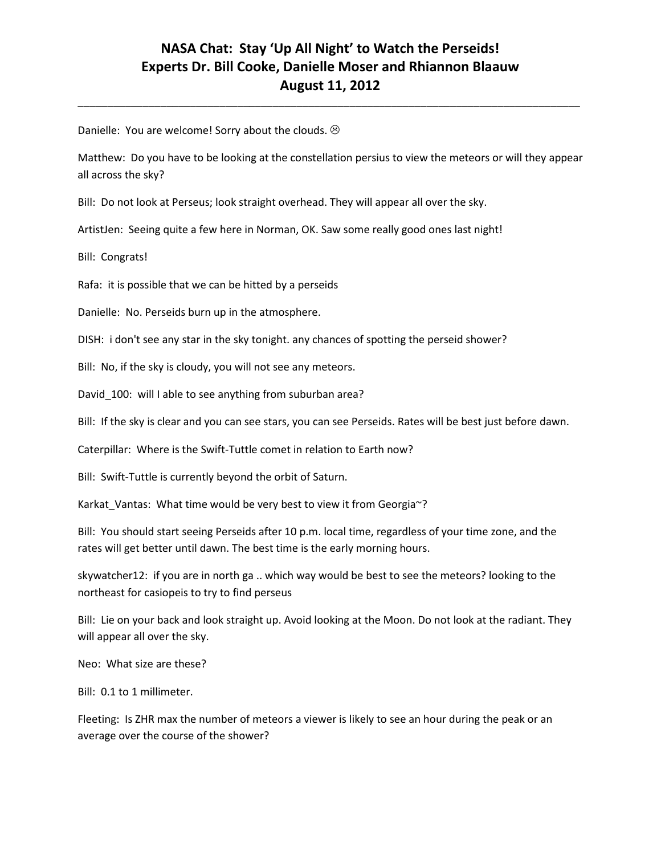\_\_\_\_\_\_\_\_\_\_\_\_\_\_\_\_\_\_\_\_\_\_\_\_\_\_\_\_\_\_\_\_\_\_\_\_\_\_\_\_\_\_\_\_\_\_\_\_\_\_\_\_\_\_\_\_\_\_\_\_\_\_\_\_\_\_\_\_\_\_\_\_\_\_\_\_\_\_\_\_\_\_\_\_\_

Danielle: You are welcome! Sorry about the clouds.  $\odot$ 

Matthew: Do you have to be looking at the constellation persius to view the meteors or will they appear all across the sky?

Bill: Do not look at Perseus; look straight overhead. They will appear all over the sky.

ArtistJen: Seeing quite a few here in Norman, OK. Saw some really good ones last night!

Bill: Congrats!

Rafa: it is possible that we can be hitted by a perseids

Danielle: No. Perseids burn up in the atmosphere.

DISH: i don't see any star in the sky tonight. any chances of spotting the perseid shower?

Bill: No, if the sky is cloudy, you will not see any meteors.

David\_100: will I able to see anything from suburban area?

Bill: If the sky is clear and you can see stars, you can see Perseids. Rates will be best just before dawn.

Caterpillar: Where is the Swift-Tuttle comet in relation to Earth now?

Bill: Swift-Tuttle is currently beyond the orbit of Saturn.

Karkat\_Vantas: What time would be very best to view it from Georgia~?

Bill: You should start seeing Perseids after 10 p.m. local time, regardless of your time zone, and the rates will get better until dawn. The best time is the early morning hours.

skywatcher12: if you are in north ga .. which way would be best to see the meteors? looking to the northeast for casiopeis to try to find perseus

Bill: Lie on your back and look straight up. Avoid looking at the Moon. Do not look at the radiant. They will appear all over the sky.

Neo: What size are these?

Bill: 0.1 to 1 millimeter.

Fleeting: Is ZHR max the number of meteors a viewer is likely to see an hour during the peak or an average over the course of the shower?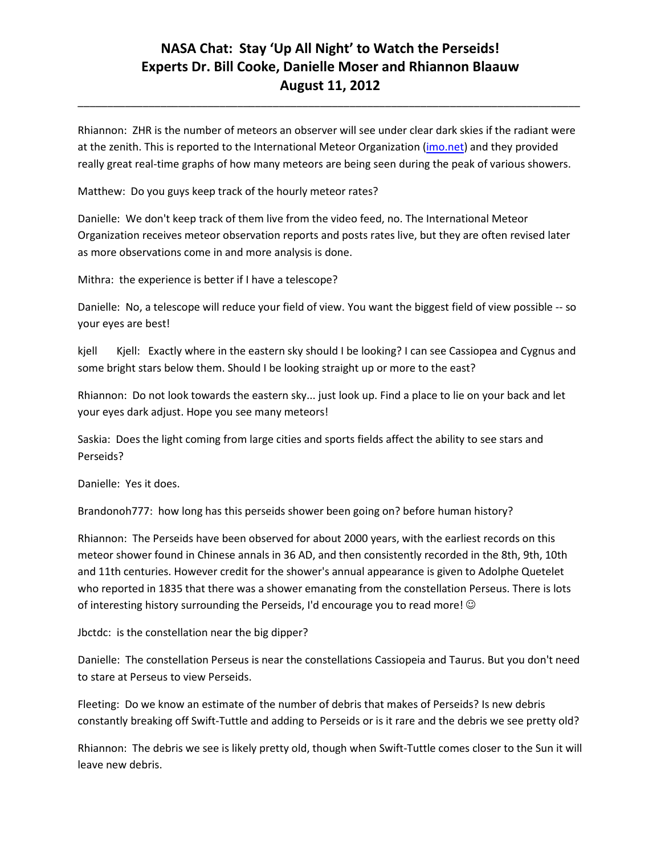Rhiannon: ZHR is the number of meteors an observer will see under clear dark skies if the radiant were at the zenith. This is reported to the International Meteor Organization (*imo.net*) and they provided really great real-time graphs of how many meteors are being seen during the peak of various showers.

\_\_\_\_\_\_\_\_\_\_\_\_\_\_\_\_\_\_\_\_\_\_\_\_\_\_\_\_\_\_\_\_\_\_\_\_\_\_\_\_\_\_\_\_\_\_\_\_\_\_\_\_\_\_\_\_\_\_\_\_\_\_\_\_\_\_\_\_\_\_\_\_\_\_\_\_\_\_\_\_\_\_\_\_\_

Matthew: Do you guys keep track of the hourly meteor rates?

Danielle: We don't keep track of them live from the video feed, no. The International Meteor Organization receives meteor observation reports and posts rates live, but they are often revised later as more observations come in and more analysis is done.

Mithra: the experience is better if I have a telescope?

Danielle: No, a telescope will reduce your field of view. You want the biggest field of view possible -- so your eyes are best!

kjell Kjell: Exactly where in the eastern sky should I be looking? I can see Cassiopea and Cygnus and some bright stars below them. Should I be looking straight up or more to the east?

Rhiannon: Do not look towards the eastern sky... just look up. Find a place to lie on your back and let your eyes dark adjust. Hope you see many meteors!

Saskia: Does the light coming from large cities and sports fields affect the ability to see stars and Perseids?

Danielle: Yes it does.

Brandonoh777: how long has this perseids shower been going on? before human history?

Rhiannon: The Perseids have been observed for about 2000 years, with the earliest records on this meteor shower found in Chinese annals in 36 AD, and then consistently recorded in the 8th, 9th, 10th and 11th centuries. However credit for the shower's annual appearance is given to Adolphe Quetelet who reported in 1835 that there was a shower emanating from the constellation Perseus. There is lots of interesting history surrounding the Perseids, I'd encourage you to read more!

Jbctdc: is the constellation near the big dipper?

Danielle: The constellation Perseus is near the constellations Cassiopeia and Taurus. But you don't need to stare at Perseus to view Perseids.

Fleeting: Do we know an estimate of the number of debris that makes of Perseids? Is new debris constantly breaking off Swift-Tuttle and adding to Perseids or is it rare and the debris we see pretty old?

Rhiannon: The debris we see is likely pretty old, though when Swift-Tuttle comes closer to the Sun it will leave new debris.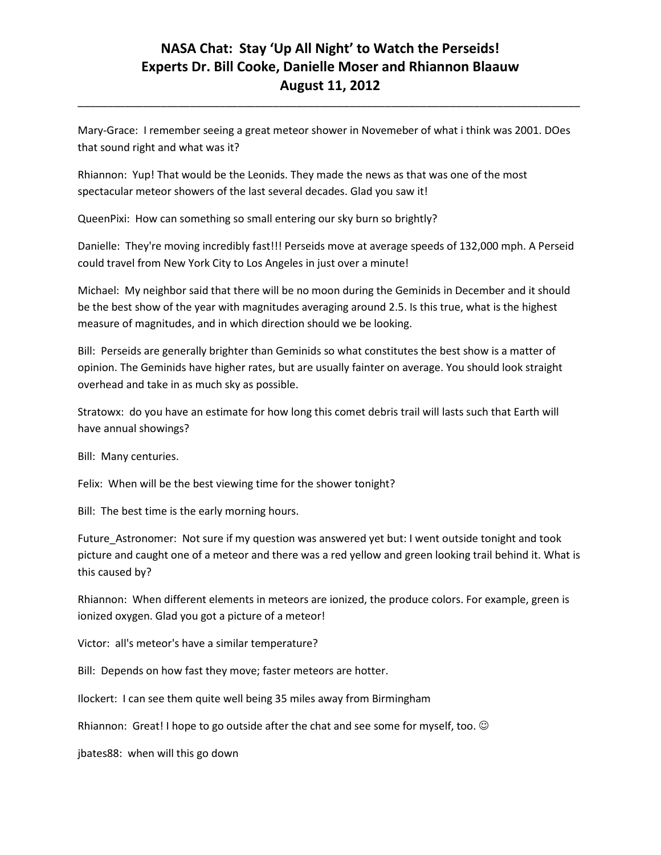\_\_\_\_\_\_\_\_\_\_\_\_\_\_\_\_\_\_\_\_\_\_\_\_\_\_\_\_\_\_\_\_\_\_\_\_\_\_\_\_\_\_\_\_\_\_\_\_\_\_\_\_\_\_\_\_\_\_\_\_\_\_\_\_\_\_\_\_\_\_\_\_\_\_\_\_\_\_\_\_\_\_\_\_\_

Mary-Grace: I remember seeing a great meteor shower in Novemeber of what i think was 2001. DOes that sound right and what was it?

Rhiannon: Yup! That would be the Leonids. They made the news as that was one of the most spectacular meteor showers of the last several decades. Glad you saw it!

QueenPixi: How can something so small entering our sky burn so brightly?

Danielle: They're moving incredibly fast!!! Perseids move at average speeds of 132,000 mph. A Perseid could travel from New York City to Los Angeles in just over a minute!

Michael: My neighbor said that there will be no moon during the Geminids in December and it should be the best show of the year with magnitudes averaging around 2.5. Is this true, what is the highest measure of magnitudes, and in which direction should we be looking.

Bill: Perseids are generally brighter than Geminids so what constitutes the best show is a matter of opinion. The Geminids have higher rates, but are usually fainter on average. You should look straight overhead and take in as much sky as possible.

Stratowx: do you have an estimate for how long this comet debris trail will lasts such that Earth will have annual showings?

Bill: Many centuries.

Felix: When will be the best viewing time for the shower tonight?

Bill: The best time is the early morning hours.

Future\_Astronomer: Not sure if my question was answered yet but: I went outside tonight and took picture and caught one of a meteor and there was a red yellow and green looking trail behind it. What is this caused by?

Rhiannon: When different elements in meteors are ionized, the produce colors. For example, green is ionized oxygen. Glad you got a picture of a meteor!

Victor: all's meteor's have a similar temperature?

Bill: Depends on how fast they move; faster meteors are hotter.

Ilockert: I can see them quite well being 35 miles away from Birmingham

Rhiannon: Great! I hope to go outside after the chat and see some for myself, too.  $\odot$ 

jbates88: when will this go down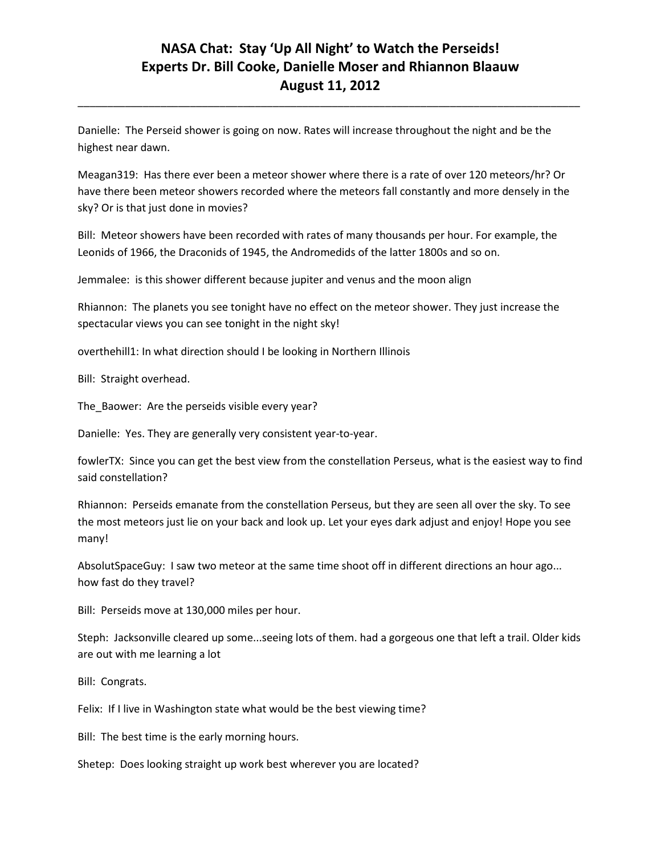\_\_\_\_\_\_\_\_\_\_\_\_\_\_\_\_\_\_\_\_\_\_\_\_\_\_\_\_\_\_\_\_\_\_\_\_\_\_\_\_\_\_\_\_\_\_\_\_\_\_\_\_\_\_\_\_\_\_\_\_\_\_\_\_\_\_\_\_\_\_\_\_\_\_\_\_\_\_\_\_\_\_\_\_\_

Danielle: The Perseid shower is going on now. Rates will increase throughout the night and be the highest near dawn.

Meagan319: Has there ever been a meteor shower where there is a rate of over 120 meteors/hr? Or have there been meteor showers recorded where the meteors fall constantly and more densely in the sky? Or is that just done in movies?

Bill: Meteor showers have been recorded with rates of many thousands per hour. For example, the Leonids of 1966, the Draconids of 1945, the Andromedids of the latter 1800s and so on.

Jemmalee: is this shower different because jupiter and venus and the moon align

Rhiannon: The planets you see tonight have no effect on the meteor shower. They just increase the spectacular views you can see tonight in the night sky!

overthehill1: In what direction should I be looking in Northern Illinois

Bill: Straight overhead.

The Baower: Are the perseids visible every year?

Danielle: Yes. They are generally very consistent year-to-year.

fowlerTX: Since you can get the best view from the constellation Perseus, what is the easiest way to find said constellation?

Rhiannon: Perseids emanate from the constellation Perseus, but they are seen all over the sky. To see the most meteors just lie on your back and look up. Let your eyes dark adjust and enjoy! Hope you see many!

AbsolutSpaceGuy: I saw two meteor at the same time shoot off in different directions an hour ago... how fast do they travel?

Bill: Perseids move at 130,000 miles per hour.

Steph: Jacksonville cleared up some...seeing lots of them. had a gorgeous one that left a trail. Older kids are out with me learning a lot

Bill: Congrats.

Felix: If I live in Washington state what would be the best viewing time?

Bill: The best time is the early morning hours.

Shetep: Does looking straight up work best wherever you are located?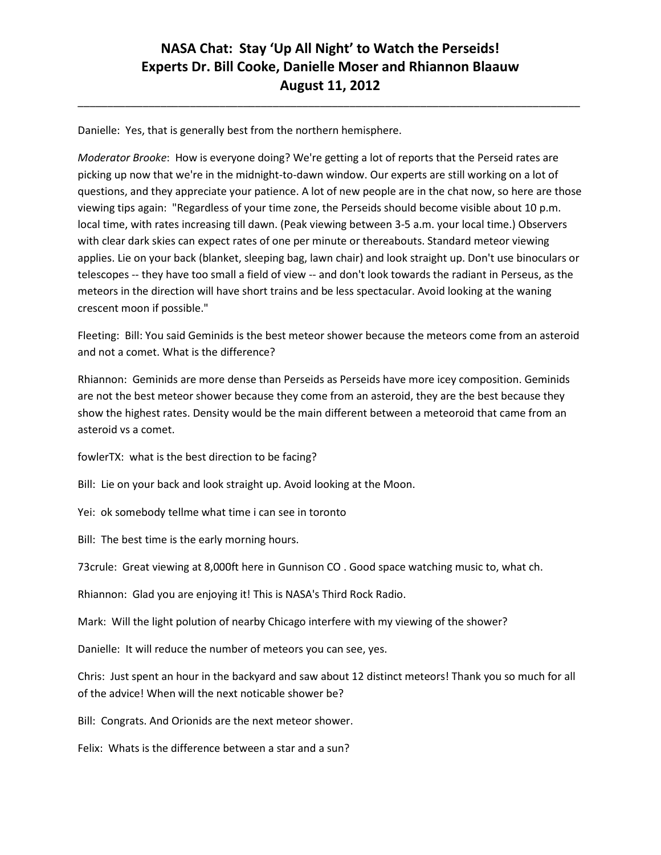\_\_\_\_\_\_\_\_\_\_\_\_\_\_\_\_\_\_\_\_\_\_\_\_\_\_\_\_\_\_\_\_\_\_\_\_\_\_\_\_\_\_\_\_\_\_\_\_\_\_\_\_\_\_\_\_\_\_\_\_\_\_\_\_\_\_\_\_\_\_\_\_\_\_\_\_\_\_\_\_\_\_\_\_\_

Danielle: Yes, that is generally best from the northern hemisphere.

*Moderator Brooke*: How is everyone doing? We're getting a lot of reports that the Perseid rates are picking up now that we're in the midnight-to-dawn window. Our experts are still working on a lot of questions, and they appreciate your patience. A lot of new people are in the chat now, so here are those viewing tips again: "Regardless of your time zone, the Perseids should become visible about 10 p.m. local time, with rates increasing till dawn. (Peak viewing between 3-5 a.m. your local time.) Observers with clear dark skies can expect rates of one per minute or thereabouts. Standard meteor viewing applies. Lie on your back (blanket, sleeping bag, lawn chair) and look straight up. Don't use binoculars or telescopes -- they have too small a field of view -- and don't look towards the radiant in Perseus, as the meteors in the direction will have short trains and be less spectacular. Avoid looking at the waning crescent moon if possible."

Fleeting: Bill: You said Geminids is the best meteor shower because the meteors come from an asteroid and not a comet. What is the difference?

Rhiannon: Geminids are more dense than Perseids as Perseids have more icey composition. Geminids are not the best meteor shower because they come from an asteroid, they are the best because they show the highest rates. Density would be the main different between a meteoroid that came from an asteroid vs a comet.

fowlerTX: what is the best direction to be facing?

Bill: Lie on your back and look straight up. Avoid looking at the Moon.

Yei: ok somebody tellme what time i can see in toronto

Bill: The best time is the early morning hours.

73crule: Great viewing at 8,000ft here in Gunnison CO . Good space watching music to, what ch.

Rhiannon: Glad you are enjoying it! This is NASA's Third Rock Radio.

Mark: Will the light polution of nearby Chicago interfere with my viewing of the shower?

Danielle: It will reduce the number of meteors you can see, yes.

Chris: Just spent an hour in the backyard and saw about 12 distinct meteors! Thank you so much for all of the advice! When will the next noticable shower be?

Bill: Congrats. And Orionids are the next meteor shower.

Felix: Whats is the difference between a star and a sun?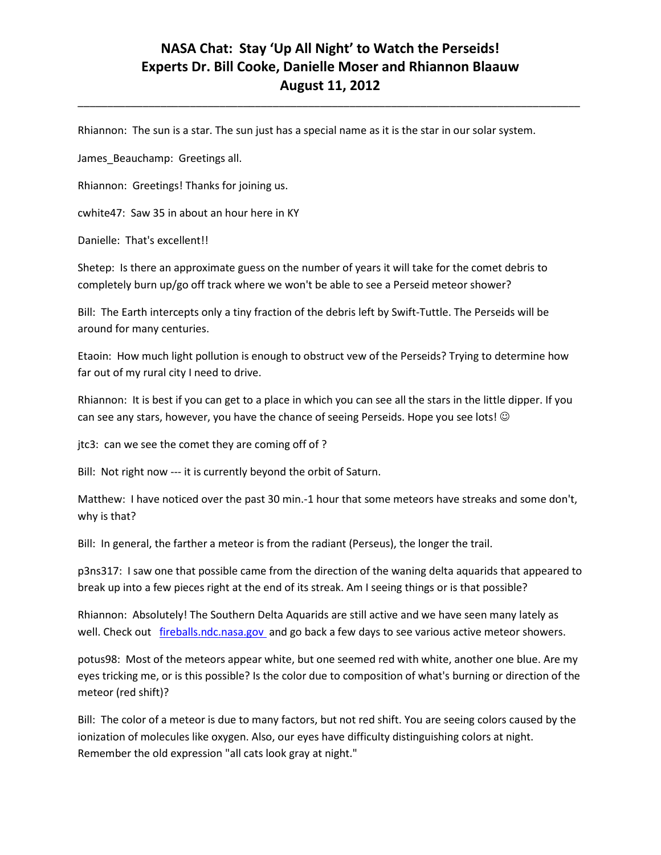\_\_\_\_\_\_\_\_\_\_\_\_\_\_\_\_\_\_\_\_\_\_\_\_\_\_\_\_\_\_\_\_\_\_\_\_\_\_\_\_\_\_\_\_\_\_\_\_\_\_\_\_\_\_\_\_\_\_\_\_\_\_\_\_\_\_\_\_\_\_\_\_\_\_\_\_\_\_\_\_\_\_\_\_\_

Rhiannon: The sun is a star. The sun just has a special name as it is the star in our solar system.

James\_Beauchamp: Greetings all.

Rhiannon: Greetings! Thanks for joining us.

cwhite47: Saw 35 in about an hour here in KY

Danielle: That's excellent!!

Shetep: Is there an approximate guess on the number of years it will take for the comet debris to completely burn up/go off track where we won't be able to see a Perseid meteor shower?

Bill: The Earth intercepts only a tiny fraction of the debris left by Swift-Tuttle. The Perseids will be around for many centuries.

Etaoin: How much light pollution is enough to obstruct vew of the Perseids? Trying to determine how far out of my rural city I need to drive.

Rhiannon: It is best if you can get to a place in which you can see all the stars in the little dipper. If you can see any stars, however, you have the chance of seeing Perseids. Hope you see lots! ©

jtc3: can we see the comet they are coming off of ?

Bill: Not right now --- it is currently beyond the orbit of Saturn.

Matthew: I have noticed over the past 30 min.-1 hour that some meteors have streaks and some don't, why is that?

Bill: In general, the farther a meteor is from the radiant (Perseus), the longer the trail.

p3ns317: I saw one that possible came from the direction of the waning delta aquarids that appeared to break up into a few pieces right at the end of its streak. Am I seeing things or is that possible?

Rhiannon: Absolutely! The Southern Delta Aquarids are still active and we have seen many lately as well. Check out [fireballs.ndc.nasa.gov](http://fireballs.ndc.nasa.gov/) and go back a few days to see various active meteor showers.

potus98: Most of the meteors appear white, but one seemed red with white, another one blue. Are my eyes tricking me, or is this possible? Is the color due to composition of what's burning or direction of the meteor (red shift)?

Bill: The color of a meteor is due to many factors, but not red shift. You are seeing colors caused by the ionization of molecules like oxygen. Also, our eyes have difficulty distinguishing colors at night. Remember the old expression "all cats look gray at night."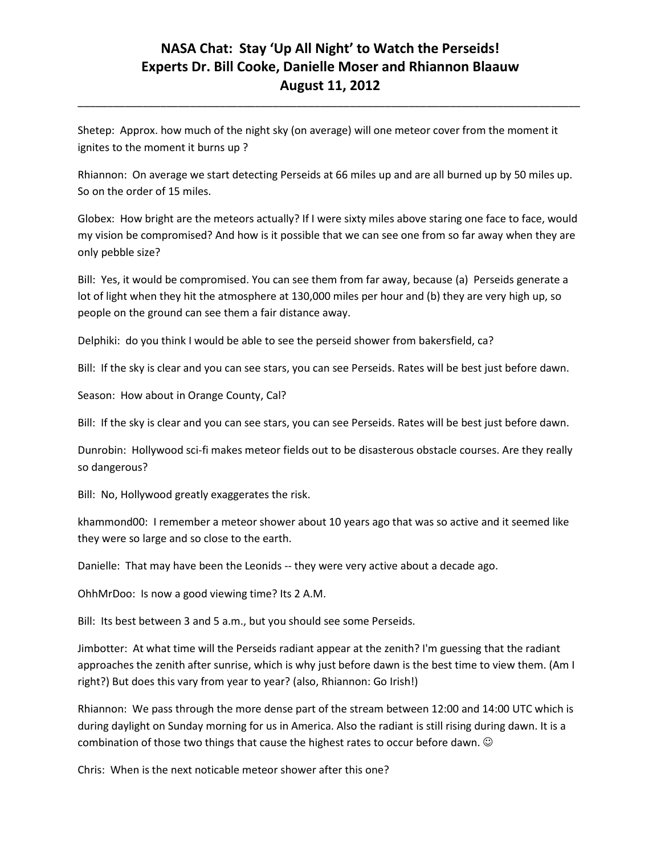\_\_\_\_\_\_\_\_\_\_\_\_\_\_\_\_\_\_\_\_\_\_\_\_\_\_\_\_\_\_\_\_\_\_\_\_\_\_\_\_\_\_\_\_\_\_\_\_\_\_\_\_\_\_\_\_\_\_\_\_\_\_\_\_\_\_\_\_\_\_\_\_\_\_\_\_\_\_\_\_\_\_\_\_\_

Shetep: Approx. how much of the night sky (on average) will one meteor cover from the moment it ignites to the moment it burns up ?

Rhiannon: On average we start detecting Perseids at 66 miles up and are all burned up by 50 miles up. So on the order of 15 miles.

Globex: How bright are the meteors actually? If I were sixty miles above staring one face to face, would my vision be compromised? And how is it possible that we can see one from so far away when they are only pebble size?

Bill: Yes, it would be compromised. You can see them from far away, because (a) Perseids generate a lot of light when they hit the atmosphere at 130,000 miles per hour and (b) they are very high up, so people on the ground can see them a fair distance away.

Delphiki: do you think I would be able to see the perseid shower from bakersfield, ca?

Bill: If the sky is clear and you can see stars, you can see Perseids. Rates will be best just before dawn.

Season: How about in Orange County, Cal?

Bill: If the sky is clear and you can see stars, you can see Perseids. Rates will be best just before dawn.

Dunrobin: Hollywood sci-fi makes meteor fields out to be disasterous obstacle courses. Are they really so dangerous?

Bill: No, Hollywood greatly exaggerates the risk.

khammond00: I remember a meteor shower about 10 years ago that was so active and it seemed like they were so large and so close to the earth.

Danielle: That may have been the Leonids -- they were very active about a decade ago.

OhhMrDoo: Is now a good viewing time? Its 2 A.M.

Bill: Its best between 3 and 5 a.m., but you should see some Perseids.

Jimbotter: At what time will the Perseids radiant appear at the zenith? I'm guessing that the radiant approaches the zenith after sunrise, which is why just before dawn is the best time to view them. (Am I right?) But does this vary from year to year? (also, Rhiannon: Go Irish!)

Rhiannon: We pass through the more dense part of the stream between 12:00 and 14:00 UTC which is during daylight on Sunday morning for us in America. Also the radiant is still rising during dawn. It is a combination of those two things that cause the highest rates to occur before dawn.  $\odot$ 

Chris: When is the next noticable meteor shower after this one?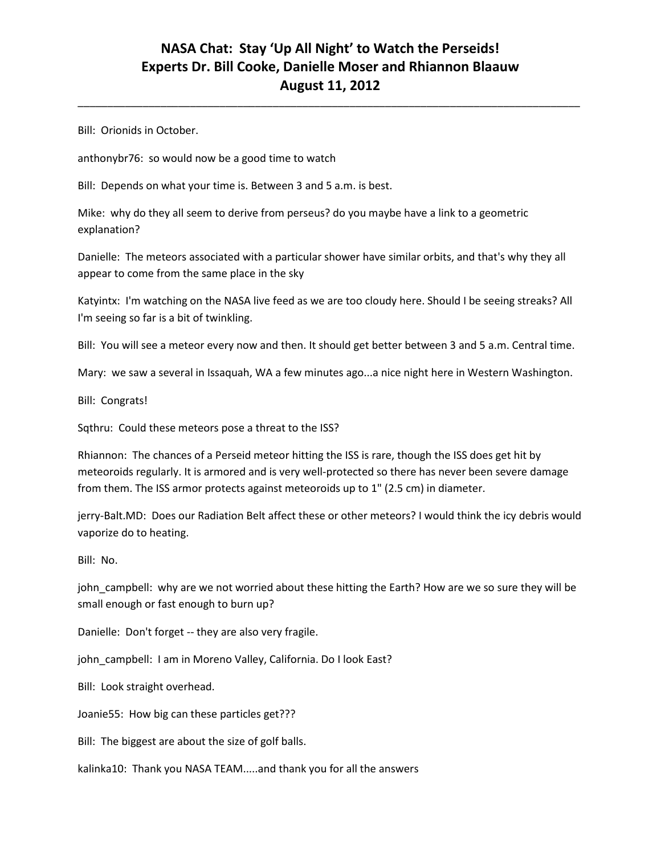\_\_\_\_\_\_\_\_\_\_\_\_\_\_\_\_\_\_\_\_\_\_\_\_\_\_\_\_\_\_\_\_\_\_\_\_\_\_\_\_\_\_\_\_\_\_\_\_\_\_\_\_\_\_\_\_\_\_\_\_\_\_\_\_\_\_\_\_\_\_\_\_\_\_\_\_\_\_\_\_\_\_\_\_\_

Bill: Orionids in October.

anthonybr76: so would now be a good time to watch

Bill: Depends on what your time is. Between 3 and 5 a.m. is best.

Mike: why do they all seem to derive from perseus? do you maybe have a link to a geometric explanation?

Danielle: The meteors associated with a particular shower have similar orbits, and that's why they all appear to come from the same place in the sky

Katyintx: I'm watching on the NASA live feed as we are too cloudy here. Should I be seeing streaks? All I'm seeing so far is a bit of twinkling.

Bill: You will see a meteor every now and then. It should get better between 3 and 5 a.m. Central time.

Mary: we saw a several in Issaquah, WA a few minutes ago...a nice night here in Western Washington.

Bill: Congrats!

Sqthru: Could these meteors pose a threat to the ISS?

Rhiannon: The chances of a Perseid meteor hitting the ISS is rare, though the ISS does get hit by meteoroids regularly. It is armored and is very well-protected so there has never been severe damage from them. The ISS armor protects against meteoroids up to 1" (2.5 cm) in diameter.

jerry-Balt.MD: Does our Radiation Belt affect these or other meteors? I would think the icy debris would vaporize do to heating.

Bill: No.

john campbell: why are we not worried about these hitting the Earth? How are we so sure they will be small enough or fast enough to burn up?

Danielle: Don't forget -- they are also very fragile.

john\_campbell: I am in Moreno Valley, California. Do I look East?

Bill: Look straight overhead.

Joanie55: How big can these particles get???

Bill: The biggest are about the size of golf balls.

kalinka10: Thank you NASA TEAM.....and thank you for all the answers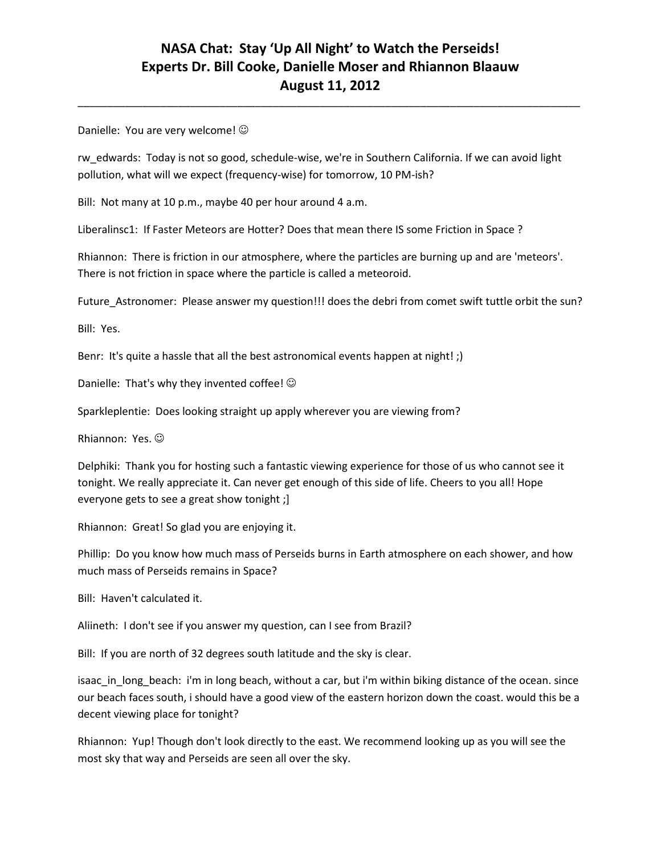\_\_\_\_\_\_\_\_\_\_\_\_\_\_\_\_\_\_\_\_\_\_\_\_\_\_\_\_\_\_\_\_\_\_\_\_\_\_\_\_\_\_\_\_\_\_\_\_\_\_\_\_\_\_\_\_\_\_\_\_\_\_\_\_\_\_\_\_\_\_\_\_\_\_\_\_\_\_\_\_\_\_\_\_\_

Danielle: You are very welcome!  $\odot$ 

rw\_edwards: Today is not so good, schedule-wise, we're in Southern California. If we can avoid light pollution, what will we expect (frequency-wise) for tomorrow, 10 PM-ish?

Bill: Not many at 10 p.m., maybe 40 per hour around 4 a.m.

Liberalinsc1: If Faster Meteors are Hotter? Does that mean there IS some Friction in Space ?

Rhiannon: There is friction in our atmosphere, where the particles are burning up and are 'meteors'. There is not friction in space where the particle is called a meteoroid.

Future\_Astronomer: Please answer my question!!! does the debri from comet swift tuttle orbit the sun?

Bill: Yes.

Benr: It's quite a hassle that all the best astronomical events happen at night!;)

Danielle: That's why they invented coffee!  $\odot$ 

Sparkleplentie: Does looking straight up apply wherever you are viewing from?

Rhiannon: Yes.

Delphiki: Thank you for hosting such a fantastic viewing experience for those of us who cannot see it tonight. We really appreciate it. Can never get enough of this side of life. Cheers to you all! Hope everyone gets to see a great show tonight ;]

Rhiannon: Great! So glad you are enjoying it.

Phillip: Do you know how much mass of Perseids burns in Earth atmosphere on each shower, and how much mass of Perseids remains in Space?

Bill: Haven't calculated it.

Aliineth: I don't see if you answer my question, can I see from Brazil?

Bill: If you are north of 32 degrees south latitude and the sky is clear.

isaac in long beach: i'm in long beach, without a car, but i'm within biking distance of the ocean. since our beach faces south, i should have a good view of the eastern horizon down the coast. would this be a decent viewing place for tonight?

Rhiannon: Yup! Though don't look directly to the east. We recommend looking up as you will see the most sky that way and Perseids are seen all over the sky.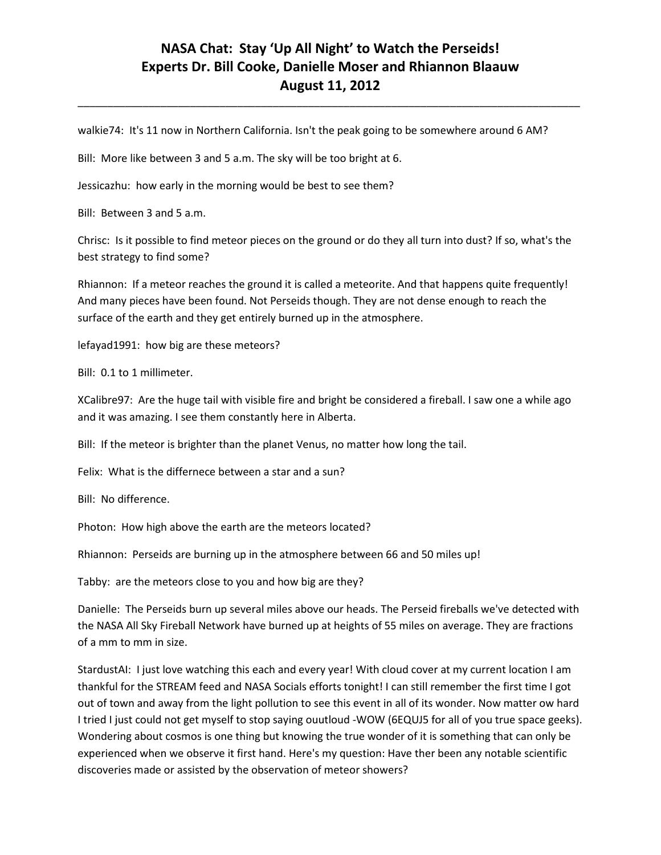\_\_\_\_\_\_\_\_\_\_\_\_\_\_\_\_\_\_\_\_\_\_\_\_\_\_\_\_\_\_\_\_\_\_\_\_\_\_\_\_\_\_\_\_\_\_\_\_\_\_\_\_\_\_\_\_\_\_\_\_\_\_\_\_\_\_\_\_\_\_\_\_\_\_\_\_\_\_\_\_\_\_\_\_\_

walkie74: It's 11 now in Northern California. Isn't the peak going to be somewhere around 6 AM?

Bill: More like between 3 and 5 a.m. The sky will be too bright at 6.

Jessicazhu: how early in the morning would be best to see them?

Bill: Between 3 and 5 a.m.

Chrisc: Is it possible to find meteor pieces on the ground or do they all turn into dust? If so, what's the best strategy to find some?

Rhiannon: If a meteor reaches the ground it is called a meteorite. And that happens quite frequently! And many pieces have been found. Not Perseids though. They are not dense enough to reach the surface of the earth and they get entirely burned up in the atmosphere.

lefayad1991: how big are these meteors?

Bill: 0.1 to 1 millimeter.

XCalibre97: Are the huge tail with visible fire and bright be considered a fireball. I saw one a while ago and it was amazing. I see them constantly here in Alberta.

Bill: If the meteor is brighter than the planet Venus, no matter how long the tail.

Felix: What is the differnece between a star and a sun?

Bill: No difference.

Photon: How high above the earth are the meteors located?

Rhiannon: Perseids are burning up in the atmosphere between 66 and 50 miles up!

Tabby: are the meteors close to you and how big are they?

Danielle: The Perseids burn up several miles above our heads. The Perseid fireballs we've detected with the NASA All Sky Fireball Network have burned up at heights of 55 miles on average. They are fractions of a mm to mm in size.

StardustAI: I just love watching this each and every year! With cloud cover at my current location I am thankful for the STREAM feed and NASA Socials efforts tonight! I can still remember the first time I got out of town and away from the light pollution to see this event in all of its wonder. Now matter ow hard I tried I just could not get myself to stop saying ouutloud -WOW (6EQUJ5 for all of you true space geeks). Wondering about cosmos is one thing but knowing the true wonder of it is something that can only be experienced when we observe it first hand. Here's my question: Have ther been any notable scientific discoveries made or assisted by the observation of meteor showers?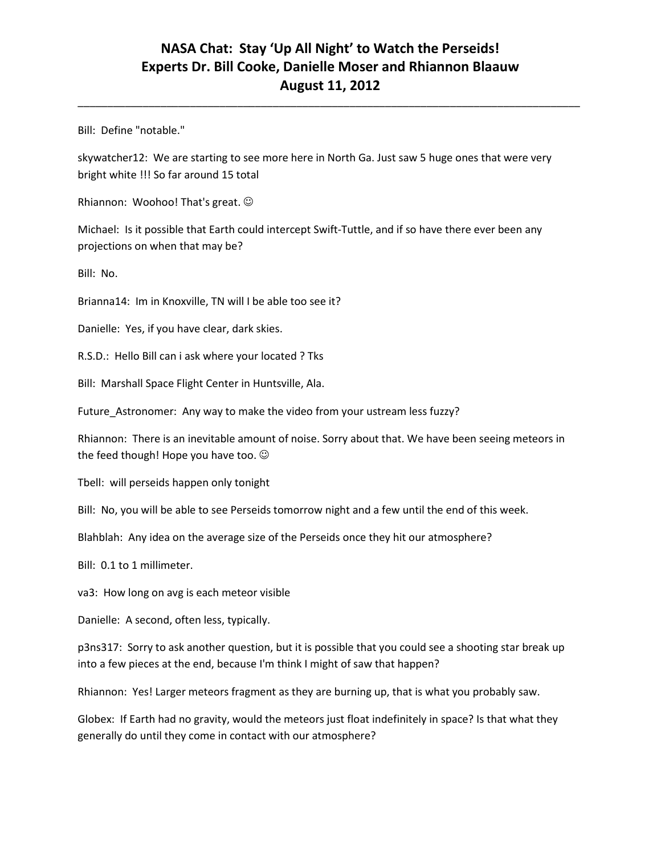\_\_\_\_\_\_\_\_\_\_\_\_\_\_\_\_\_\_\_\_\_\_\_\_\_\_\_\_\_\_\_\_\_\_\_\_\_\_\_\_\_\_\_\_\_\_\_\_\_\_\_\_\_\_\_\_\_\_\_\_\_\_\_\_\_\_\_\_\_\_\_\_\_\_\_\_\_\_\_\_\_\_\_\_\_

Bill: Define "notable."

skywatcher12: We are starting to see more here in North Ga. Just saw 5 huge ones that were very bright white !!! So far around 15 total

Rhiannon: Woohoo! That's great.  $\odot$ 

Michael: Is it possible that Earth could intercept Swift-Tuttle, and if so have there ever been any projections on when that may be?

Bill: No.

Brianna14: Im in Knoxville, TN will I be able too see it?

Danielle: Yes, if you have clear, dark skies.

R.S.D.: Hello Bill can i ask where your located ? Tks

Bill: Marshall Space Flight Center in Huntsville, Ala.

Future\_Astronomer: Any way to make the video from your ustream less fuzzy?

Rhiannon: There is an inevitable amount of noise. Sorry about that. We have been seeing meteors in the feed though! Hope you have too.  $\odot$ 

Tbell: will perseids happen only tonight

Bill: No, you will be able to see Perseids tomorrow night and a few until the end of this week.

Blahblah: Any idea on the average size of the Perseids once they hit our atmosphere?

Bill: 0.1 to 1 millimeter.

va3: How long on avg is each meteor visible

Danielle: A second, often less, typically.

p3ns317: Sorry to ask another question, but it is possible that you could see a shooting star break up into a few pieces at the end, because I'm think I might of saw that happen?

Rhiannon: Yes! Larger meteors fragment as they are burning up, that is what you probably saw.

Globex: If Earth had no gravity, would the meteors just float indefinitely in space? Is that what they generally do until they come in contact with our atmosphere?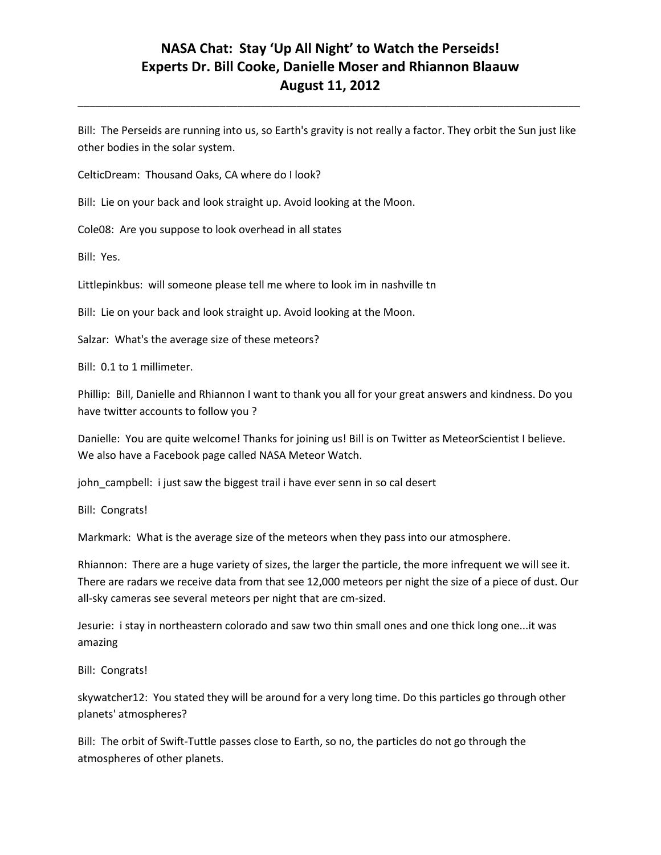Bill: The Perseids are running into us, so Earth's gravity is not really a factor. They orbit the Sun just like other bodies in the solar system.

\_\_\_\_\_\_\_\_\_\_\_\_\_\_\_\_\_\_\_\_\_\_\_\_\_\_\_\_\_\_\_\_\_\_\_\_\_\_\_\_\_\_\_\_\_\_\_\_\_\_\_\_\_\_\_\_\_\_\_\_\_\_\_\_\_\_\_\_\_\_\_\_\_\_\_\_\_\_\_\_\_\_\_\_\_

CelticDream: Thousand Oaks, CA where do I look?

Bill: Lie on your back and look straight up. Avoid looking at the Moon.

Cole08: Are you suppose to look overhead in all states

Bill: Yes.

Littlepinkbus: will someone please tell me where to look im in nashville tn

Bill: Lie on your back and look straight up. Avoid looking at the Moon.

Salzar: What's the average size of these meteors?

Bill: 0.1 to 1 millimeter.

Phillip: Bill, Danielle and Rhiannon I want to thank you all for your great answers and kindness. Do you have twitter accounts to follow you ?

Danielle: You are quite welcome! Thanks for joining us! Bill is on Twitter as MeteorScientist I believe. We also have a Facebook page called NASA Meteor Watch.

john\_campbell: i just saw the biggest trail i have ever senn in so cal desert

Bill: Congrats!

Markmark: What is the average size of the meteors when they pass into our atmosphere.

Rhiannon: There are a huge variety of sizes, the larger the particle, the more infrequent we will see it. There are radars we receive data from that see 12,000 meteors per night the size of a piece of dust. Our all-sky cameras see several meteors per night that are cm-sized.

Jesurie: i stay in northeastern colorado and saw two thin small ones and one thick long one...it was amazing

Bill: Congrats!

skywatcher12: You stated they will be around for a very long time. Do this particles go through other planets' atmospheres?

Bill: The orbit of Swift-Tuttle passes close to Earth, so no, the particles do not go through the atmospheres of other planets.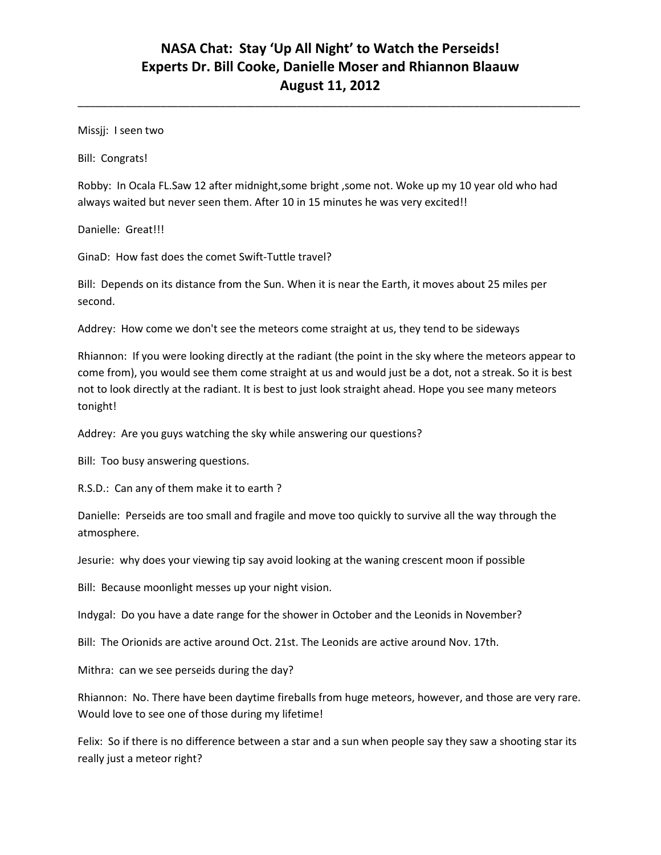\_\_\_\_\_\_\_\_\_\_\_\_\_\_\_\_\_\_\_\_\_\_\_\_\_\_\_\_\_\_\_\_\_\_\_\_\_\_\_\_\_\_\_\_\_\_\_\_\_\_\_\_\_\_\_\_\_\_\_\_\_\_\_\_\_\_\_\_\_\_\_\_\_\_\_\_\_\_\_\_\_\_\_\_\_

Missjj: I seen two

Bill: Congrats!

Robby: In Ocala FL.Saw 12 after midnight,some bright ,some not. Woke up my 10 year old who had always waited but never seen them. After 10 in 15 minutes he was very excited!!

Danielle: Great!!!

GinaD: How fast does the comet Swift-Tuttle travel?

Bill: Depends on its distance from the Sun. When it is near the Earth, it moves about 25 miles per second.

Addrey: How come we don't see the meteors come straight at us, they tend to be sideways

Rhiannon: If you were looking directly at the radiant (the point in the sky where the meteors appear to come from), you would see them come straight at us and would just be a dot, not a streak. So it is best not to look directly at the radiant. It is best to just look straight ahead. Hope you see many meteors tonight!

Addrey: Are you guys watching the sky while answering our questions?

Bill: Too busy answering questions.

R.S.D.: Can any of them make it to earth ?

Danielle: Perseids are too small and fragile and move too quickly to survive all the way through the atmosphere.

Jesurie: why does your viewing tip say avoid looking at the waning crescent moon if possible

Bill: Because moonlight messes up your night vision.

Indygal: Do you have a date range for the shower in October and the Leonids in November?

Bill: The Orionids are active around Oct. 21st. The Leonids are active around Nov. 17th.

Mithra: can we see perseids during the day?

Rhiannon: No. There have been daytime fireballs from huge meteors, however, and those are very rare. Would love to see one of those during my lifetime!

Felix: So if there is no difference between a star and a sun when people say they saw a shooting star its really just a meteor right?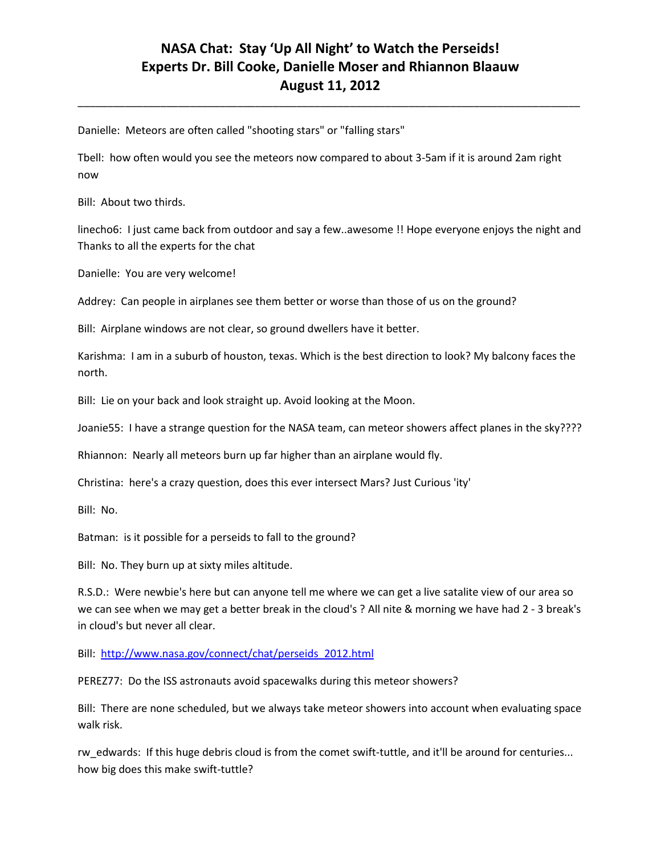\_\_\_\_\_\_\_\_\_\_\_\_\_\_\_\_\_\_\_\_\_\_\_\_\_\_\_\_\_\_\_\_\_\_\_\_\_\_\_\_\_\_\_\_\_\_\_\_\_\_\_\_\_\_\_\_\_\_\_\_\_\_\_\_\_\_\_\_\_\_\_\_\_\_\_\_\_\_\_\_\_\_\_\_\_

Danielle: Meteors are often called "shooting stars" or "falling stars"

Tbell: how often would you see the meteors now compared to about 3-5am if it is around 2am right now

Bill: About two thirds.

linecho6: I just came back from outdoor and say a few..awesome !! Hope everyone enjoys the night and Thanks to all the experts for the chat

Danielle: You are very welcome!

Addrey: Can people in airplanes see them better or worse than those of us on the ground?

Bill: Airplane windows are not clear, so ground dwellers have it better.

Karishma: I am in a suburb of houston, texas. Which is the best direction to look? My balcony faces the north.

Bill: Lie on your back and look straight up. Avoid looking at the Moon.

Joanie55: I have a strange question for the NASA team, can meteor showers affect planes in the sky????

Rhiannon: Nearly all meteors burn up far higher than an airplane would fly.

Christina: here's a crazy question, does this ever intersect Mars? Just Curious 'ity'

Bill: No.

Batman: is it possible for a perseids to fall to the ground?

Bill: No. They burn up at sixty miles altitude.

R.S.D.: Were newbie's here but can anyone tell me where we can get a live satalite view of our area so we can see when we may get a better break in the cloud's ? All nite & morning we have had 2 - 3 break's in cloud's but never all clear.

Bill: [http://www.nasa.gov/connect/chat/perseids\\_2012.html](http://www.nasa.gov/connect/chat/perseids_2012.html)

PEREZ77: Do the ISS astronauts avoid spacewalks during this meteor showers?

Bill: There are none scheduled, but we always take meteor showers into account when evaluating space walk risk.

rw\_edwards: If this huge debris cloud is from the comet swift-tuttle, and it'll be around for centuries... how big does this make swift-tuttle?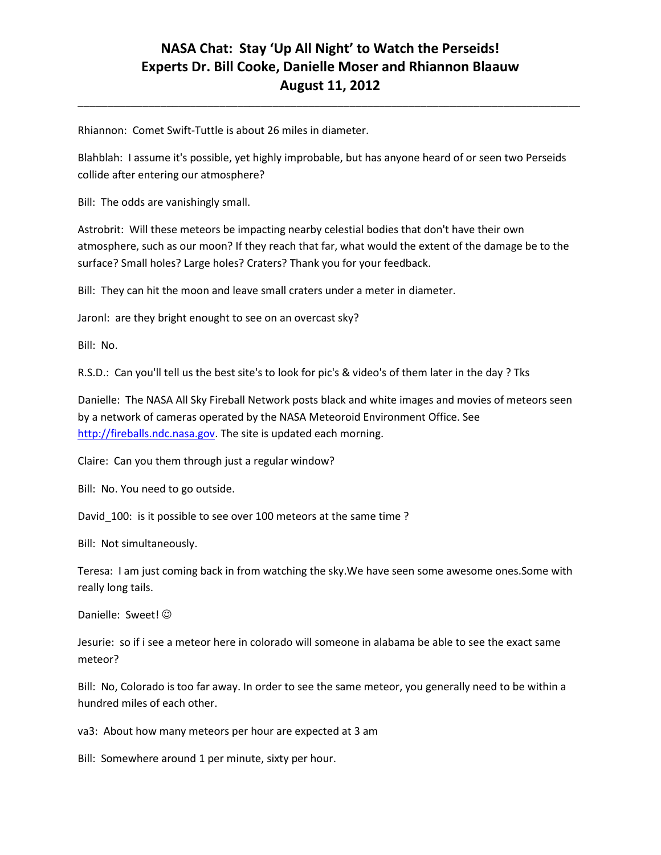\_\_\_\_\_\_\_\_\_\_\_\_\_\_\_\_\_\_\_\_\_\_\_\_\_\_\_\_\_\_\_\_\_\_\_\_\_\_\_\_\_\_\_\_\_\_\_\_\_\_\_\_\_\_\_\_\_\_\_\_\_\_\_\_\_\_\_\_\_\_\_\_\_\_\_\_\_\_\_\_\_\_\_\_\_

Rhiannon: Comet Swift-Tuttle is about 26 miles in diameter.

Blahblah: I assume it's possible, yet highly improbable, but has anyone heard of or seen two Perseids collide after entering our atmosphere?

Bill: The odds are vanishingly small.

Astrobrit: Will these meteors be impacting nearby celestial bodies that don't have their own atmosphere, such as our moon? If they reach that far, what would the extent of the damage be to the surface? Small holes? Large holes? Craters? Thank you for your feedback.

Bill: They can hit the moon and leave small craters under a meter in diameter.

Jaronl: are they bright enought to see on an overcast sky?

Bill: No.

R.S.D.: Can you'll tell us the best site's to look for pic's & video's of them later in the day ? Tks

Danielle: The NASA All Sky Fireball Network posts black and white images and movies of meteors seen by a network of cameras operated by the NASA Meteoroid Environment Office. See [http://fireballs.ndc.nasa.gov.](http://fireballs.ndc.nasa.gov/) The site is updated each morning.

Claire: Can you them through just a regular window?

Bill: No. You need to go outside.

David\_100: is it possible to see over 100 meteors at the same time ?

Bill: Not simultaneously.

Teresa: I am just coming back in from watching the sky.We have seen some awesome ones.Some with really long tails.

Danielle: Sweet!  $\odot$ 

Jesurie: so if i see a meteor here in colorado will someone in alabama be able to see the exact same meteor?

Bill: No, Colorado is too far away. In order to see the same meteor, you generally need to be within a hundred miles of each other.

va3: About how many meteors per hour are expected at 3 am

Bill: Somewhere around 1 per minute, sixty per hour.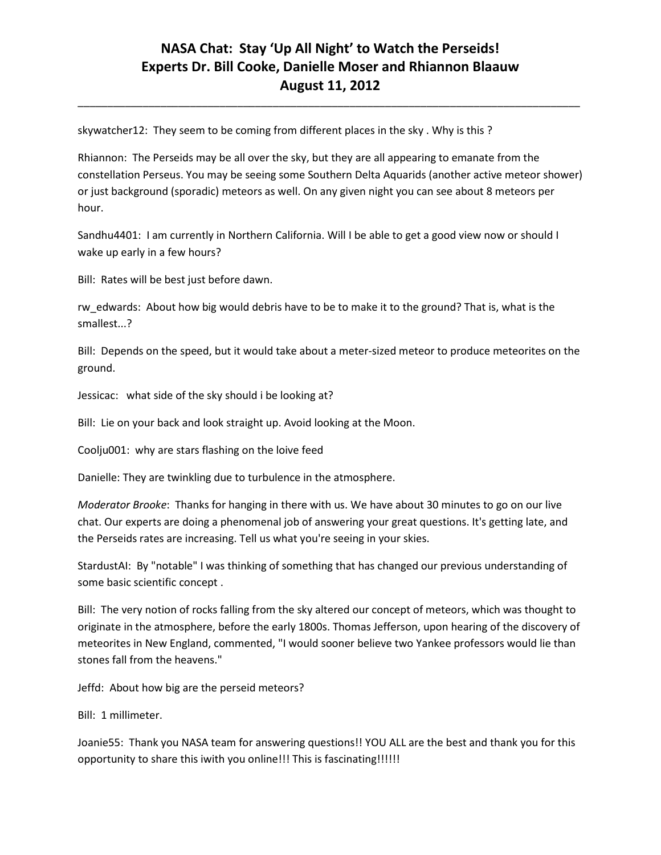\_\_\_\_\_\_\_\_\_\_\_\_\_\_\_\_\_\_\_\_\_\_\_\_\_\_\_\_\_\_\_\_\_\_\_\_\_\_\_\_\_\_\_\_\_\_\_\_\_\_\_\_\_\_\_\_\_\_\_\_\_\_\_\_\_\_\_\_\_\_\_\_\_\_\_\_\_\_\_\_\_\_\_\_\_

skywatcher12: They seem to be coming from different places in the sky . Why is this ?

Rhiannon: The Perseids may be all over the sky, but they are all appearing to emanate from the constellation Perseus. You may be seeing some Southern Delta Aquarids (another active meteor shower) or just background (sporadic) meteors as well. On any given night you can see about 8 meteors per hour.

Sandhu4401: I am currently in Northern California. Will I be able to get a good view now or should I wake up early in a few hours?

Bill: Rates will be best just before dawn.

rw\_edwards: About how big would debris have to be to make it to the ground? That is, what is the smallest...?

Bill: Depends on the speed, but it would take about a meter-sized meteor to produce meteorites on the ground.

Jessicac: what side of the sky should i be looking at?

Bill: Lie on your back and look straight up. Avoid looking at the Moon.

Coolju001: why are stars flashing on the loive feed

Danielle: They are twinkling due to turbulence in the atmosphere.

*Moderator Brooke*: Thanks for hanging in there with us. We have about 30 minutes to go on our live chat. Our experts are doing a phenomenal job of answering your great questions. It's getting late, and the Perseids rates are increasing. Tell us what you're seeing in your skies.

StardustAI: By "notable" I was thinking of something that has changed our previous understanding of some basic scientific concept .

Bill: The very notion of rocks falling from the sky altered our concept of meteors, which was thought to originate in the atmosphere, before the early 1800s. Thomas Jefferson, upon hearing of the discovery of meteorites in New England, commented, "I would sooner believe two Yankee professors would lie than stones fall from the heavens."

Jeffd: About how big are the perseid meteors?

Bill: 1 millimeter.

Joanie55: Thank you NASA team for answering questions!! YOU ALL are the best and thank you for this opportunity to share this iwith you online!!! This is fascinating!!!!!!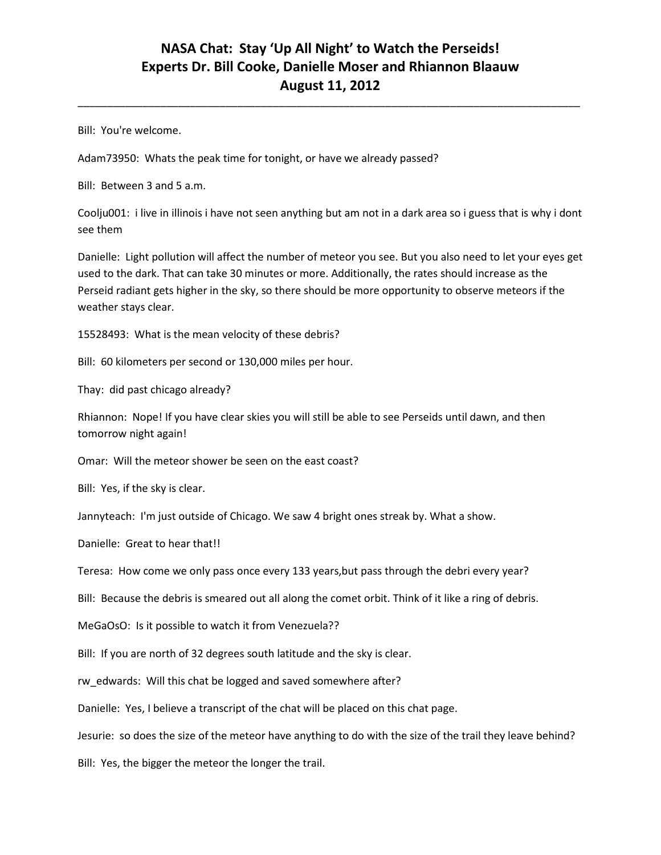\_\_\_\_\_\_\_\_\_\_\_\_\_\_\_\_\_\_\_\_\_\_\_\_\_\_\_\_\_\_\_\_\_\_\_\_\_\_\_\_\_\_\_\_\_\_\_\_\_\_\_\_\_\_\_\_\_\_\_\_\_\_\_\_\_\_\_\_\_\_\_\_\_\_\_\_\_\_\_\_\_\_\_\_\_

Bill: You're welcome.

Adam73950: Whats the peak time for tonight, or have we already passed?

Bill: Between 3 and 5 a.m.

Coolju001: i live in illinois i have not seen anything but am not in a dark area so i guess that is why i dont see them

Danielle: Light pollution will affect the number of meteor you see. But you also need to let your eyes get used to the dark. That can take 30 minutes or more. Additionally, the rates should increase as the Perseid radiant gets higher in the sky, so there should be more opportunity to observe meteors if the weather stays clear.

15528493: What is the mean velocity of these debris?

Bill: 60 kilometers per second or 130,000 miles per hour.

Thay: did past chicago already?

Rhiannon: Nope! If you have clear skies you will still be able to see Perseids until dawn, and then tomorrow night again!

Omar: Will the meteor shower be seen on the east coast?

Bill: Yes, if the sky is clear.

Jannyteach: I'm just outside of Chicago. We saw 4 bright ones streak by. What a show.

Danielle: Great to hear that!!

Teresa: How come we only pass once every 133 years,but pass through the debri every year?

Bill: Because the debris is smeared out all along the comet orbit. Think of it like a ring of debris.

MeGaOsO: Is it possible to watch it from Venezuela??

Bill: If you are north of 32 degrees south latitude and the sky is clear.

rw\_edwards: Will this chat be logged and saved somewhere after?

Danielle: Yes, I believe a transcript of the chat will be placed on this chat page.

Jesurie: so does the size of the meteor have anything to do with the size of the trail they leave behind?

Bill: Yes, the bigger the meteor the longer the trail.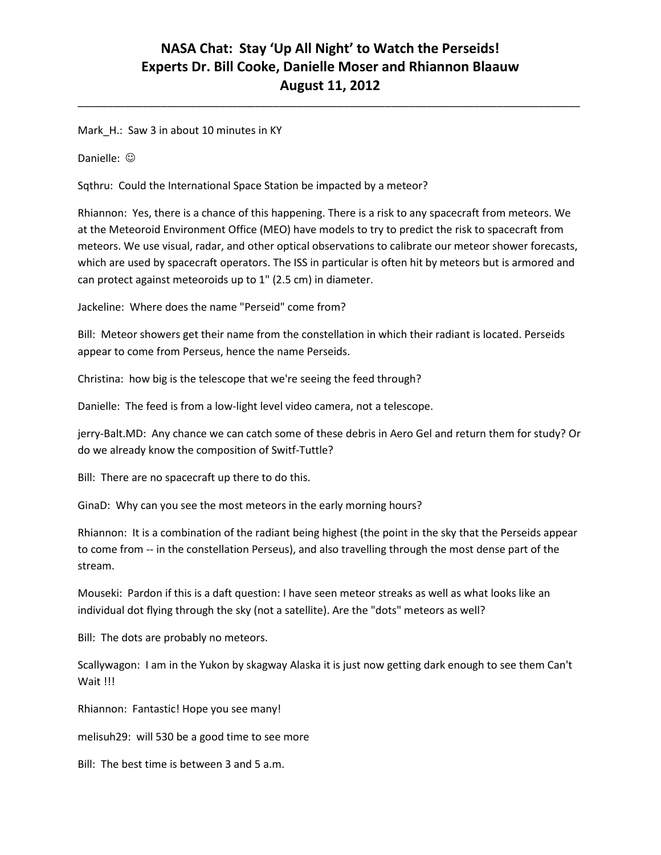\_\_\_\_\_\_\_\_\_\_\_\_\_\_\_\_\_\_\_\_\_\_\_\_\_\_\_\_\_\_\_\_\_\_\_\_\_\_\_\_\_\_\_\_\_\_\_\_\_\_\_\_\_\_\_\_\_\_\_\_\_\_\_\_\_\_\_\_\_\_\_\_\_\_\_\_\_\_\_\_\_\_\_\_\_

Mark\_H.: Saw 3 in about 10 minutes in KY

Danielle: ©

Sqthru: Could the International Space Station be impacted by a meteor?

Rhiannon: Yes, there is a chance of this happening. There is a risk to any spacecraft from meteors. We at the Meteoroid Environment Office (MEO) have models to try to predict the risk to spacecraft from meteors. We use visual, radar, and other optical observations to calibrate our meteor shower forecasts, which are used by spacecraft operators. The ISS in particular is often hit by meteors but is armored and can protect against meteoroids up to 1" (2.5 cm) in diameter.

Jackeline: Where does the name "Perseid" come from?

Bill: Meteor showers get their name from the constellation in which their radiant is located. Perseids appear to come from Perseus, hence the name Perseids.

Christina: how big is the telescope that we're seeing the feed through?

Danielle: The feed is from a low-light level video camera, not a telescope.

jerry-Balt.MD: Any chance we can catch some of these debris in Aero Gel and return them for study? Or do we already know the composition of Switf-Tuttle?

Bill: There are no spacecraft up there to do this.

GinaD: Why can you see the most meteors in the early morning hours?

Rhiannon: It is a combination of the radiant being highest (the point in the sky that the Perseids appear to come from -- in the constellation Perseus), and also travelling through the most dense part of the stream.

Mouseki: Pardon if this is a daft question: I have seen meteor streaks as well as what looks like an individual dot flying through the sky (not a satellite). Are the "dots" meteors as well?

Bill: The dots are probably no meteors.

Scallywagon: I am in the Yukon by skagway Alaska it is just now getting dark enough to see them Can't Wait !!!

Rhiannon: Fantastic! Hope you see many!

melisuh29: will 530 be a good time to see more

Bill: The best time is between 3 and 5 a.m.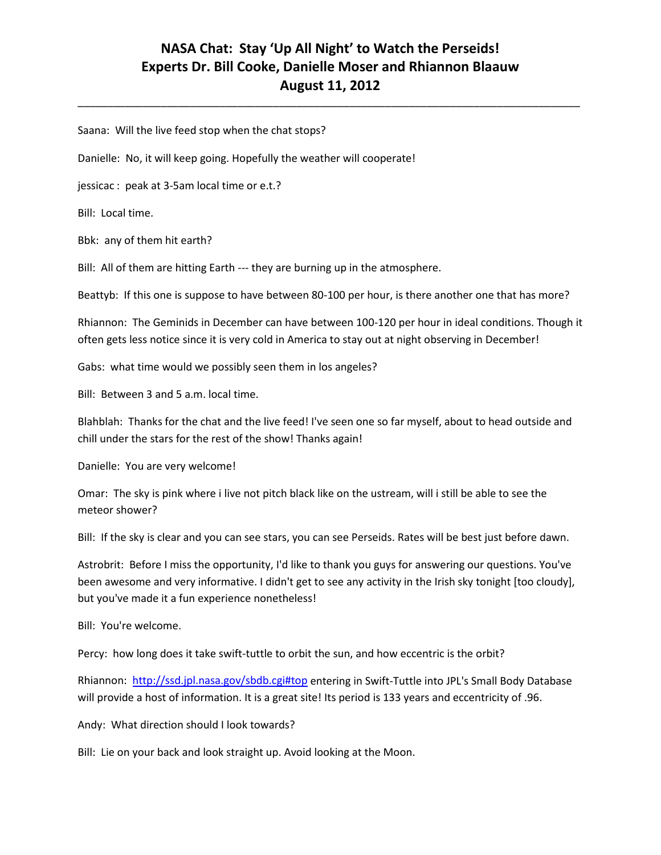\_\_\_\_\_\_\_\_\_\_\_\_\_\_\_\_\_\_\_\_\_\_\_\_\_\_\_\_\_\_\_\_\_\_\_\_\_\_\_\_\_\_\_\_\_\_\_\_\_\_\_\_\_\_\_\_\_\_\_\_\_\_\_\_\_\_\_\_\_\_\_\_\_\_\_\_\_\_\_\_\_\_\_\_\_

Saana: Will the live feed stop when the chat stops?

Danielle: No, it will keep going. Hopefully the weather will cooperate!

jessicac : peak at 3-5am local time or e.t.?

Bill: Local time.

Bbk: any of them hit earth?

Bill: All of them are hitting Earth --- they are burning up in the atmosphere.

Beattyb: If this one is suppose to have between 80-100 per hour, is there another one that has more?

Rhiannon: The Geminids in December can have between 100-120 per hour in ideal conditions. Though it often gets less notice since it is very cold in America to stay out at night observing in December!

Gabs: what time would we possibly seen them in los angeles?

Bill: Between 3 and 5 a.m. local time.

Blahblah: Thanks for the chat and the live feed! I've seen one so far myself, about to head outside and chill under the stars for the rest of the show! Thanks again!

Danielle: You are very welcome!

Omar: The sky is pink where i live not pitch black like on the ustream, will i still be able to see the meteor shower?

Bill: If the sky is clear and you can see stars, you can see Perseids. Rates will be best just before dawn.

Astrobrit: Before I miss the opportunity, I'd like to thank you guys for answering our questions. You've been awesome and very informative. I didn't get to see any activity in the Irish sky tonight [too cloudy], but you've made it a fun experience nonetheless!

Bill: You're welcome.

Percy: how long does it take swift-tuttle to orbit the sun, and how eccentric is the orbit?

Rhiannon:<http://ssd.jpl.nasa.gov/sbdb.cgi#top> entering in Swift-Tuttle into JPL's Small Body Database will provide a host of information. It is a great site! Its period is 133 years and eccentricity of .96.

Andy: What direction should I look towards?

Bill: Lie on your back and look straight up. Avoid looking at the Moon.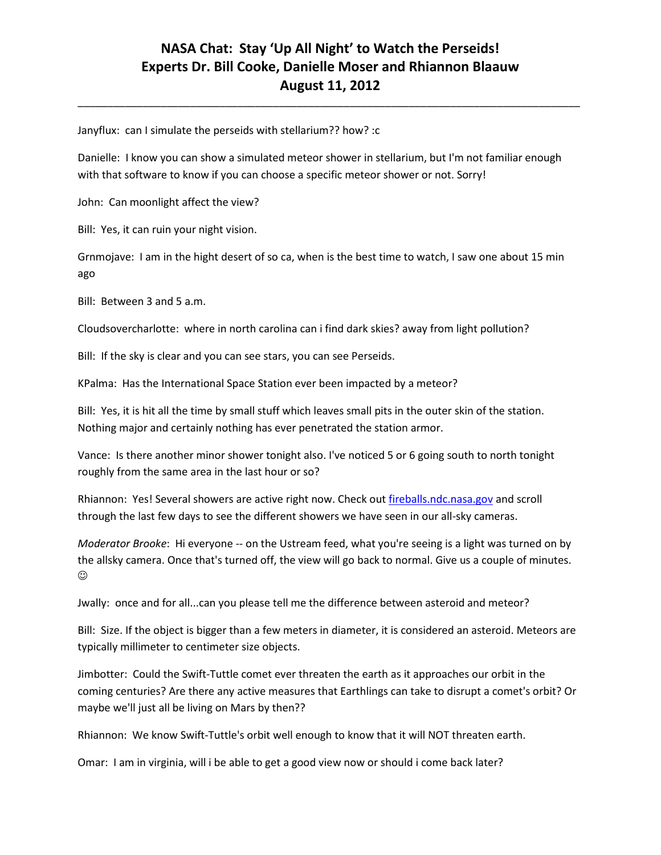\_\_\_\_\_\_\_\_\_\_\_\_\_\_\_\_\_\_\_\_\_\_\_\_\_\_\_\_\_\_\_\_\_\_\_\_\_\_\_\_\_\_\_\_\_\_\_\_\_\_\_\_\_\_\_\_\_\_\_\_\_\_\_\_\_\_\_\_\_\_\_\_\_\_\_\_\_\_\_\_\_\_\_\_\_

Janyflux: can I simulate the perseids with stellarium?? how? :c

Danielle: I know you can show a simulated meteor shower in stellarium, but I'm not familiar enough with that software to know if you can choose a specific meteor shower or not. Sorry!

John: Can moonlight affect the view?

Bill: Yes, it can ruin your night vision.

Grnmojave: I am in the hight desert of so ca, when is the best time to watch, I saw one about 15 min ago

Bill: Between 3 and 5 a.m.

Cloudsovercharlotte: where in north carolina can i find dark skies? away from light pollution?

Bill: If the sky is clear and you can see stars, you can see Perseids.

KPalma: Has the International Space Station ever been impacted by a meteor?

Bill: Yes, it is hit all the time by small stuff which leaves small pits in the outer skin of the station. Nothing major and certainly nothing has ever penetrated the station armor.

Vance: Is there another minor shower tonight also. I've noticed 5 or 6 going south to north tonight roughly from the same area in the last hour or so?

Rhiannon: Yes! Several showers are active right now. Check out [fireballs.ndc.nasa.gov](http://fireballs.ndc.nasa.gov/) and scroll through the last few days to see the different showers we have seen in our all-sky cameras.

*Moderator Brooke*: Hi everyone -- on the Ustream feed, what you're seeing is a light was turned on by the allsky camera. Once that's turned off, the view will go back to normal. Give us a couple of minutes.  $\odot$ 

Jwally: once and for all...can you please tell me the difference between asteroid and meteor?

Bill: Size. If the object is bigger than a few meters in diameter, it is considered an asteroid. Meteors are typically millimeter to centimeter size objects.

Jimbotter: Could the Swift-Tuttle comet ever threaten the earth as it approaches our orbit in the coming centuries? Are there any active measures that Earthlings can take to disrupt a comet's orbit? Or maybe we'll just all be living on Mars by then??

Rhiannon: We know Swift-Tuttle's orbit well enough to know that it will NOT threaten earth.

Omar: I am in virginia, will i be able to get a good view now or should i come back later?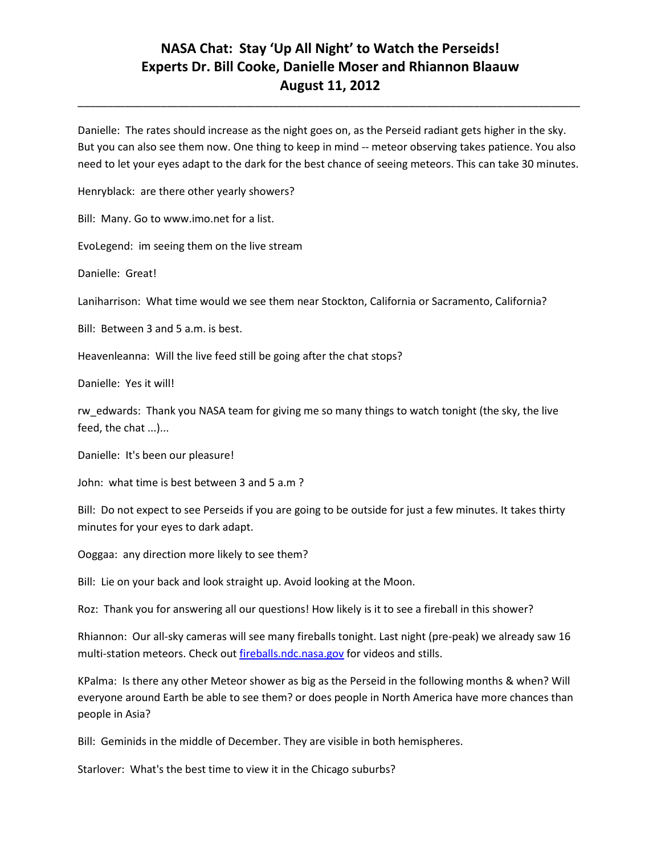\_\_\_\_\_\_\_\_\_\_\_\_\_\_\_\_\_\_\_\_\_\_\_\_\_\_\_\_\_\_\_\_\_\_\_\_\_\_\_\_\_\_\_\_\_\_\_\_\_\_\_\_\_\_\_\_\_\_\_\_\_\_\_\_\_\_\_\_\_\_\_\_\_\_\_\_\_\_\_\_\_\_\_\_\_

Danielle: The rates should increase as the night goes on, as the Perseid radiant gets higher in the sky. But you can also see them now. One thing to keep in mind -- meteor observing takes patience. You also need to let your eyes adapt to the dark for the best chance of seeing meteors. This can take 30 minutes.

Henryblack: are there other yearly showers?

Bill: Many. Go to www.imo.net for a list.

EvoLegend: im seeing them on the live stream

Danielle: Great!

Laniharrison: What time would we see them near Stockton, California or Sacramento, California?

Bill: Between 3 and 5 a.m. is best.

Heavenleanna: Will the live feed still be going after the chat stops?

Danielle: Yes it will!

rw edwards: Thank you NASA team for giving me so many things to watch tonight (the sky, the live feed, the chat ...)...

Danielle: It's been our pleasure!

John: what time is best between 3 and 5 a.m ?

Bill: Do not expect to see Perseids if you are going to be outside for just a few minutes. It takes thirty minutes for your eyes to dark adapt.

Ooggaa: any direction more likely to see them?

Bill: Lie on your back and look straight up. Avoid looking at the Moon.

Roz: Thank you for answering all our questions! How likely is it to see a fireball in this shower?

Rhiannon: Our all-sky cameras will see many fireballs tonight. Last night (pre-peak) we already saw 16 multi-station meteors. Check out [fireballs.ndc.nasa.gov](http://fireballs.ndc.nasa.gov/) for videos and stills.

KPalma: Is there any other Meteor shower as big as the Perseid in the following months & when? Will everyone around Earth be able to see them? or does people in North America have more chances than people in Asia?

Bill: Geminids in the middle of December. They are visible in both hemispheres.

Starlover: What's the best time to view it in the Chicago suburbs?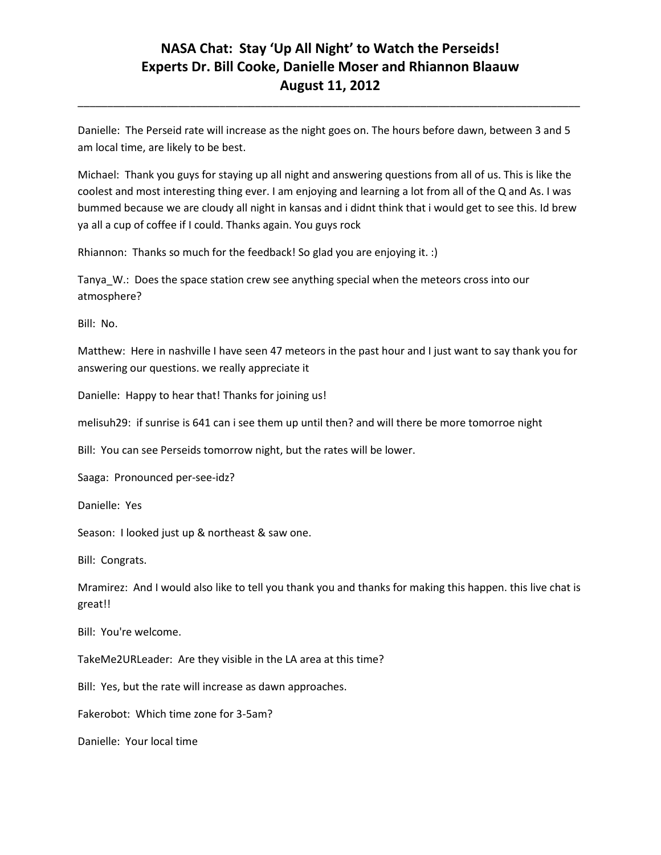\_\_\_\_\_\_\_\_\_\_\_\_\_\_\_\_\_\_\_\_\_\_\_\_\_\_\_\_\_\_\_\_\_\_\_\_\_\_\_\_\_\_\_\_\_\_\_\_\_\_\_\_\_\_\_\_\_\_\_\_\_\_\_\_\_\_\_\_\_\_\_\_\_\_\_\_\_\_\_\_\_\_\_\_\_

Danielle: The Perseid rate will increase as the night goes on. The hours before dawn, between 3 and 5 am local time, are likely to be best.

Michael: Thank you guys for staying up all night and answering questions from all of us. This is like the coolest and most interesting thing ever. I am enjoying and learning a lot from all of the Q and As. I was bummed because we are cloudy all night in kansas and i didnt think that i would get to see this. Id brew ya all a cup of coffee if I could. Thanks again. You guys rock

Rhiannon: Thanks so much for the feedback! So glad you are enjoying it. :)

Tanya\_W.: Does the space station crew see anything special when the meteors cross into our atmosphere?

Bill: No.

Matthew: Here in nashville I have seen 47 meteors in the past hour and I just want to say thank you for answering our questions. we really appreciate it

Danielle: Happy to hear that! Thanks for joining us!

melisuh29: if sunrise is 641 can i see them up until then? and will there be more tomorroe night

Bill: You can see Perseids tomorrow night, but the rates will be lower.

Saaga: Pronounced per-see-idz?

Danielle: Yes

Season: I looked just up & northeast & saw one.

Bill: Congrats.

Mramirez: And I would also like to tell you thank you and thanks for making this happen. this live chat is great!!

Bill: You're welcome.

TakeMe2URLeader: Are they visible in the LA area at this time?

Bill: Yes, but the rate will increase as dawn approaches.

Fakerobot: Which time zone for 3-5am?

Danielle: Your local time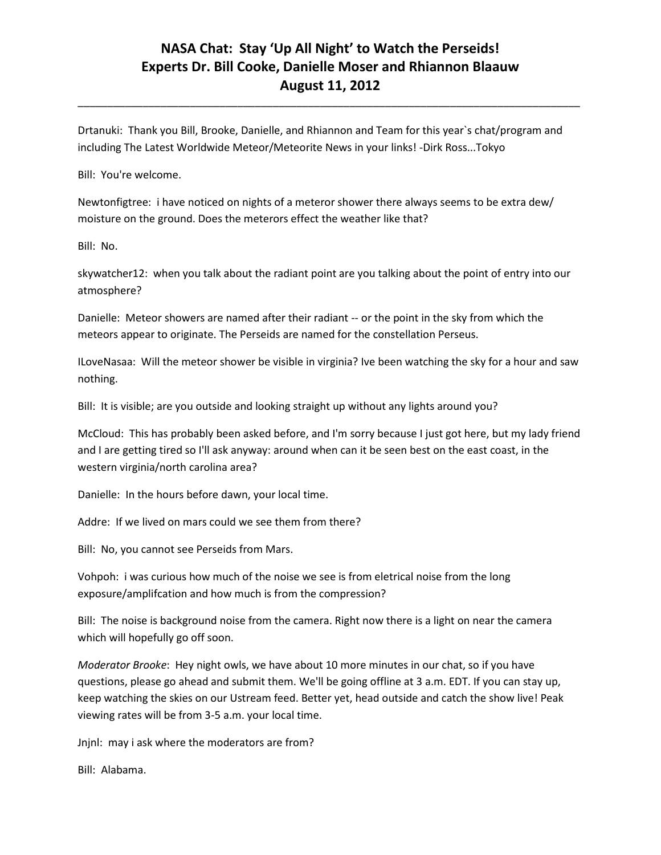\_\_\_\_\_\_\_\_\_\_\_\_\_\_\_\_\_\_\_\_\_\_\_\_\_\_\_\_\_\_\_\_\_\_\_\_\_\_\_\_\_\_\_\_\_\_\_\_\_\_\_\_\_\_\_\_\_\_\_\_\_\_\_\_\_\_\_\_\_\_\_\_\_\_\_\_\_\_\_\_\_\_\_\_\_

Drtanuki: Thank you Bill, Brooke, Danielle, and Rhiannon and Team for this year`s chat/program and including The Latest Worldwide Meteor/Meteorite News in your links! -Dirk Ross...Tokyo

Bill: You're welcome.

Newtonfigtree: i have noticed on nights of a meteror shower there always seems to be extra dew/ moisture on the ground. Does the meterors effect the weather like that?

Bill: No.

skywatcher12: when you talk about the radiant point are you talking about the point of entry into our atmosphere?

Danielle: Meteor showers are named after their radiant -- or the point in the sky from which the meteors appear to originate. The Perseids are named for the constellation Perseus.

ILoveNasaa: Will the meteor shower be visible in virginia? Ive been watching the sky for a hour and saw nothing.

Bill: It is visible; are you outside and looking straight up without any lights around you?

McCloud: This has probably been asked before, and I'm sorry because I just got here, but my lady friend and I are getting tired so I'll ask anyway: around when can it be seen best on the east coast, in the western virginia/north carolina area?

Danielle: In the hours before dawn, your local time.

Addre: If we lived on mars could we see them from there?

Bill: No, you cannot see Perseids from Mars.

Vohpoh: i was curious how much of the noise we see is from eletrical noise from the long exposure/amplifcation and how much is from the compression?

Bill: The noise is background noise from the camera. Right now there is a light on near the camera which will hopefully go off soon.

*Moderator Brooke*: Hey night owls, we have about 10 more minutes in our chat, so if you have questions, please go ahead and submit them. We'll be going offline at 3 a.m. EDT. If you can stay up, keep watching the skies on our Ustream feed. Better yet, head outside and catch the show live! Peak viewing rates will be from 3-5 a.m. your local time.

Jnjnl: may i ask where the moderators are from?

Bill: Alabama.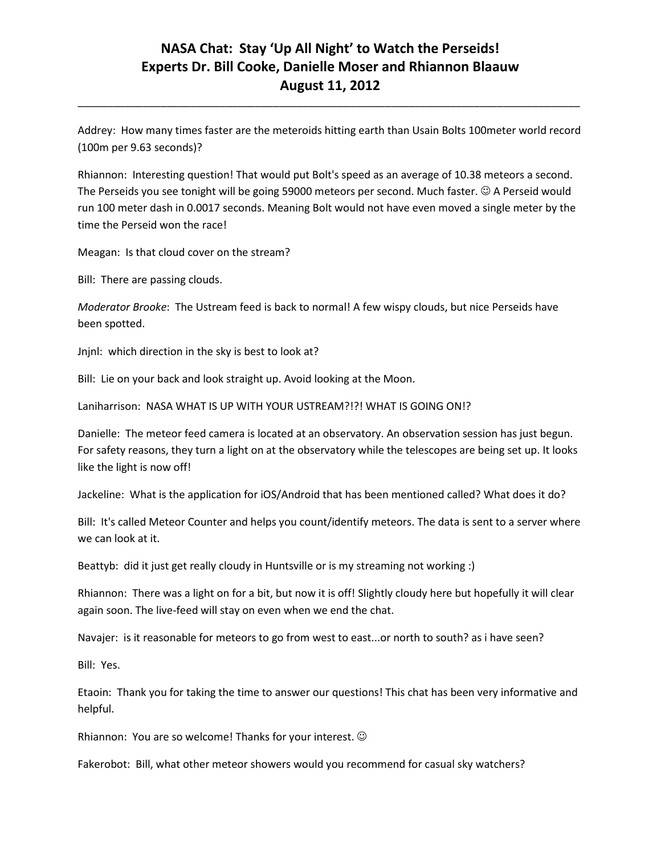Addrey: How many times faster are the meteroids hitting earth than Usain Bolts 100meter world record (100m per 9.63 seconds)?

\_\_\_\_\_\_\_\_\_\_\_\_\_\_\_\_\_\_\_\_\_\_\_\_\_\_\_\_\_\_\_\_\_\_\_\_\_\_\_\_\_\_\_\_\_\_\_\_\_\_\_\_\_\_\_\_\_\_\_\_\_\_\_\_\_\_\_\_\_\_\_\_\_\_\_\_\_\_\_\_\_\_\_\_\_

Rhiannon: Interesting question! That would put Bolt's speed as an average of 10.38 meteors a second. The Perseids you see tonight will be going 59000 meteors per second. Much faster.  $\odot$  A Perseid would run 100 meter dash in 0.0017 seconds. Meaning Bolt would not have even moved a single meter by the time the Perseid won the race!

Meagan: Is that cloud cover on the stream?

Bill: There are passing clouds.

*Moderator Brooke*: The Ustream feed is back to normal! A few wispy clouds, but nice Perseids have been spotted.

Jnjnl: which direction in the sky is best to look at?

Bill: Lie on your back and look straight up. Avoid looking at the Moon.

Laniharrison: NASA WHAT IS UP WITH YOUR USTREAM?!?! WHAT IS GOING ON!?

Danielle: The meteor feed camera is located at an observatory. An observation session has just begun. For safety reasons, they turn a light on at the observatory while the telescopes are being set up. It looks like the light is now off!

Jackeline: What is the application for iOS/Android that has been mentioned called? What does it do?

Bill: It's called Meteor Counter and helps you count/identify meteors. The data is sent to a server where we can look at it.

Beattyb: did it just get really cloudy in Huntsville or is my streaming not working :)

Rhiannon: There was a light on for a bit, but now it is off! Slightly cloudy here but hopefully it will clear again soon. The live-feed will stay on even when we end the chat.

Navajer: is it reasonable for meteors to go from west to east...or north to south? as i have seen?

Bill: Yes.

Etaoin: Thank you for taking the time to answer our questions! This chat has been very informative and helpful.

Rhiannon: You are so welcome! Thanks for your interest.

Fakerobot: Bill, what other meteor showers would you recommend for casual sky watchers?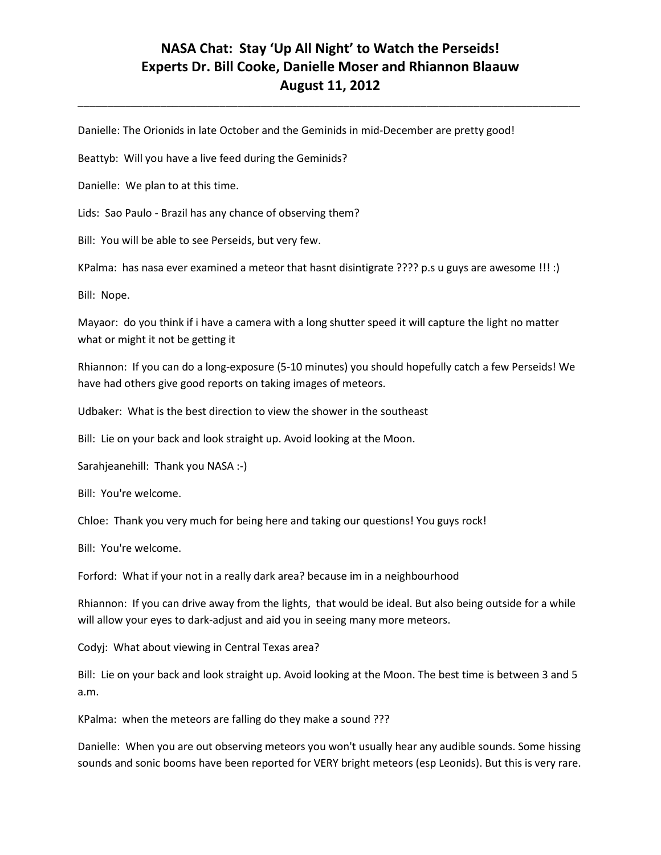\_\_\_\_\_\_\_\_\_\_\_\_\_\_\_\_\_\_\_\_\_\_\_\_\_\_\_\_\_\_\_\_\_\_\_\_\_\_\_\_\_\_\_\_\_\_\_\_\_\_\_\_\_\_\_\_\_\_\_\_\_\_\_\_\_\_\_\_\_\_\_\_\_\_\_\_\_\_\_\_\_\_\_\_\_

Danielle: The Orionids in late October and the Geminids in mid-December are pretty good!

Beattyb: Will you have a live feed during the Geminids?

Danielle: We plan to at this time.

Lids: Sao Paulo - Brazil has any chance of observing them?

Bill: You will be able to see Perseids, but very few.

KPalma: has nasa ever examined a meteor that hasnt disintigrate ???? p.s u guys are awesome !!! :)

Bill: Nope.

Mayaor: do you think if i have a camera with a long shutter speed it will capture the light no matter what or might it not be getting it

Rhiannon: If you can do a long-exposure (5-10 minutes) you should hopefully catch a few Perseids! We have had others give good reports on taking images of meteors.

Udbaker: What is the best direction to view the shower in the southeast

Bill: Lie on your back and look straight up. Avoid looking at the Moon.

Sarahjeanehill: Thank you NASA :-)

Bill: You're welcome.

Chloe: Thank you very much for being here and taking our questions! You guys rock!

Bill: You're welcome.

Forford: What if your not in a really dark area? because im in a neighbourhood

Rhiannon: If you can drive away from the lights, that would be ideal. But also being outside for a while will allow your eyes to dark-adjust and aid you in seeing many more meteors.

Codyj: What about viewing in Central Texas area?

Bill: Lie on your back and look straight up. Avoid looking at the Moon. The best time is between 3 and 5 a.m.

KPalma: when the meteors are falling do they make a sound ???

Danielle: When you are out observing meteors you won't usually hear any audible sounds. Some hissing sounds and sonic booms have been reported for VERY bright meteors (esp Leonids). But this is very rare.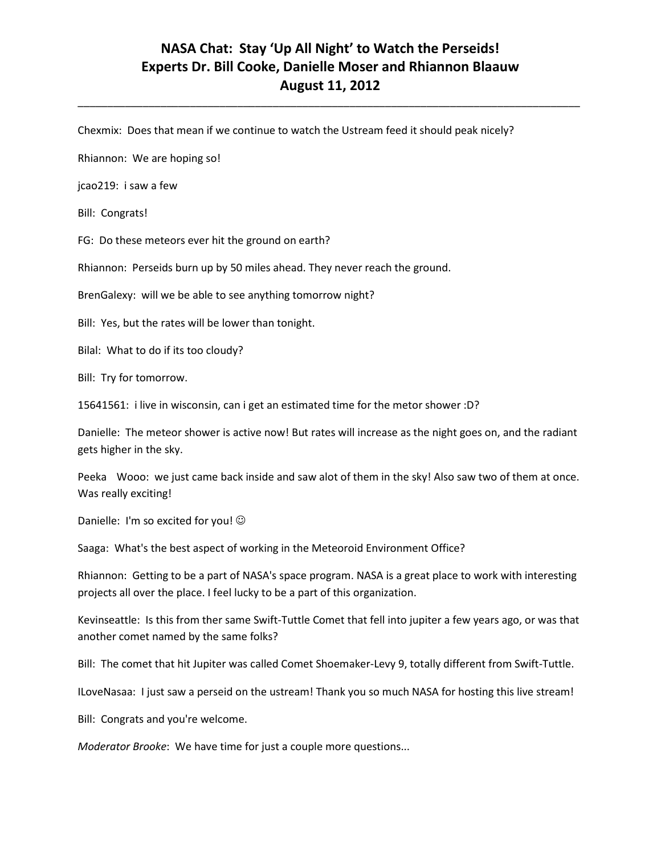\_\_\_\_\_\_\_\_\_\_\_\_\_\_\_\_\_\_\_\_\_\_\_\_\_\_\_\_\_\_\_\_\_\_\_\_\_\_\_\_\_\_\_\_\_\_\_\_\_\_\_\_\_\_\_\_\_\_\_\_\_\_\_\_\_\_\_\_\_\_\_\_\_\_\_\_\_\_\_\_\_\_\_\_\_

Chexmix: Does that mean if we continue to watch the Ustream feed it should peak nicely?

Rhiannon: We are hoping so!

jcao219: i saw a few

Bill: Congrats!

FG: Do these meteors ever hit the ground on earth?

Rhiannon: Perseids burn up by 50 miles ahead. They never reach the ground.

BrenGalexy: will we be able to see anything tomorrow night?

Bill: Yes, but the rates will be lower than tonight.

Bilal: What to do if its too cloudy?

Bill: Try for tomorrow.

15641561: i live in wisconsin, can i get an estimated time for the metor shower :D?

Danielle: The meteor shower is active now! But rates will increase as the night goes on, and the radiant gets higher in the sky.

Peeka Wooo: we just came back inside and saw alot of them in the sky! Also saw two of them at once. Was really exciting!

Danielle: I'm so excited for you!  $\odot$ 

Saaga: What's the best aspect of working in the Meteoroid Environment Office?

Rhiannon: Getting to be a part of NASA's space program. NASA is a great place to work with interesting projects all over the place. I feel lucky to be a part of this organization.

Kevinseattle: Is this from ther same Swift-Tuttle Comet that fell into jupiter a few years ago, or was that another comet named by the same folks?

Bill: The comet that hit Jupiter was called Comet Shoemaker-Levy 9, totally different from Swift-Tuttle.

ILoveNasaa: I just saw a perseid on the ustream! Thank you so much NASA for hosting this live stream!

Bill: Congrats and you're welcome.

*Moderator Brooke*: We have time for just a couple more questions...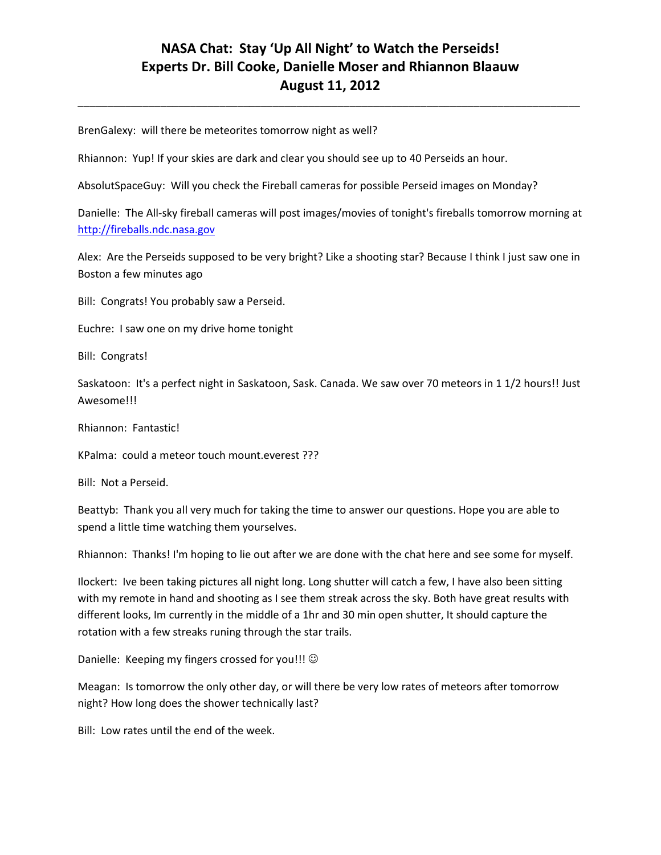\_\_\_\_\_\_\_\_\_\_\_\_\_\_\_\_\_\_\_\_\_\_\_\_\_\_\_\_\_\_\_\_\_\_\_\_\_\_\_\_\_\_\_\_\_\_\_\_\_\_\_\_\_\_\_\_\_\_\_\_\_\_\_\_\_\_\_\_\_\_\_\_\_\_\_\_\_\_\_\_\_\_\_\_\_

BrenGalexy: will there be meteorites tomorrow night as well?

Rhiannon: Yup! If your skies are dark and clear you should see up to 40 Perseids an hour.

AbsolutSpaceGuy: Will you check the Fireball cameras for possible Perseid images on Monday?

Danielle: The All-sky fireball cameras will post images/movies of tonight's fireballs tomorrow morning at [http://fireballs.ndc.nasa.gov](http://fireballs.ndc.nasa.gov/)

Alex: Are the Perseids supposed to be very bright? Like a shooting star? Because I think I just saw one in Boston a few minutes ago

Bill: Congrats! You probably saw a Perseid.

Euchre: I saw one on my drive home tonight

Bill: Congrats!

Saskatoon: It's a perfect night in Saskatoon, Sask. Canada. We saw over 70 meteors in 1 1/2 hours!! Just Awesome!!!

Rhiannon: Fantastic!

KPalma: could a meteor touch mount.everest ???

Bill: Not a Perseid.

Beattyb: Thank you all very much for taking the time to answer our questions. Hope you are able to spend a little time watching them yourselves.

Rhiannon: Thanks! I'm hoping to lie out after we are done with the chat here and see some for myself.

Ilockert: Ive been taking pictures all night long. Long shutter will catch a few, I have also been sitting with my remote in hand and shooting as I see them streak across the sky. Both have great results with different looks, Im currently in the middle of a 1hr and 30 min open shutter, It should capture the rotation with a few streaks runing through the star trails.

Danielle: Keeping my fingers crossed for you!!! ©

Meagan: Is tomorrow the only other day, or will there be very low rates of meteors after tomorrow night? How long does the shower technically last?

Bill: Low rates until the end of the week.